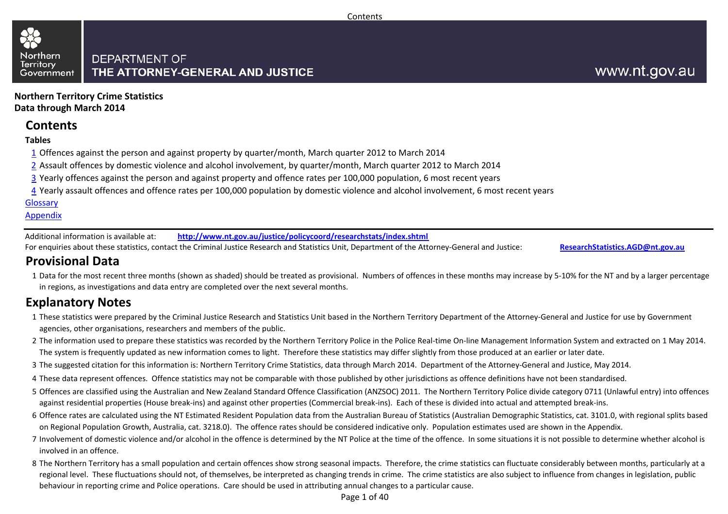#### Northern **DEPARTMENT OF Territory** THE ATTORNEY-GENERAL AND JUSTICE Government

**Northern Territory Crime StatisticsData through March 2014**

## **Contents**

#### **Tables**

- $1\overline{1}$  Offences against the person and against property by quarter/month, March quarter 2012 to March 2014
- 2 Assault offences by domestic violence and alcohol involvement, by quarter/month, March quarter 2012 to March 2014
- <u>3</u> Yearly offences against the person and against property and offence rates per 100,000 population, 6 most recent years
- <u>4</u> Yearly assault offences and offence rates per 100,000 population by domestic violence and alcohol involvement, 6 most recent years

#### Glossary

#### Appendix

Additional information is available at:**http://www.nt.gov.au/justice/policycoord/researchstats/index.shtml**

For enquiries about these statistics, contact the Criminal Justice Research and Statistics Unit, Department of the Attorney-General and Justice:

**ResearchStatistics.AGD@nt.gov.au**

# **Provisional Data**

1 Data for the most recent three months (shown as shaded) should be treated as provisional. Numbers of offences in these months may increase by 5-10% for the NT and by a larger percentage in regions, as investigations and data entry are completed over the next several months.

# **Explanatory Notes**

- 1These statistics were prepared by the Criminal Justice Research and Statistics Unit based in the Northern Territory Department of the Attorney-General and Justice for use by Government agencies, other organisations, researchers and members of the public.
- 2The information used to prepare these statistics was recorded by the Northern Territory Police in the Police Real-time On-line Management Information System and extracted on 1 May 2014. The system is frequently updated as new information comes to light. Therefore these statistics may differ slightly from those produced at an earlier or later date.
- 3The suggested citation for this information is: Northern Territory Crime Statistics, data through March 2014. Department of the Attorney-General and Justice, May 2014.
- 4These data represent offences. Offence statistics may not be comparable with those published by other jurisdictions as offence definitions have not been standardised.
- 5 Offences are classified using the Australian and New Zealand Standard Offence Classification (ANZSOC) 2011. The Northern Territory Police divide category 0711 (Unlawful entry) into offences against residential properties (House break-ins) and against other properties (Commercial break-ins). Each of these is divided into actual and attempted break-ins.
- 6 Offence rates are calculated using the NT Estimated Resident Population data from the Australian Bureau of Statistics (Australian Demographic Statistics, cat. 3101.0, with regional splits based on Regional Population Growth, Australia, cat. 3218.0). The offence rates should be considered indicative only. Population estimates used are shown in the Appendix.
- 7 Involvement of domestic violence and/or alcohol in the offence is determined by the NT Police at the time of the offence. In some situations it is not possible to determine whether alcohol is involved in an offence.
- 8 The Northern Territory has a small population and certain offences show strong seasonal impacts. Therefore, the crime statistics can fluctuate considerably between months, particularly at a regional level. These fluctuations should not, of themselves, be interpreted as changing trends in crime. The crime statistics are also subject to influence from changes in legislation, public behaviour in reporting crime and Police operations. Care should be used in attributing annual changes to a particular cause.

Page 1 of 40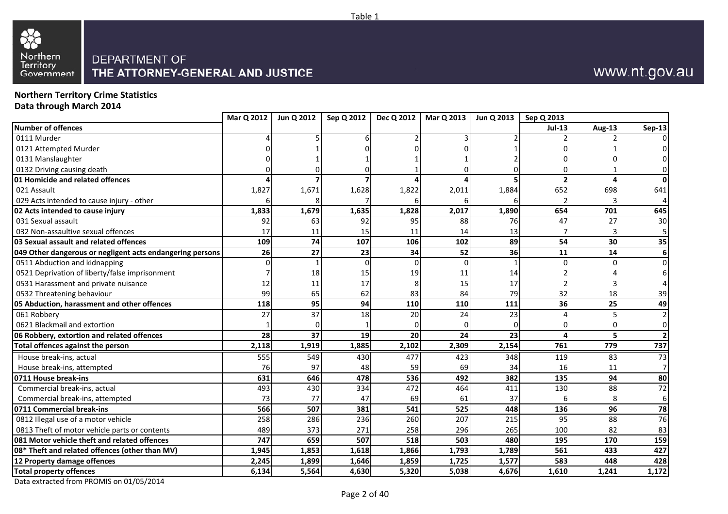

# www.nt.gov.au

**Northern Territory Crime StatisticsData through March 2014**

|                                                           | Mar Q 2012 | Jun Q 2012 | Sep Q 2012 | Dec Q 2012 | Mar Q 2013 | Jun Q 2013 | Sep Q 2013     |               |               |
|-----------------------------------------------------------|------------|------------|------------|------------|------------|------------|----------------|---------------|---------------|
| Number of offences                                        |            |            |            |            |            |            | <b>Jul-13</b>  | <b>Aug-13</b> | <b>Sep-13</b> |
| 0111 Murder                                               |            |            |            |            |            |            |                |               |               |
| 0121 Attempted Murder                                     |            |            |            |            |            |            |                |               |               |
| 0131 Manslaughter                                         |            |            |            |            |            |            |                |               |               |
| 0132 Driving causing death                                |            |            |            |            |            |            |                |               |               |
| <b>01 Homicide and related offences</b>                   |            |            |            |            |            |            | $\overline{2}$ | 4             |               |
| 021 Assault                                               | 1,827      | 1,671      | 1,628      | 1,822      | 2,011      | 1,884      | 652            | 698           | 641           |
| 029 Acts intended to cause injury - other                 |            |            |            |            |            |            | 2              | 3             |               |
| 02 Acts intended to cause injury                          | 1,833      | 1,679      | 1,635      | 1,828      | 2,017      | 1,890      | 654            | 701           | 645           |
| 031 Sexual assault                                        | 92         | 63         | 92         | 95         | 88         | 76         | 47             | 27            | 30            |
| 032 Non-assaultive sexual offences                        | 17         | 11         | 15         | 11         | 14         | 13         |                | 3             |               |
| 03 Sexual assault and related offences                    | 109        | 74         | 107        | 106        | 102        | 89         | 54             | 30            | 35            |
| 049 Other dangerous or negligent acts endangering persons | 26         | 27         | 23         | 34         | 52         | 36         | 11             | 14            |               |
| 0511 Abduction and kidnapping                             |            |            |            |            | $\Omega$   |            | U              | U             |               |
| 0521 Deprivation of liberty/false imprisonment            |            | 18         | 15         | 19         | 11         | 14         |                |               |               |
| 0531 Harassment and private nuisance                      | 12         | 11         | 17         |            | 15         | 17         | 2              |               |               |
| 0532 Threatening behaviour                                | 99         | 65         | 62         | 83         | 84         | 79         | 32             | 18            | 39            |
| 05 Abduction, harassment and other offences               | 118        | 95         | 94         | 110        | 110        | 111        | 36             | 25            | 49            |
| 061 Robbery                                               | 27         | 37         | 18         | 20         | 24         | 23         | Δ              | 5             |               |
| 0621 Blackmail and extortion                              |            |            |            |            |            |            | O              | 0             | ∩             |
| 06 Robbery, extortion and related offences                | 28         | 37         | 19         | 20         | 24         | 23         | 4              | 5             |               |
| <b>Total offences against the person</b>                  | 2,118      | 1,919      | 1,885      | 2,102      | 2,309      | 2,154      | 761            | 779           | 737           |
| House break-ins, actual                                   | 555        | 549        | 430        | 477        | 423        | 348        | 119            | 83            | 73            |
| House break-ins, attempted                                | 76         | 97         | 48         | 59         | 69         | 34         | 16             | 11            |               |
| 0711 House break-ins                                      | 631        | 646        | 478        | 536        | 492        | 382        | 135            | 94            | 80            |
| Commercial break-ins, actual                              | 493        | 430        | 334        | 472        | 464        | 411        | 130            | 88            | 72            |
| Commercial break-ins, attempted                           | 73         | 77         | 47         | 69         | 61         | 37         | 6              | 8             | 6             |
| 0711 Commercial break-ins                                 | 566        | 507        | 381        | 541        | 525        | 448        | 136            | 96            | 78            |
| 0812 Illegal use of a motor vehicle                       | 258        | 286        | 236        | 260        | 207        | 215        | 95             | 88            | 76            |
| 0813 Theft of motor vehicle parts or contents             | 489        | 373        | 271        | 258        | 296        | 265        | 100            | 82            | 83            |
| 081 Motor vehicle theft and related offences              | 747        | 659        | 507        | 518        | 503        | 480        | 195            | 170           | 159           |
| 08* Theft and related offences (other than MV)            | 1,945      | 1,853      | 1,618      | 1,866      | 1,793      | 1,789      | 561            | 433           | 427           |
| 12 Property damage offences                               | 2,245      | 1,899      | 1,646      | 1,859      | 1,725      | 1,577      | 583            | 448           | 428           |
| <b>Total property offences</b>                            | 6,134      | 5,564      | 4,630      | 5,320      | 5,038      | 4,676      | 1,610          | 1,241         | 1,172         |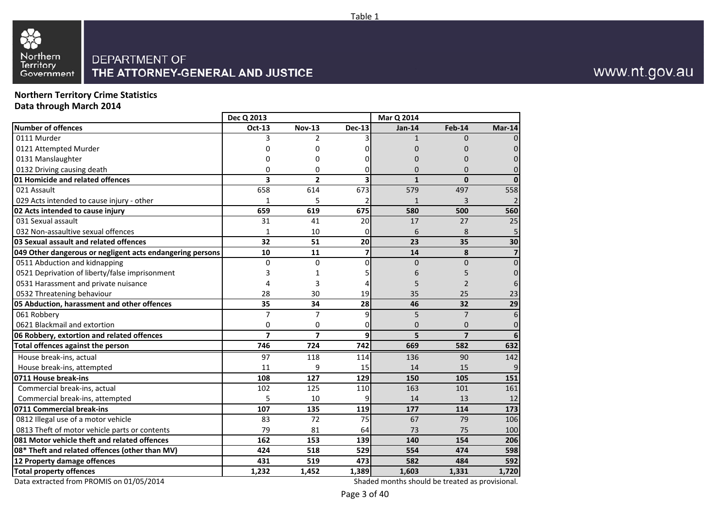#### **Northern Territory Crime StatisticsData through March 2014**

|                                                           | Dec Q 2013     |                |                          | Mar Q 2014   |                |                |  |
|-----------------------------------------------------------|----------------|----------------|--------------------------|--------------|----------------|----------------|--|
| Number of offences                                        | Oct-13         | <b>Nov-13</b>  | <b>Dec-13</b>            | Jan-14       | <b>Feb-14</b>  | Mar-14         |  |
| 0111 Murder                                               | 3              | $\overline{2}$ | 3                        | $\mathbf{1}$ | $\Omega$       |                |  |
| 0121 Attempted Murder                                     | 0              | 0              | 0                        | 0            | 0              |                |  |
| 0131 Manslaughter                                         | 0              | 0              | 0                        | $\Omega$     | 0              |                |  |
| 0132 Driving causing death                                | 0              | 0              | 0                        | 0            | $\Omega$       |                |  |
| 01 Homicide and related offences                          | 3              | $\overline{2}$ | 3                        | $\mathbf{1}$ | $\mathbf{0}$   | $\Omega$       |  |
| 021 Assault                                               | 658            | 614            | 673                      | 579          | 497            | 558            |  |
| 029 Acts intended to cause injury - other                 | 1              | 5              | 2                        | $\mathbf{1}$ | 3              | $\overline{2}$ |  |
| 02 Acts intended to cause injury                          | 659            | 619            | 675                      | 580          | 500            | 560            |  |
| 031 Sexual assault                                        | 31             | 41             | 20                       | 17           | 27             | 25             |  |
| 032 Non-assaultive sexual offences                        | 1              | 10             | 0                        | 6            | 8              | 5              |  |
| 03 Sexual assault and related offences                    | 32             | 51             | 20                       | 23           | 35             | 30             |  |
| 049 Other dangerous or negligent acts endangering persons | 10             | 11             | $\overline{\phantom{a}}$ | 14           | 8              | 7              |  |
| 0511 Abduction and kidnapping                             | $\Omega$       | 0              | $\overline{0}$           | $\mathbf{0}$ | $\Omega$       | $\mathbf 0$    |  |
| 0521 Deprivation of liberty/false imprisonment            | 3              | 1              | 51                       | 6            | 5              |                |  |
| 0531 Harassment and private nuisance                      | 4              | 3              | 4                        | 5            | 2              | 6              |  |
| 0532 Threatening behaviour                                | 28             | 30             | 19                       | 35           | 25             | 23             |  |
| 05 Abduction, harassment and other offences               | 35             | 34             | 28                       | 46           | 32             | 29             |  |
| 061 Robbery                                               | 7              | $\overline{7}$ | 9                        | 5            | $\overline{7}$ | $\epsilon$     |  |
| 0621 Blackmail and extortion                              | 0              | 0              | 0                        | $\Omega$     | $\mathbf{0}$   | $\mathbf 0$    |  |
| 06 Robbery, extortion and related offences                | $\overline{7}$ | $\overline{7}$ | 9                        | 5            | $\overline{7}$ | 6              |  |
| <b>Total offences against the person</b>                  | 746            | 724            | 742                      | 669          | 582            | 632            |  |
| House break-ins, actual                                   | 97             | 118            | 114                      | 136          | 90             | 142            |  |
| House break-ins, attempted                                | 11             | 9              | 15                       | 14           | 15             | 9              |  |
| 0711 House break-ins                                      | 108            | 127            | 129                      | 150          | 105            | 151            |  |
| Commercial break-ins, actual                              | 102            | 125            | 110                      | 163          | 101            | 161            |  |
| Commercial break-ins, attempted                           | 5              | 10             | 9                        | 14           | 13             | 12             |  |
| 0711 Commercial break-ins                                 | 107            | 135            | 119                      | 177          | 114            | 173            |  |
| 0812 Illegal use of a motor vehicle                       | 83             | 72             | 75                       | 67           | 79             | 106            |  |
| 0813 Theft of motor vehicle parts or contents             | 79             | 81             | 64                       | 73           | 75             | 100            |  |
| 081 Motor vehicle theft and related offences              | 162            | 153            | 139                      | 140          | 154            | 206            |  |
| 08* Theft and related offences (other than MV)            | 424            | 518            | 529                      | 554          | 474            | 598            |  |
| 12 Property damage offences                               | 431            | 519            | 473                      | 582          | 484            | 592            |  |
| <b>Total property offences</b>                            | 1,232          | 1,452          | 1,389                    | 1,603        | 1,331          | 1,720          |  |
|                                                           |                |                |                          |              |                |                |  |

Data extracted from PROMIS on 01/05/2014

Shaded months should be treated as provisional.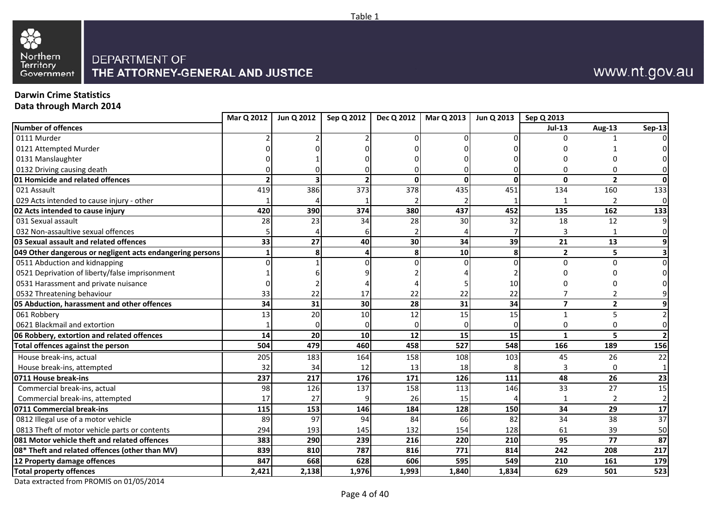



# www.nt.gov.au

### **Darwin Crime Statistics**

**Data through March 2014**

|                                                           | Mar Q 2012 | Jun Q 2012 | Sep Q 2012      | Dec Q 2012 | Mar Q 2013 | Jun Q 2013      | Sep Q 2013     |                |                |
|-----------------------------------------------------------|------------|------------|-----------------|------------|------------|-----------------|----------------|----------------|----------------|
| Number of offences                                        |            |            |                 |            |            |                 | $Jul-13$       | Aug-13         | <b>Sep-13</b>  |
| 0111 Murder                                               |            |            |                 |            |            |                 | U              |                | ΩI             |
| 0121 Attempted Murder                                     |            |            |                 |            |            |                 |                |                |                |
| 0131 Manslaughter                                         |            |            |                 |            |            |                 |                |                |                |
| 0132 Driving causing death                                |            |            |                 |            |            |                 | n              |                | 0              |
| 01 Homicide and related offences                          |            |            |                 | O          | $\Omega$   |                 | 0              | $\overline{2}$ | 0              |
| 021 Assault                                               | 419        | 386        | 373             | 378        | 435        | 451             | 134            | 160            | 133            |
| 029 Acts intended to cause injury - other                 |            |            |                 |            |            |                 |                | $\overline{2}$ | $\overline{0}$ |
| 02 Acts intended to cause injury                          | 420        | 390        | 374             | 380        | 437        | 452             | 135            | 162            | 133            |
| 031 Sexual assault                                        | 28         | 23         | 34              | 28         | 30         | 32              | 18             | 12             | $\mathbf{q}$   |
| 032 Non-assaultive sexual offences                        |            |            |                 |            |            |                 | 3              | 1              | 01             |
| 03 Sexual assault and related offences                    | 33         | 27         | 40              | 30         | 34         | 39              | 21             | 13             | 9              |
| 049 Other dangerous or negligent acts endangering persons |            | 8          | 4               | 8          | 10         |                 | $\overline{2}$ | 5              | 3              |
| 0511 Abduction and kidnapping                             |            |            |                 |            |            |                 | 0              | $\Omega$       | $\Omega$       |
| 0521 Deprivation of liberty/false imprisonment            |            |            |                 |            |            |                 |                |                | ΩI             |
| 0531 Harassment and private nuisance                      |            |            |                 |            |            | 10              |                |                |                |
| 0532 Threatening behaviour                                | 33         | 22         | 17              | 22         | 22         | 22              |                |                |                |
| 05 Abduction, harassment and other offences               | 34         | 31         | 30 <sub>0</sub> | 28         | 31         | $\overline{34}$ | $\overline{ }$ | $\overline{2}$ | 9              |
| 061 Robbery                                               | 13         | 20         | 10              | 12         | 15         | 15              |                | 5              |                |
| 0621 Blackmail and extortion                              |            |            | 0               |            |            |                 | 0              | ∩              | 0              |
| 06 Robbery, extortion and related offences                | 14         | 20         | 10 <sup>1</sup> | 12         | 15         | 15              | 1              | 5              | $\overline{2}$ |
| Total offences against the person                         | 504        | 479        | 460             | 458        | 527        | 548             | 166            | 189            | 156            |
| House break-ins, actual                                   | 205        | 183        | 164             | 158        | 108        | 103             | 45             | 26             | 22             |
| House break-ins, attempted                                | 32         | 34         | 12              | 13         | 18         |                 | 3              | ∩              | -1             |
| 0711 House break-ins                                      | 237        | 217        | 176             | 171        | 126        | 111             | 48             | 26             | 23             |
| Commercial break-ins, actual                              | 98         | 126        | 137             | 158        | 113        | 146             | 33             | 27             | 15             |
| Commercial break-ins, attempted                           | 17         | 27         | q               | 26         | 15         |                 |                | 2              | $\overline{2}$ |
| 0711 Commercial break-ins                                 | 115        | 153        | 146             | 184        | 128        | 150             | 34             | 29             | 17             |
| 0812 Illegal use of a motor vehicle                       | 89         | 97         | 94              | 84         | 66         | 82              | 34             | 38             | 37             |
| 0813 Theft of motor vehicle parts or contents             | 294        | 193        | 145             | 132        | 154        | 128             | 61             | 39             | 50             |
| 081 Motor vehicle theft and related offences              | 383        | 290        | 239             | 216        | 220        | 210             | 95             | 77             | 87             |
| 08* Theft and related offences (other than MV)            | 839        | 810        | 787             | 816        | 771        | 814             | 242            | 208            | 217            |
| 12 Property damage offences                               | 847        | 668        | 628             | 606        | 595        | 549             | 210            | 161            | 179            |
| <b>Total property offences</b>                            | 2,421      | 2,138      | 1,976           | 1,993      | 1,840      | 1,834           | 629            | 501            | 523            |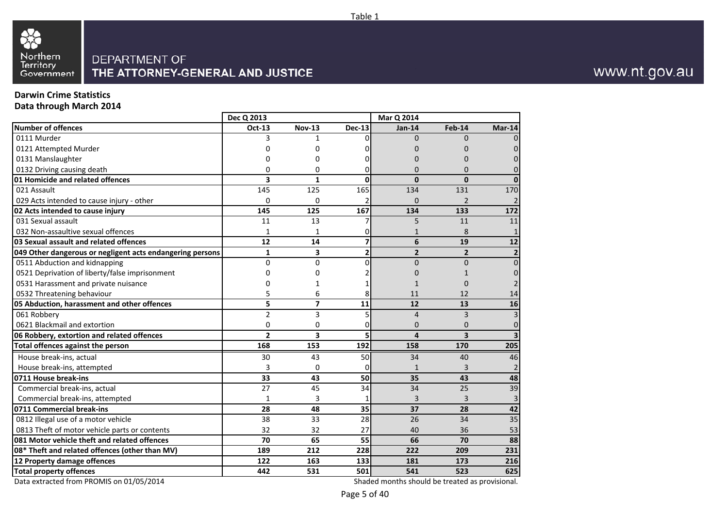

#### **Darwin Crime Statistics**

**Data through March 2014**

|                                                           | Dec Q 2013     |                         |                | Mar Q 2014     |                         |                         |
|-----------------------------------------------------------|----------------|-------------------------|----------------|----------------|-------------------------|-------------------------|
| <b>Number of offences</b>                                 | Oct-13         | <b>Nov-13</b>           | <b>Dec-13</b>  | <b>Jan-14</b>  | Feb-14                  | $Mar-14$                |
| 0111 Murder                                               | 3              | $\mathbf{1}$            | 0              | $\Omega$       | $\Omega$                | 0                       |
| 0121 Attempted Murder                                     | O              | 0                       | O              | 0              | O                       | $\Omega$                |
| 0131 Manslaughter                                         |                | 0                       |                | 0              | 0                       | $\Omega$                |
| 0132 Driving causing death                                | ŋ              | 0                       | 0              | $\Omega$       | 0                       | $\Omega$                |
| 01 Homicide and related offences                          | 3              | 1                       | 0              | $\bf{0}$       | $\mathbf{0}$            | $\bf{0}$                |
| 021 Assault                                               | 145            | 125                     | 165            | 134            | 131                     | 170                     |
| 029 Acts intended to cause injury - other                 | 0              | 0                       | 2              | 0              | $\overline{2}$          | $\overline{2}$          |
| 02 Acts intended to cause injury                          | 145            | 125                     | 167            | 134            | 133                     | 172                     |
| 031 Sexual assault                                        | 11             | 13                      | 7              | 5              | 11                      | 11                      |
| 032 Non-assaultive sexual offences                        | 1              | 1                       | 0              | $\mathbf{1}$   | 8                       | $\mathbf{1}$            |
| 03 Sexual assault and related offences                    | 12             | 14                      | $\overline{z}$ | 6              | 19                      | 12                      |
| 049 Other dangerous or negligent acts endangering persons | $\mathbf{1}$   | 3                       | $\overline{2}$ | $\overline{2}$ | $\overline{2}$          | $\mathbf{2}$            |
| 0511 Abduction and kidnapping                             | 0              | 0                       | 0              | $\overline{0}$ | $\Omega$                | $\overline{0}$          |
| 0521 Deprivation of liberty/false imprisonment            | 0              | 0                       |                | 0              |                         | $\Omega$                |
| 0531 Harassment and private nuisance                      | 0              | 1                       |                | 1              | 0                       | $\overline{2}$          |
| 0532 Threatening behaviour                                | 5              | 6                       | 8              | 11             | 12                      | 14                      |
| 05 Abduction, harassment and other offences               | 5              | $\overline{\mathbf{z}}$ | 11             | 12             | 13                      | 16                      |
| 061 Robbery                                               | $\overline{2}$ | 3                       | 5              | $\overline{4}$ | 3                       | $\overline{3}$          |
| 0621 Blackmail and extortion                              | 0              | 0                       | 0              | $\Omega$       | $\Omega$                | 0                       |
| 06 Robbery, extortion and related offences                | $\overline{2}$ | 3                       | 5              | 4              | $\overline{\mathbf{3}}$ | $\overline{\mathbf{3}}$ |
| Total offences against the person                         | 168            | 153                     | 192            | 158            | 170                     | 205                     |
| House break-ins, actual                                   | 30             | 43                      | 50             | 34             | 40                      | 46                      |
| House break-ins, attempted                                | 3              | $\Omega$                | 0              | $\mathbf{1}$   | 3                       | $\overline{2}$          |
| 0711 House break-ins                                      | 33             | 43                      | 50             | 35             | 43                      | 48                      |
| Commercial break-ins, actual                              | 27             | 45                      | 34             | 34             | 25                      | 39                      |
| Commercial break-ins, attempted                           | $\mathbf{1}$   | 3                       | $\mathbf{1}$   | 3              | 3                       | 3                       |
| 0711 Commercial break-ins                                 | 28             | 48                      | 35             | 37             | 28                      | 42                      |
| 0812 Illegal use of a motor vehicle                       | 38             | 33                      | 28             | 26             | 34                      | 35                      |
| 0813 Theft of motor vehicle parts or contents             | 32             | 32                      | 27             | 40             | 36                      | 53                      |
| 081 Motor vehicle theft and related offences              | 70             | 65                      | 55             | 66             | 70                      | 88                      |
| 08* Theft and related offences (other than MV)            | 189            | 212                     | 228            | 222            | 209                     | 231                     |
| 12 Property damage offences                               | 122            | 163                     | 133            | 181            | 173                     | 216                     |
| <b>Total property offences</b>                            | 442            | 531                     | 501            | 541            | 523                     | 625                     |

Data extracted from PROMIS on 01/05/2014

Shaded months should be treated as provisional.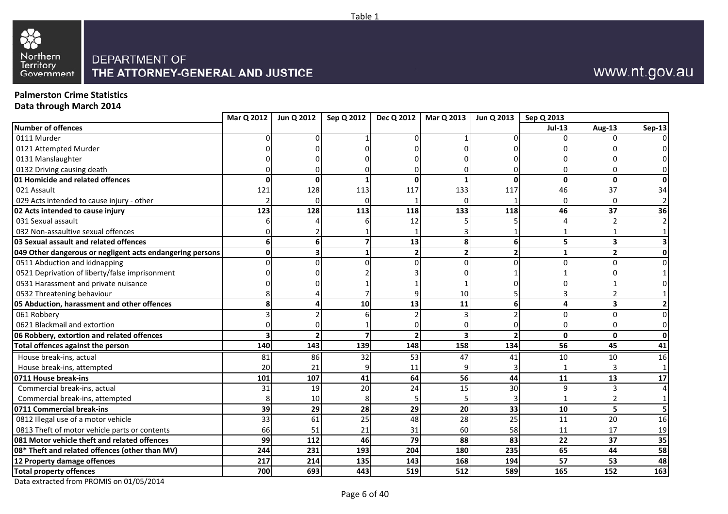



# www.nt.gov.au

### **Palmerston Crime Statistics**

**Data through March 2014**

| $Jul-13$<br>Aug-13<br>0111 Murder<br>0121 Attempted Murder<br>0131 Manslaughter<br>0132 Driving causing death<br>01 Homicide and related offences<br>$\mathbf{0}$<br>$\mathbf{0}$<br>$\mathbf{0}$<br>$\Omega$<br>O<br><sup>0</sup><br>133<br>117<br>37<br>021 Assault<br>121<br>128<br>113<br>117<br>46<br>029 Acts intended to cause injury - other<br>O<br>$\Omega$<br>123<br>133<br>118<br>46<br>02 Acts intended to cause injury<br>128<br>113<br>118<br>37<br>031 Sexual assault<br>12<br>$\overline{2}$<br>Δ<br>032 Non-assaultive sexual offences<br>03 Sexual assault and related offences<br>13<br>$\overline{\mathbf{z}}$<br>6<br>5<br>$\overline{\mathbf{3}}$<br>8<br>6<br>$\overline{2}$<br>049 Other dangerous or negligent acts endangering persons<br>2 <sub>1</sub><br>$\overline{2}$<br>$\overline{\phantom{a}}$<br>1<br>Ω<br>0511 Abduction and kidnapping<br>U<br>$\Omega$<br>0521 Deprivation of liberty/false imprisonment<br>0531 Harassment and private nuisance<br>0532 Threatening behaviour<br>10<br>10<br>13<br>6<br>4<br>05 Abduction, harassment and other offences<br>11<br>$\overline{\mathbf{3}}$<br>061 Robbery<br>$\Omega$<br>U<br>0621 Blackmail and extortion<br>ŋ<br>∩<br>06 Robbery, extortion and related offences<br>$\overline{\mathbf{z}}$<br>$\overline{\phantom{a}}$<br>$\Omega$<br>$\mathbf{0}$<br>134<br>140<br>143<br>139<br>148<br>158<br>56<br>Total offences against the person<br>45<br>House break-ins, actual<br>53<br>81<br>86<br>32<br>47<br>41<br>10<br>10<br>20<br>House break-ins, attempted<br>21<br>11<br>44<br>101<br>107<br>41<br>64<br>56<br>13<br>0711 House break-ins<br>11<br>20<br>30<br>31<br>19<br>24<br>15<br>9<br>Commercial break-ins, actual<br>$\mathbf{a}$<br>Commercial break-ins, attempted<br>10<br>8<br>29<br>33<br>0711 Commercial break-ins<br>39<br>29<br>28<br>5<br>20<br>10<br>0812 Illegal use of a motor vehicle<br>25<br>33<br>61<br>25<br>48<br>20<br>28<br>11<br>58<br>17<br>0813 Theft of motor vehicle parts or contents<br>51<br>21<br>31<br>11<br>66<br>60<br>79<br>83<br>081 Motor vehicle theft and related offences<br>99<br>112<br>46<br>88<br>22<br>37<br>204<br>08* Theft and related offences (other than MV)<br>244<br>231<br>180<br>235<br>65<br>193<br>44<br>217<br>214<br>135<br>143<br>168<br>194<br>57<br>53<br>12 Property damage offences<br>519<br>589<br><b>Total property offences</b><br>700<br>693<br>443<br>512<br>152<br>165 |                    | Mar Q 2012 | Jun Q 2012 | Sep Q 2012 | Dec Q 2012 | Mar Q 2013 | Jun Q 2013 | Sep Q 2013 |               |
|-------------------------------------------------------------------------------------------------------------------------------------------------------------------------------------------------------------------------------------------------------------------------------------------------------------------------------------------------------------------------------------------------------------------------------------------------------------------------------------------------------------------------------------------------------------------------------------------------------------------------------------------------------------------------------------------------------------------------------------------------------------------------------------------------------------------------------------------------------------------------------------------------------------------------------------------------------------------------------------------------------------------------------------------------------------------------------------------------------------------------------------------------------------------------------------------------------------------------------------------------------------------------------------------------------------------------------------------------------------------------------------------------------------------------------------------------------------------------------------------------------------------------------------------------------------------------------------------------------------------------------------------------------------------------------------------------------------------------------------------------------------------------------------------------------------------------------------------------------------------------------------------------------------------------------------------------------------------------------------------------------------------------------------------------------------------------------------------------------------------------------------------------------------------------------------------------------------------------------------------------------------------------------------------------------------------------------------------------------------------------------------------------------------------------------------------------|--------------------|------------|------------|------------|------------|------------|------------|------------|---------------|
|                                                                                                                                                                                                                                                                                                                                                                                                                                                                                                                                                                                                                                                                                                                                                                                                                                                                                                                                                                                                                                                                                                                                                                                                                                                                                                                                                                                                                                                                                                                                                                                                                                                                                                                                                                                                                                                                                                                                                                                                                                                                                                                                                                                                                                                                                                                                                                                                                                                 | Number of offences |            |            |            |            |            |            |            | <b>Sep-13</b> |
|                                                                                                                                                                                                                                                                                                                                                                                                                                                                                                                                                                                                                                                                                                                                                                                                                                                                                                                                                                                                                                                                                                                                                                                                                                                                                                                                                                                                                                                                                                                                                                                                                                                                                                                                                                                                                                                                                                                                                                                                                                                                                                                                                                                                                                                                                                                                                                                                                                                 |                    |            |            |            |            |            |            |            |               |
|                                                                                                                                                                                                                                                                                                                                                                                                                                                                                                                                                                                                                                                                                                                                                                                                                                                                                                                                                                                                                                                                                                                                                                                                                                                                                                                                                                                                                                                                                                                                                                                                                                                                                                                                                                                                                                                                                                                                                                                                                                                                                                                                                                                                                                                                                                                                                                                                                                                 |                    |            |            |            |            |            |            |            |               |
|                                                                                                                                                                                                                                                                                                                                                                                                                                                                                                                                                                                                                                                                                                                                                                                                                                                                                                                                                                                                                                                                                                                                                                                                                                                                                                                                                                                                                                                                                                                                                                                                                                                                                                                                                                                                                                                                                                                                                                                                                                                                                                                                                                                                                                                                                                                                                                                                                                                 |                    |            |            |            |            |            |            |            |               |
|                                                                                                                                                                                                                                                                                                                                                                                                                                                                                                                                                                                                                                                                                                                                                                                                                                                                                                                                                                                                                                                                                                                                                                                                                                                                                                                                                                                                                                                                                                                                                                                                                                                                                                                                                                                                                                                                                                                                                                                                                                                                                                                                                                                                                                                                                                                                                                                                                                                 |                    |            |            |            |            |            |            |            |               |
|                                                                                                                                                                                                                                                                                                                                                                                                                                                                                                                                                                                                                                                                                                                                                                                                                                                                                                                                                                                                                                                                                                                                                                                                                                                                                                                                                                                                                                                                                                                                                                                                                                                                                                                                                                                                                                                                                                                                                                                                                                                                                                                                                                                                                                                                                                                                                                                                                                                 |                    |            |            |            |            |            |            |            | $\mathbf{0}$  |
|                                                                                                                                                                                                                                                                                                                                                                                                                                                                                                                                                                                                                                                                                                                                                                                                                                                                                                                                                                                                                                                                                                                                                                                                                                                                                                                                                                                                                                                                                                                                                                                                                                                                                                                                                                                                                                                                                                                                                                                                                                                                                                                                                                                                                                                                                                                                                                                                                                                 |                    |            |            |            |            |            |            |            | 34            |
|                                                                                                                                                                                                                                                                                                                                                                                                                                                                                                                                                                                                                                                                                                                                                                                                                                                                                                                                                                                                                                                                                                                                                                                                                                                                                                                                                                                                                                                                                                                                                                                                                                                                                                                                                                                                                                                                                                                                                                                                                                                                                                                                                                                                                                                                                                                                                                                                                                                 |                    |            |            |            |            |            |            |            | $\mathbf{2}$  |
|                                                                                                                                                                                                                                                                                                                                                                                                                                                                                                                                                                                                                                                                                                                                                                                                                                                                                                                                                                                                                                                                                                                                                                                                                                                                                                                                                                                                                                                                                                                                                                                                                                                                                                                                                                                                                                                                                                                                                                                                                                                                                                                                                                                                                                                                                                                                                                                                                                                 |                    |            |            |            |            |            |            |            | 36            |
|                                                                                                                                                                                                                                                                                                                                                                                                                                                                                                                                                                                                                                                                                                                                                                                                                                                                                                                                                                                                                                                                                                                                                                                                                                                                                                                                                                                                                                                                                                                                                                                                                                                                                                                                                                                                                                                                                                                                                                                                                                                                                                                                                                                                                                                                                                                                                                                                                                                 |                    |            |            |            |            |            |            |            |               |
|                                                                                                                                                                                                                                                                                                                                                                                                                                                                                                                                                                                                                                                                                                                                                                                                                                                                                                                                                                                                                                                                                                                                                                                                                                                                                                                                                                                                                                                                                                                                                                                                                                                                                                                                                                                                                                                                                                                                                                                                                                                                                                                                                                                                                                                                                                                                                                                                                                                 |                    |            |            |            |            |            |            |            |               |
|                                                                                                                                                                                                                                                                                                                                                                                                                                                                                                                                                                                                                                                                                                                                                                                                                                                                                                                                                                                                                                                                                                                                                                                                                                                                                                                                                                                                                                                                                                                                                                                                                                                                                                                                                                                                                                                                                                                                                                                                                                                                                                                                                                                                                                                                                                                                                                                                                                                 |                    |            |            |            |            |            |            |            |               |
|                                                                                                                                                                                                                                                                                                                                                                                                                                                                                                                                                                                                                                                                                                                                                                                                                                                                                                                                                                                                                                                                                                                                                                                                                                                                                                                                                                                                                                                                                                                                                                                                                                                                                                                                                                                                                                                                                                                                                                                                                                                                                                                                                                                                                                                                                                                                                                                                                                                 |                    |            |            |            |            |            |            |            | $\mathbf{0}$  |
|                                                                                                                                                                                                                                                                                                                                                                                                                                                                                                                                                                                                                                                                                                                                                                                                                                                                                                                                                                                                                                                                                                                                                                                                                                                                                                                                                                                                                                                                                                                                                                                                                                                                                                                                                                                                                                                                                                                                                                                                                                                                                                                                                                                                                                                                                                                                                                                                                                                 |                    |            |            |            |            |            |            |            | $\Omega$      |
|                                                                                                                                                                                                                                                                                                                                                                                                                                                                                                                                                                                                                                                                                                                                                                                                                                                                                                                                                                                                                                                                                                                                                                                                                                                                                                                                                                                                                                                                                                                                                                                                                                                                                                                                                                                                                                                                                                                                                                                                                                                                                                                                                                                                                                                                                                                                                                                                                                                 |                    |            |            |            |            |            |            |            |               |
|                                                                                                                                                                                                                                                                                                                                                                                                                                                                                                                                                                                                                                                                                                                                                                                                                                                                                                                                                                                                                                                                                                                                                                                                                                                                                                                                                                                                                                                                                                                                                                                                                                                                                                                                                                                                                                                                                                                                                                                                                                                                                                                                                                                                                                                                                                                                                                                                                                                 |                    |            |            |            |            |            |            |            |               |
|                                                                                                                                                                                                                                                                                                                                                                                                                                                                                                                                                                                                                                                                                                                                                                                                                                                                                                                                                                                                                                                                                                                                                                                                                                                                                                                                                                                                                                                                                                                                                                                                                                                                                                                                                                                                                                                                                                                                                                                                                                                                                                                                                                                                                                                                                                                                                                                                                                                 |                    |            |            |            |            |            |            |            |               |
|                                                                                                                                                                                                                                                                                                                                                                                                                                                                                                                                                                                                                                                                                                                                                                                                                                                                                                                                                                                                                                                                                                                                                                                                                                                                                                                                                                                                                                                                                                                                                                                                                                                                                                                                                                                                                                                                                                                                                                                                                                                                                                                                                                                                                                                                                                                                                                                                                                                 |                    |            |            |            |            |            |            |            |               |
|                                                                                                                                                                                                                                                                                                                                                                                                                                                                                                                                                                                                                                                                                                                                                                                                                                                                                                                                                                                                                                                                                                                                                                                                                                                                                                                                                                                                                                                                                                                                                                                                                                                                                                                                                                                                                                                                                                                                                                                                                                                                                                                                                                                                                                                                                                                                                                                                                                                 |                    |            |            |            |            |            |            |            | $\Omega$      |
|                                                                                                                                                                                                                                                                                                                                                                                                                                                                                                                                                                                                                                                                                                                                                                                                                                                                                                                                                                                                                                                                                                                                                                                                                                                                                                                                                                                                                                                                                                                                                                                                                                                                                                                                                                                                                                                                                                                                                                                                                                                                                                                                                                                                                                                                                                                                                                                                                                                 |                    |            |            |            |            |            |            |            | $\Omega$      |
|                                                                                                                                                                                                                                                                                                                                                                                                                                                                                                                                                                                                                                                                                                                                                                                                                                                                                                                                                                                                                                                                                                                                                                                                                                                                                                                                                                                                                                                                                                                                                                                                                                                                                                                                                                                                                                                                                                                                                                                                                                                                                                                                                                                                                                                                                                                                                                                                                                                 |                    |            |            |            |            |            |            |            | $\mathbf{0}$  |
|                                                                                                                                                                                                                                                                                                                                                                                                                                                                                                                                                                                                                                                                                                                                                                                                                                                                                                                                                                                                                                                                                                                                                                                                                                                                                                                                                                                                                                                                                                                                                                                                                                                                                                                                                                                                                                                                                                                                                                                                                                                                                                                                                                                                                                                                                                                                                                                                                                                 |                    |            |            |            |            |            |            |            | 41            |
|                                                                                                                                                                                                                                                                                                                                                                                                                                                                                                                                                                                                                                                                                                                                                                                                                                                                                                                                                                                                                                                                                                                                                                                                                                                                                                                                                                                                                                                                                                                                                                                                                                                                                                                                                                                                                                                                                                                                                                                                                                                                                                                                                                                                                                                                                                                                                                                                                                                 |                    |            |            |            |            |            |            |            | 16            |
|                                                                                                                                                                                                                                                                                                                                                                                                                                                                                                                                                                                                                                                                                                                                                                                                                                                                                                                                                                                                                                                                                                                                                                                                                                                                                                                                                                                                                                                                                                                                                                                                                                                                                                                                                                                                                                                                                                                                                                                                                                                                                                                                                                                                                                                                                                                                                                                                                                                 |                    |            |            |            |            |            |            |            |               |
|                                                                                                                                                                                                                                                                                                                                                                                                                                                                                                                                                                                                                                                                                                                                                                                                                                                                                                                                                                                                                                                                                                                                                                                                                                                                                                                                                                                                                                                                                                                                                                                                                                                                                                                                                                                                                                                                                                                                                                                                                                                                                                                                                                                                                                                                                                                                                                                                                                                 |                    |            |            |            |            |            |            |            | 17            |
|                                                                                                                                                                                                                                                                                                                                                                                                                                                                                                                                                                                                                                                                                                                                                                                                                                                                                                                                                                                                                                                                                                                                                                                                                                                                                                                                                                                                                                                                                                                                                                                                                                                                                                                                                                                                                                                                                                                                                                                                                                                                                                                                                                                                                                                                                                                                                                                                                                                 |                    |            |            |            |            |            |            |            | 4             |
|                                                                                                                                                                                                                                                                                                                                                                                                                                                                                                                                                                                                                                                                                                                                                                                                                                                                                                                                                                                                                                                                                                                                                                                                                                                                                                                                                                                                                                                                                                                                                                                                                                                                                                                                                                                                                                                                                                                                                                                                                                                                                                                                                                                                                                                                                                                                                                                                                                                 |                    |            |            |            |            |            |            |            |               |
|                                                                                                                                                                                                                                                                                                                                                                                                                                                                                                                                                                                                                                                                                                                                                                                                                                                                                                                                                                                                                                                                                                                                                                                                                                                                                                                                                                                                                                                                                                                                                                                                                                                                                                                                                                                                                                                                                                                                                                                                                                                                                                                                                                                                                                                                                                                                                                                                                                                 |                    |            |            |            |            |            |            |            | 5             |
|                                                                                                                                                                                                                                                                                                                                                                                                                                                                                                                                                                                                                                                                                                                                                                                                                                                                                                                                                                                                                                                                                                                                                                                                                                                                                                                                                                                                                                                                                                                                                                                                                                                                                                                                                                                                                                                                                                                                                                                                                                                                                                                                                                                                                                                                                                                                                                                                                                                 |                    |            |            |            |            |            |            |            | 16            |
|                                                                                                                                                                                                                                                                                                                                                                                                                                                                                                                                                                                                                                                                                                                                                                                                                                                                                                                                                                                                                                                                                                                                                                                                                                                                                                                                                                                                                                                                                                                                                                                                                                                                                                                                                                                                                                                                                                                                                                                                                                                                                                                                                                                                                                                                                                                                                                                                                                                 |                    |            |            |            |            |            |            |            | 19            |
|                                                                                                                                                                                                                                                                                                                                                                                                                                                                                                                                                                                                                                                                                                                                                                                                                                                                                                                                                                                                                                                                                                                                                                                                                                                                                                                                                                                                                                                                                                                                                                                                                                                                                                                                                                                                                                                                                                                                                                                                                                                                                                                                                                                                                                                                                                                                                                                                                                                 |                    |            |            |            |            |            |            |            | 35            |
|                                                                                                                                                                                                                                                                                                                                                                                                                                                                                                                                                                                                                                                                                                                                                                                                                                                                                                                                                                                                                                                                                                                                                                                                                                                                                                                                                                                                                                                                                                                                                                                                                                                                                                                                                                                                                                                                                                                                                                                                                                                                                                                                                                                                                                                                                                                                                                                                                                                 |                    |            |            |            |            |            |            |            | 58            |
|                                                                                                                                                                                                                                                                                                                                                                                                                                                                                                                                                                                                                                                                                                                                                                                                                                                                                                                                                                                                                                                                                                                                                                                                                                                                                                                                                                                                                                                                                                                                                                                                                                                                                                                                                                                                                                                                                                                                                                                                                                                                                                                                                                                                                                                                                                                                                                                                                                                 |                    |            |            |            |            |            |            |            | 48            |
|                                                                                                                                                                                                                                                                                                                                                                                                                                                                                                                                                                                                                                                                                                                                                                                                                                                                                                                                                                                                                                                                                                                                                                                                                                                                                                                                                                                                                                                                                                                                                                                                                                                                                                                                                                                                                                                                                                                                                                                                                                                                                                                                                                                                                                                                                                                                                                                                                                                 |                    |            |            |            |            |            |            |            | 163           |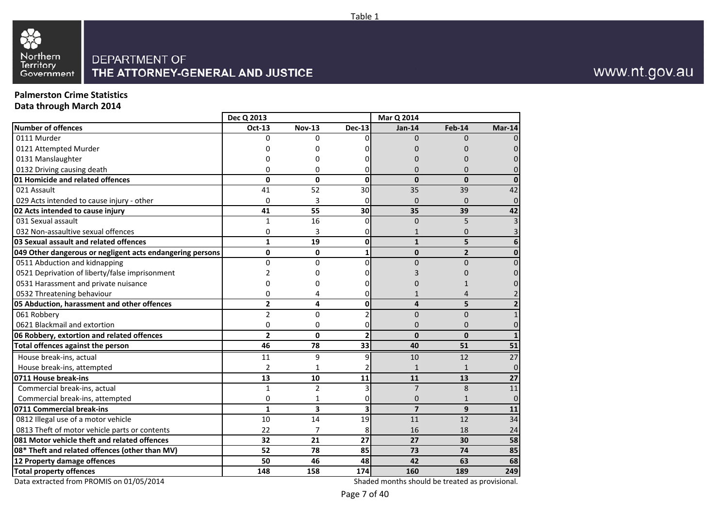

## **Palmerston Crime Statistics**

**Data through March 2014**

|                                                           | Dec Q 2013     |                |                          | Mar Q 2014              |                |                         |
|-----------------------------------------------------------|----------------|----------------|--------------------------|-------------------------|----------------|-------------------------|
| <b>Number of offences</b>                                 | Oct-13         | <b>Nov-13</b>  | <b>Dec-13</b>            | $Jan-14$                | Feb-14         | $Mar-14$                |
| 0111 Murder                                               | $\Omega$       | 0              | O.                       | $\Omega$                | $\Omega$       |                         |
| 0121 Attempted Murder                                     | O              | U              |                          | O                       | O              | $\Omega$                |
| 0131 Manslaughter                                         | O              | ი              |                          | U                       | O              |                         |
| 0132 Driving causing death                                | O              | 0              | 0                        | 0                       | 0              | $\Omega$                |
| 01 Homicide and related offences                          | $\Omega$       | $\Omega$       | $\mathbf{0}$             | $\Omega$                | $\Omega$       | $\bf{0}$                |
| 021 Assault                                               | 41             | 52             | 30                       | 35                      | 39             | 42                      |
| 029 Acts intended to cause injury - other                 | 0              | 3              | $\mathbf{0}$             | 0                       | $\mathbf{0}$   | 0                       |
| 02 Acts intended to cause injury                          | 41             | 55             | 30                       | 35                      | 39             | 42                      |
| 031 Sexual assault                                        | 1              | 16             | 0                        | $\mathbf{0}$            | 5              | 3                       |
| 032 Non-assaultive sexual offences                        | $\mathbf 0$    | 3              | 0                        | 1                       | $\mathbf{0}$   | 3                       |
| 03 Sexual assault and related offences                    | $\mathbf{1}$   | 19             | $\pmb{0}$                | $\mathbf{1}$            | 5              | $6\phantom{1}6$         |
| 049 Other dangerous or negligent acts endangering persons | $\mathbf{0}$   | 0              | 1                        | 0                       | $\overline{2}$ | $\mathbf 0$             |
| 0511 Abduction and kidnapping                             | $\Omega$       | 0              | $\Omega$                 | $\overline{0}$          | $\Omega$       | $\Omega$                |
| 0521 Deprivation of liberty/false imprisonment            | 2              | ი              | 0                        | 3                       | O              | 0                       |
| 0531 Harassment and private nuisance                      | 0              | ი              | 0                        | O                       |                | 0                       |
| 0532 Threatening behaviour                                | 0              | 4              | 0                        | 1                       | 4              | $\overline{2}$          |
| 05 Abduction, harassment and other offences               | $\overline{2}$ | 4              | $\mathbf{0}$             | 4                       | 5              | $\overline{\mathbf{2}}$ |
| 061 Robbery                                               | $\overline{2}$ | 0              | $\overline{2}$           | $\overline{0}$          | $\Omega$       | $\mathbf{1}$            |
| 0621 Blackmail and extortion                              | $\Omega$       | 0              | 0                        | $\Omega$                | $\Omega$       | 0                       |
| 06 Robbery, extortion and related offences                | $\overline{2}$ | 0              | $\overline{\phantom{a}}$ | $\mathbf 0$             | $\mathbf{0}$   | $\mathbf{1}$            |
| Total offences against the person                         | 46             | 78             | 33                       | 40                      | 51             | 51                      |
| House break-ins, actual                                   | 11             | 9              | 9                        | 10                      | 12             | 27                      |
| House break-ins, attempted                                | $\overline{2}$ | 1              |                          | $\mathbf{1}$            | $\mathbf{1}$   | $\overline{0}$          |
| 0711 House break-ins                                      | 13             | 10             | 11                       | 11                      | 13             | 27                      |
| Commercial break-ins, actual                              | $\mathbf{1}$   | $\overline{c}$ | 3                        | $\overline{7}$          | 8              | 11                      |
| Commercial break-ins, attempted                           | 0              | 1              | 0                        | 0                       | $\mathbf{1}$   | $\mathbf 0$             |
| 0711 Commercial break-ins                                 | $\mathbf{1}$   | 3              | 3                        | $\overline{\mathbf{z}}$ | 9              | 11                      |
| 0812 Illegal use of a motor vehicle                       | 10             | 14             | 19                       | 11                      | 12             | 34                      |
| 0813 Theft of motor vehicle parts or contents             | 22             | 7              | 8                        | 16                      | 18             | 24                      |
| 081 Motor vehicle theft and related offences              | 32             | 21             | 27                       | 27                      | 30             | 58                      |
| 08* Theft and related offences (other than MV)            | 52             | 78             | 85                       | 73                      | 74             | 85                      |
| 12 Property damage offences                               | 50             | 46             | 48                       | 42                      | 63             | 68                      |
| <b>Total property offences</b>                            | 148            | 158            | 174                      | 160                     | 189            | 249                     |

Data extracted from PROMIS on 01/05/2014

Shaded months should be treated as provisional.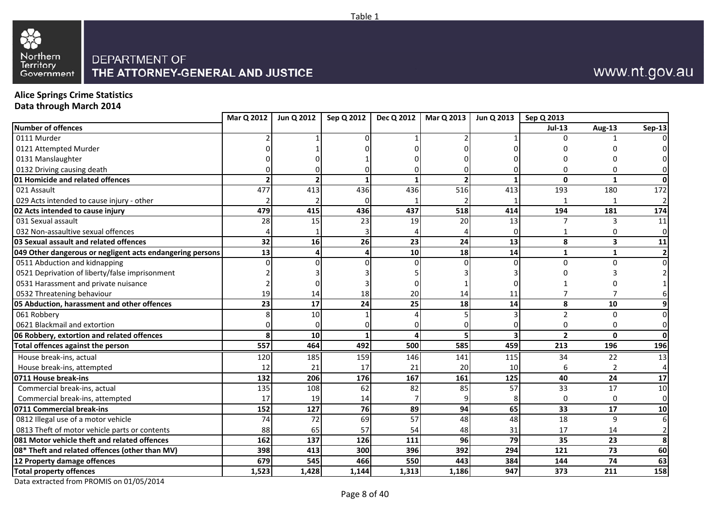



# www.nt.gov.au

## **Alice Springs Crime Statistics**

**Data through March 2014**

|                                                           | Mar Q 2012 | Jun Q 2012 | Sep Q 2012 | <b>Dec Q 2012</b> | <b>Mar Q 2013</b> | Jun Q 2013      | Sep Q 2013     |              |                |
|-----------------------------------------------------------|------------|------------|------------|-------------------|-------------------|-----------------|----------------|--------------|----------------|
| <b>Number of offences</b>                                 |            |            |            |                   |                   |                 | <b>Jul-13</b>  | Aug-13       | <b>Sep-13</b>  |
| 0111 Murder                                               |            |            |            |                   |                   |                 |                |              | ΩI             |
| 0121 Attempted Murder                                     |            |            |            |                   |                   |                 |                |              |                |
| 0131 Manslaughter                                         |            |            |            |                   |                   |                 |                |              |                |
| 0132 Driving causing death                                |            |            |            |                   |                   |                 |                |              |                |
| 01 Homicide and related offences                          |            |            |            |                   |                   |                 | 0              | 1            | 0              |
| 021 Assault                                               | 477        | 413        | 436        | 436               | 516               | 413             | 193            | 180          | 172            |
| 029 Acts intended to cause injury - other                 |            |            |            |                   |                   |                 |                | $\mathbf{1}$ | $\overline{2}$ |
| 02 Acts intended to cause injury                          | 479        | 415        | 436        | 437               | 518               | 414             | 194            | 181          | 174            |
| 031 Sexual assault                                        | 28         | 15         | 23         | 19                | 20                | 13              |                | 3            | 11             |
| 032 Non-assaultive sexual offences                        |            |            |            |                   |                   |                 |                |              | $\overline{0}$ |
| 03 Sexual assault and related offences                    | 32         | 16         | 26         | 23                | 24                | 13              | 8              | 3            | 11             |
| 049 Other dangerous or negligent acts endangering persons | 13         |            | 4          | 10                | 18                | 14              | 1              | 1            | $\mathbf{2}$   |
| 0511 Abduction and kidnapping                             |            |            |            |                   |                   |                 | <sup>0</sup>   | $\Omega$     | $\overline{0}$ |
| 0521 Deprivation of liberty/false imprisonment            |            |            |            |                   |                   |                 |                |              | $\overline{2}$ |
| 0531 Harassment and private nuisance                      |            |            |            |                   |                   |                 |                |              |                |
| 0532 Threatening behaviour                                | 19         | 14         | 18         | 20                | 14                | 11              | 7              |              | 6              |
| 05 Abduction, harassment and other offences               | 23         | 17         | 24         | 25                | 18                | 14              | 8              | 10           | 9 <sub>l</sub> |
| 061 Robbery                                               |            | 10         |            |                   |                   |                 | $\mathfrak z$  | $\Omega$     | $\overline{0}$ |
| 0621 Blackmail and extortion                              |            |            |            |                   |                   |                 | n              | O            | $\overline{0}$ |
| 06 Robbery, extortion and related offences                | 8          | 10         |            |                   |                   |                 | $\overline{2}$ | $\mathbf{0}$ | $\mathbf{0}$   |
| Total offences against the person                         | 557        | 464        | 492        | 500               | 585               | 459             | 213            | 196          | 196            |
| House break-ins, actual                                   | 120        | 185        | 159        | 146               | 141               | 115             | 34             | 22           | 13             |
| House break-ins, attempted                                | 12         | 21         | 17         | 21                | 20                | 10 <sup>1</sup> | 6              |              | $\overline{4}$ |
| 0711 House break-ins                                      | 132        | 206        | 176        | 167               | 161               | 125             | 40             | 24           | 17             |
| Commercial break-ins, actual                              | 135        | 108        | 62         | 82                | 85                | 57              | 33             | 17           | 10             |
| Commercial break-ins, attempted                           | 17         | 19         | 14         |                   |                   |                 | 0              | 0            | $\overline{0}$ |
| 0711 Commercial break-ins                                 | 152        | 127        | 76         | 89                | 94                | 65              | 33             | 17           | 10             |
| 0812 Illegal use of a motor vehicle                       | 74         | 72         | 69         | 57                | 48                | 48              | 18             | $\mathbf{q}$ | $6 \mid$       |
| 0813 Theft of motor vehicle parts or contents             | 88         | 65         | 57         | 54                | 48                | 31              | 17             | 14           | 2              |
| 081 Motor vehicle theft and related offences              | 162        | 137        | 126        | 111               | 96                | 79              | 35             | 23           | 8 <sup>1</sup> |
| 08* Theft and related offences (other than MV)            | 398        | 413        | 300        | 396               | 392               | 294             | 121            | 73           | 60             |
| 12 Property damage offences                               | 679        | 545        | 466        | 550               | 443               | 384             | 144            | 74           | 63             |
| <b>Total property offences</b>                            | 1,523      | 1,428      | 1,144      | 1,313             | 1,186             | 947             | 373            | 211          | 158            |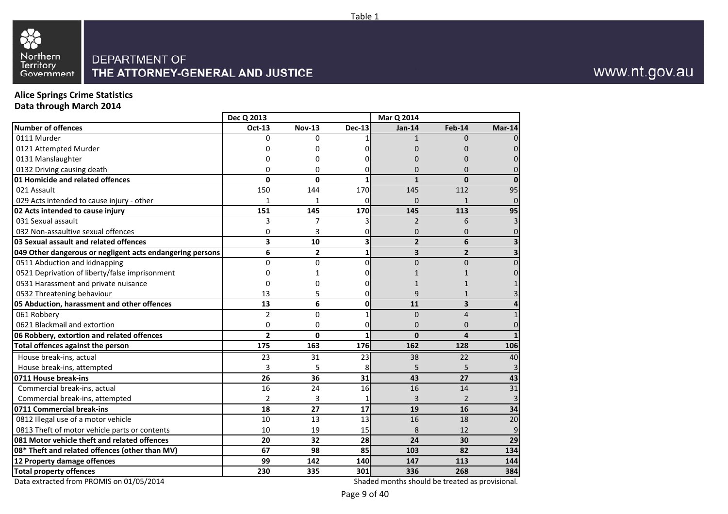

#### **Alice Springs Crime StatisticsData through March 2014**

**Number of offences** 0111 Murder 0121 Attempted Murder 0131 Manslaughter 0132 Driving causing death **01 Homicide and related offences**  021 Assault 029 Acts intended to cause injury - other**02 Acts intended to cause injury**  031 Sexual assault 032 Non-assaultive sexual offences **03 Sexual assault and related offences 049 Other dangerous or negligent acts endangering persons**  0511 Abduction and kidnapping 0521 Deprivation of liberty/false imprisonment 0531 Harassment and private nuisance 0532 Threatening behaviour **05 Abduction, harassment and other offences**  061 Robbery 0621 Blackmail and extortion **06 Robbery, extortion and related offences Total offences against the person**  House break-ins, actual House break-ins, attempted**0711 House break-ins**  Commercial break-ins, actual Commercial break-ins, attempted**0711 Commercial break-ins**  0812 Illegal use of a motor vehicle 0813 Theft of motor vehicle parts or contents **081 Motor vehicle theft and related offences 08\* Theft and related offences (other than MV)12 Property damage offencesTotal property offences Dec Q 2013Mar Q 2014**<br>**Nov-13 Dec-13 Jan-14 Oct-13 Nov-13 Dec-13 Jan-14 Feb-14 Mar-14** 00 1 1 0 0 0 <sup>0</sup> <sup>0</sup> <sup>0</sup> <sup>0</sup> <sup>0</sup> 0 <sup>0</sup> <sup>0</sup> <sup>0</sup> <sup>0</sup> <sup>0</sup>  $\Omega$ 0 0 0 0 0 0 0 **0 <sup>0</sup> <sup>1</sup> <sup>1</sup> <sup>0</sup> <sup>0</sup>** 1500 144 170 145 112 95 11 1 0 0 1 0 **151 <sup>145</sup> <sup>170</sup> <sup>145</sup> <sup>113</sup> <sup>95</sup>** 3 <sup>7</sup> <sup>3</sup> <sup>2</sup> <sup>6</sup> <sup>3</sup> 00 3 0 0 0 0 0 **3 <sup>10</sup> <sup>3</sup> <sup>2</sup> <sup>6</sup> <sup>3</sup> 6 <sup>2</sup> <sup>1</sup> <sup>3</sup> <sup>2</sup> <sup>3</sup>** 0 <sup>0</sup> <sup>0</sup> <sup>0</sup> <sup>0</sup> <sup>0</sup> 00 1 0 1 1 0 00 0 0 1 1 1 133 5 0 9 1 3 **13 <sup>6</sup> <sup>0</sup> <sup>11</sup> <sup>3</sup> <sup>4</sup>** 22 0 1 0 4 1 00 0 0 0 0 0 0 **2 <sup>0</sup> <sup>1</sup> <sup>0</sup> <sup>4</sup> <sup>1</sup> 175 <sup>163</sup> <sup>176</sup> <sup>162</sup> <sup>128</sup> <sup>106</sup>** <sup>23</sup> <sup>31</sup> <sup>23</sup> <sup>38</sup> <sup>22</sup> <sup>40</sup> $\overline{a}$ 33 5 8 5 5 3 **26 <sup>36</sup> <sup>31</sup> <sup>43</sup> <sup>27</sup> <sup>43</sup>** 16 <sup>24</sup> <sup>16</sup> <sup>16</sup> <sup>14</sup> <sup>31</sup> 22 3 1 3 2 3 **18 <sup>27</sup> <sup>17</sup> <sup>19</sup> <sup>16</sup> <sup>34</sup>** 10 <sup>13</sup> <sup>13</sup> <sup>16</sup> <sup>18</sup> <sup>20</sup> 100 19 15 8 12 9 **20 <sup>32</sup> <sup>28</sup> <sup>24</sup> <sup>30</sup> <sup>29</sup> 67 <sup>98</sup> <sup>85</sup> <sup>103</sup> <sup>82</sup> <sup>134</sup> 99 <sup>142</sup> <sup>140</sup> <sup>147</sup> <sup>113</sup> <sup>144</sup> 230<sup>335</sup> <sup>301</sup> <sup>336</sup> <sup>268</sup> <sup>384</sup>**

Data extracted from PROMIS on 01/05/2014

Shaded months should be treated as provisional.

Table 1

### www.nt.gov.au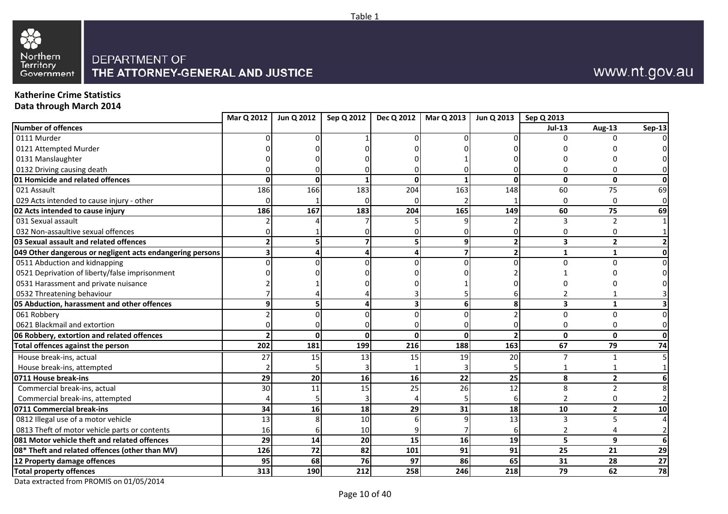



# www.nt.gov.au

## **Katherine Crime Statistics**

**Data through March 2014**

|                                                           | Mar Q 2012 | Jun Q 2012 | Sep Q 2012   | Dec Q 2012 | Mar Q 2013 | Jun Q 2013   Sep Q 2013 |                |                |                |
|-----------------------------------------------------------|------------|------------|--------------|------------|------------|-------------------------|----------------|----------------|----------------|
| Number of offences                                        |            |            |              |            |            |                         | <b>Jul-13</b>  | Aug-13         | <b>Sep-13</b>  |
| 0111 Murder                                               |            |            |              |            |            |                         | U              |                | $\Omega$       |
| 0121 Attempted Murder                                     |            |            |              |            |            |                         |                |                |                |
| 0131 Manslaughter                                         |            |            |              |            |            |                         |                |                |                |
| 0132 Driving causing death                                |            |            |              |            |            |                         |                |                | 01             |
| 01 Homicide and related offences                          | 0          |            |              |            |            | 0                       | $\mathbf{0}$   | 0              | 0              |
| 021 Assault                                               | 186        | 166        | 183          | 204        | 163        | 148                     | 60             | 75             | 69             |
| 029 Acts intended to cause injury - other                 |            |            |              |            |            |                         | U              | O              | $\overline{0}$ |
| 02 Acts intended to cause injury                          | 186        | 167        | 183          | 204        | 165        | 149                     | 60             | 75             | 69             |
| 031 Sexual assault                                        |            |            |              |            |            |                         | 3              | 2              |                |
| 032 Non-assaultive sexual offences                        |            |            |              |            |            |                         |                | 0              |                |
| 03 Sexual assault and related offences                    |            |            |              |            |            |                         | 3              | $\overline{2}$ | 2 <sub>1</sub> |
| 049 Other dangerous or negligent acts endangering persons |            |            |              |            |            |                         | 1              | 1              | 0              |
| 0511 Abduction and kidnapping                             |            |            |              |            |            |                         | U              | $\Omega$       | $\overline{0}$ |
| 0521 Deprivation of liberty/false imprisonment            |            |            |              |            |            |                         |                |                | $\Omega$       |
| 0531 Harassment and private nuisance                      |            |            |              |            |            |                         |                |                | ΩI             |
| 0532 Threatening behaviour                                |            |            |              |            |            |                         |                |                |                |
| 05 Abduction, harassment and other offences               |            |            |              |            |            | 8                       | 3              | $\mathbf{1}$   | $\mathbf{3}$   |
| 061 Robbery                                               |            |            |              |            |            |                         | U              | $\Omega$       | $\overline{0}$ |
| 0621 Blackmail and extortion                              |            |            |              |            |            |                         | U              | O              | 0              |
| 06 Robbery, extortion and related offences                |            |            | $\mathbf{0}$ | ŋ          | ŋ          |                         | $\mathbf{0}$   | $\mathbf{0}$   | 0              |
| Total offences against the person                         | 202        | 181        | 199          | 216        | 188        | 163                     | 67             | 79             | 74             |
| House break-ins, actual                                   | 27         | 15         | 13           | 15         | 19         | 20                      | 7              | 1              | 5 <sup>1</sup> |
| House break-ins, attempted                                |            |            |              |            |            |                         |                |                |                |
| 0711 House break-ins                                      | 29         | 20         | 16           | 16         | 22         | 25                      | 8              | $\overline{2}$ | 6              |
| Commercial break-ins, actual                              | 30         | 11         | 15           | 25         | 26         | 12                      | 8              | 2              | 8 <sup>1</sup> |
| Commercial break-ins, attempted                           |            |            |              |            |            |                         | 2              | O              | $\overline{2}$ |
| 0711 Commercial break-ins                                 | 34         | 16         | 18           | 29         | 31         | 18                      | 10             | $\overline{2}$ | 10             |
| 0812 Illegal use of a motor vehicle                       | 13         |            | 10           |            |            | 13                      | 3              | $\overline{5}$ | $\overline{4}$ |
| 0813 Theft of motor vehicle parts or contents             | 16         |            | 10           |            |            |                         | $\mathfrak{p}$ |                | $\overline{2}$ |
| 081 Motor vehicle theft and related offences              | 29         | 14         | 20           | 15         | 16         | 19                      | 5.             | 9              | 6 <sup>1</sup> |
| 08* Theft and related offences (other than MV)            | 126        | 72         | 82           | 101        | 91         | 91                      | 25             | 21             | 29             |
| 12 Property damage offences                               | 95         | 68         | 76           | 97         | 86         | 65                      | 31             | 28             | 27             |
| <b>Total property offences</b>                            | 313        | 190        | 212          | 258        | 246        | 218                     | 79             | 62             | 78             |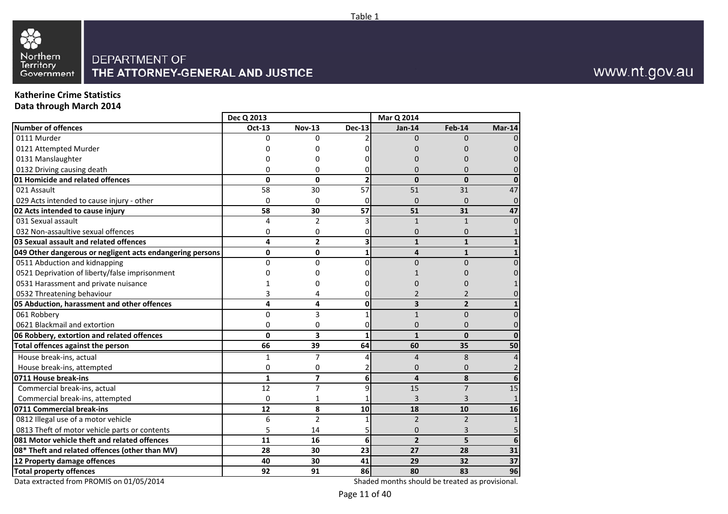

### **Katherine Crime Statistics**

**Data through March 2014**

|                                                           | Dec Q 2013    |                          |                          | Mar Q 2014     |                |                |
|-----------------------------------------------------------|---------------|--------------------------|--------------------------|----------------|----------------|----------------|
| <b>Number of offences</b>                                 | <b>Oct-13</b> | <b>Nov-13</b>            | $Dec-13$                 | $Jan-14$       | Feb-14         | <b>Mar-14</b>  |
| 0111 Murder                                               | $\Omega$      | 0                        |                          | $\Omega$       | $\Omega$       |                |
| 0121 Attempted Murder                                     | O             | ŋ                        |                          |                |                |                |
| 0131 Manslaughter                                         |               | 0                        |                          |                |                |                |
| 0132 Driving causing death                                | 0             | 0                        | 0                        |                | 0              |                |
| 01 Homicide and related offences                          | $\mathbf{0}$  | 0                        | $\overline{\phantom{a}}$ | $\Omega$       | $\Omega$       |                |
| 021 Assault                                               | 58            | 30                       | 57                       | 51             | 31             | 47             |
| 029 Acts intended to cause injury - other                 | $\Omega$      | $\Omega$                 | $\Omega$                 | $\Omega$       | $\Omega$       | $\Omega$       |
| 02 Acts intended to cause injury                          | 58            | 30                       | 57                       | 51             | 31             | 47             |
| 031 Sexual assault                                        | 4             | $\overline{2}$           | 3                        | $\mathbf{1}$   | $\mathbf{1}$   | $\Omega$       |
| 032 Non-assaultive sexual offences                        | 0             | 0                        | 0                        | $\overline{0}$ | $\Omega$       | $\mathbf{1}$   |
| 03 Sexual assault and related offences                    | 4             | $\overline{2}$           | 3                        | $\mathbf{1}$   | $\mathbf{1}$   | $\mathbf{1}$   |
| 049 Other dangerous or negligent acts endangering persons | $\mathbf{0}$  | 0                        | $\mathbf{1}$             | 4              | $\mathbf{1}$   | $\mathbf{1}$   |
| 0511 Abduction and kidnapping                             | $\Omega$      | 0                        | $\Omega$                 | $\overline{0}$ | $\Omega$       | $\Omega$       |
| 0521 Deprivation of liberty/false imprisonment            | 0             | O                        | 0                        | 1              |                |                |
| 0531 Harassment and private nuisance                      |               | 0                        | 0                        | $\Omega$       |                |                |
| 0532 Threatening behaviour                                | 3             | 4                        | 0                        | $\overline{2}$ | 2              |                |
| 05 Abduction, harassment and other offences               | 4             | 4                        | 0                        | 3              | $\overline{2}$ | $\mathbf{1}$   |
| 061 Robbery                                               | $\Omega$      | 3                        | 1                        | $\mathbf{1}$   | $\Omega$       | $\Omega$       |
| 0621 Blackmail and extortion                              | 0             | 0                        | 0                        | 0              | 0              | 0              |
| 06 Robbery, extortion and related offences                | $\Omega$      | 3                        | 1                        | $\mathbf{1}$   | $\mathbf{0}$   | $\bf{0}$       |
| Total offences against the person                         | 66            | 39                       | 64                       | 60             | 35             | 50             |
| House break-ins, actual                                   | 1             | 7                        | 4                        | 4              | 8              | 4              |
| House break-ins, attempted                                | $\Omega$      | 0                        | 2                        | $\Omega$       | $\Omega$       | $\overline{2}$ |
| 0711 House break-ins                                      | $\mathbf{1}$  | $\overline{\phantom{a}}$ | 6                        | 4              | 8              | 6              |
| Commercial break-ins, actual                              | 12            | $\overline{7}$           | 9                        | 15             | $\overline{7}$ | 15             |
| Commercial break-ins, attempted                           | $\Omega$      | 1                        | 1                        | 3              | 3              | $\mathbf{1}$   |
| 0711 Commercial break-ins                                 | 12            | 8                        | 10                       | 18             | 10             | 16             |
| 0812 Illegal use of a motor vehicle                       | 6             | $\overline{2}$           | 1                        | $\overline{2}$ | $\overline{2}$ | $\mathbf{1}$   |
| 0813 Theft of motor vehicle parts or contents             | 5             | 14                       | 5                        | $\Omega$       | 3              | 5              |
| 081 Motor vehicle theft and related offences              | 11            | 16                       | 6                        | $\overline{2}$ | 5              | 6              |
| 08* Theft and related offences (other than MV)            | 28            | 30                       | 23                       | 27             | 28             | 31             |
| 12 Property damage offences                               | 40            | 30                       | 41                       | 29             | 32             | 37             |
| <b>Total property offences</b>                            | 92            | 91                       | 86                       | 80             | 83             | 96             |

Data extracted from PROMIS on 01/05/2014

Shaded months should be treated as provisional.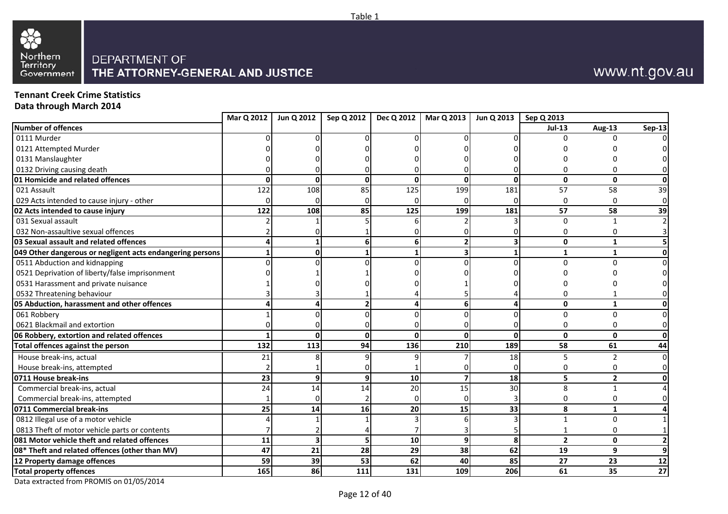



### www.nt.gov.au

**Tennant Creek Crime StatisticsData through March 2014**

**Mar Q 2012 Jun Q 2012 Sep Q 2012 Dec Q 2012 Mar Q 2013 Jun Q 2013 Sep Q 2013 Number of offences Jul-13 Aug-13 Sep-13** 0111 Murderr de la component de la component de la component de la component de la component de la component de la component d 0 0 0 0 0 0 0 0 0 0121 Attempted Murderr 0 0 0 0 0 0 0 0 0 0 0131 Manslaughterr 0 0 0 0 0 0 0 0 0 0 0132 Driving causing death <sup>0</sup> <sup>0</sup> <sup>0</sup> <sup>0</sup> <sup>0</sup> <sup>0</sup> <sup>0</sup> <sup>0</sup> <sup>0</sup> **01 Homicide and related offences 1 1 1 1 1 1 1 1 <sup>0</sup> <sup>0</sup> <sup>0</sup> <sup>0</sup> <sup>0</sup> <sup>0</sup> <sup>0</sup> <sup>0</sup>** 021 Assaultt 122 2 108 85 125 199 181 57 58 39 029 Acts intended to cause injury - other<u>r 0</u> 0 0 0 0 0 0 0 0 0 0 **02 Acts intended to cause injury 122 <sup>108</sup> <sup>85</sup> <sup>125</sup> <sup>199</sup> <sup>181</sup> <sup>57</sup> <sup>58</sup> <sup>39</sup>** 031 Sexual assaultt and the contract of the contract of the contract of the contract of the contract of the contract of the contract of the contract of the contract of the contract of the contract of the contract of the contract of the cont 2 1 5 6 2 3 0 1 2 032 Non-assaultive sexual offences $\sim$  2 2 0 1 0 0 0 0 0 0 0 **03 Sexual assault and related offences 4 <sup>1</sup> <sup>6</sup> <sup>6</sup> <sup>2</sup> <sup>3</sup> <sup>0</sup> <sup>1</sup> <sup>5</sup> 049 Other dangerous or negligent acts endangering persons 1 <sup>0</sup> <sup>1</sup> <sup>1</sup> <sup>3</sup> <sup>1</sup> <sup>1</sup> <sup>1</sup> <sup>0</sup>** 0511 Abduction and kidnapping <sup>0</sup>0 0 0 0 0 0 0 0 0 0521 Deprivation of liberty/false imprisonmentt 0 0 1 1 0 0 0 0 0 0 0531 Harassment and private nuisancee 1 1 0 0 0 1 0 0 0 0 0532 Threatening behaviour $\sim$  3 3 3 1 4 5 4 0 1 0 **05 Abduction, harassment and other offences 4 <sup>4</sup> <sup>2</sup> <sup>4</sup> <sup>6</sup> <sup>4</sup> <sup>0</sup> <sup>1</sup> <sup>0</sup>** 061 Robbery 1 0 0 0 0 0 0 0 0 0621 Blackmail and extortionn 0 0 0 0 0 0 0 0 0 0 0 0 0 **06 Robbery, extortion and related offences 1 <sup>0</sup> <sup>0</sup> <sup>0</sup> <sup>0</sup> <sup>0</sup> <sup>0</sup> <sup>0</sup> <sup>0</sup> Total offences against the person 132 <sup>113</sup> <sup>94</sup> <sup>136</sup> <sup>210</sup> <sup>189</sup> <sup>58</sup> <sup>61</sup> <sup>44</sup>** House break-ins, actual1 21 8 9 9 7 18 5 2 0  $\Omega$  House break-ins, attemptedd 2 <mark>1</mark> 0 1 0 0 0 0 0 **0711 House break-ins 23 <sup>9</sup> <sup>9</sup> <sup>10</sup> <sup>7</sup> <sup>18</sup> <sup>5</sup> <sup>2</sup> <sup>0</sup>** Commercial break-ins, actual 244 14 20 15 30 8 1 4 Commercial break-ins, attemptedd 1| 0| 2| 0| 0| 3| 0 0 0 **0711 Commercial break-ins 25 <sup>14</sup> <sup>16</sup> <sup>20</sup> <sup>15</sup> <sup>33</sup> <sup>8</sup> <sup>1</sup> <sup>4</sup>** 0812 Illegal use of a motor vehiclee 4 4 1 1 3 6 3 1 0 1 0813 Theft of motor vehicle parts or contents $\sim$  7 7 2 4 7 3 5 1 0 1 **081 Motor vehicle theft and related offences11 <sup>3</sup> <sup>5</sup> <sup>10</sup> <sup>9</sup> <sup>8</sup> <sup>2</sup> <sup>0</sup> <sup>2</sup> 08\* Theft and related offences (other than MV) <sup>47</sup> <sup>21</sup> <sup>28</sup> <sup>29</sup> <sup>38</sup> <sup>62</sup> <sup>19</sup> <sup>9</sup> <sup>9</sup> 12 Property damage offences59 <sup>39</sup> <sup>53</sup> <sup>62</sup> <sup>40</sup> <sup>85</sup> <sup>27</sup> <sup>23</sup> <sup>12</sup> Total property offences** 165 **<sup>86</sup> <sup>111</sup> <sup>131</sup> <sup>109</sup> <sup>206</sup> <sup>61</sup> <sup>35</sup> <sup>27</sup>**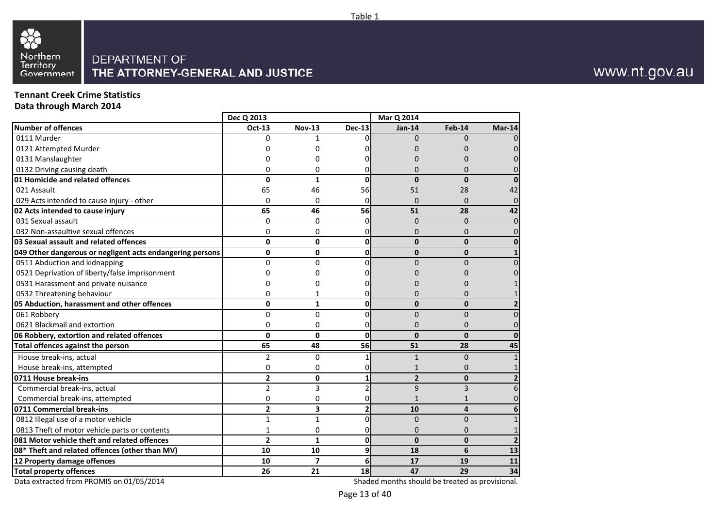

#### **Tennant Creek Crime StatisticsData through March 2014**

**Number of offences** 0111 Murder 0121 Attempted Murder 0131 Manslaughter 0132 Driving causing death **01 Homicide and related offences**  021 Assault 029 Acts intended to cause injury - other**02 Acts intended to cause injury**  031 Sexual assault 032 Non-assaultive sexual offences **03 Sexual assault and related offences 049 Other dangerous or negligent acts endangering persons**  0511 Abduction and kidnapping 0521 Deprivation of liberty/false imprisonment 0531 Harassment and private nuisance 0532 Threatening behaviour **05 Abduction, harassment and other offences**  061 Robbery 0621 Blackmail and extortion **06 Robbery, extortion and related offences Total offences against the person**  House break-ins, actual House break-ins, attempted**0711 House break-ins**  Commercial break-ins, actual Commercial break-ins, attempted**0711 Commercial break-ins**  0812 Illegal use of a motor vehicle 0813 Theft of motor vehicle parts or contents **081 Motor vehicle theft and related offences 08\* Theft and related offences (other than MV)12 Property damage offencesTotal property offences Dec Q 2013Mar Q 2014**<br>**Nov-13 Dec-13 Jan-14 Oct-13 Nov-13 Dec-13 Jan-14 Feb-14 Mar-14** 0 <sup>1</sup> <sup>0</sup> <sup>0</sup> <sup>0</sup> <sup>0</sup> 0 <sup>0</sup> <sup>0</sup> <sup>0</sup> <sup>0</sup> <sup>0</sup> 0 <sup>0</sup> <sup>0</sup> <sup>0</sup> <sup>0</sup> <sup>0</sup>  $\Omega$ 0 0 0 0 0 0 0 **0 <sup>1</sup> <sup>0</sup> <sup>0</sup> <sup>0</sup> <sup>0</sup>** 65 <sup>46</sup> <sup>56</sup> <sup>51</sup> <sup>28</sup> <sup>42</sup> 00 0 0 0 0 0 0 **65 <sup>46</sup> <sup>56</sup> <sup>51</sup> <sup>28</sup> <sup>42</sup>** 0 <sup>0</sup> <sup>0</sup> <sup>0</sup> <sup>0</sup> <sup>0</sup>  $\Omega$ 0 0 0 0 0 0 0 **0 <sup>0</sup> <sup>0</sup> <sup>0</sup> <sup>0</sup> <sup>0</sup> 0 <sup>0</sup> <sup>0</sup> <sup>0</sup> <sup>0</sup> <sup>1</sup>** 0 <sup>0</sup> <sup>0</sup> <sup>0</sup> <sup>0</sup> <sup>0</sup> 0 <sup>0</sup> <sup>0</sup> <sup>0</sup> <sup>0</sup> <sup>0</sup> 00 0 0 0 1 00 0 0 0 1 **0 <sup>1</sup> <sup>0</sup> <sup>0</sup> <sup>0</sup> <sup>2</sup>** 0 <sup>0</sup> <sup>0</sup> <sup>0</sup> <sup>0</sup> <sup>0</sup> 00 0 0 0 0 0 0 **0 <sup>0</sup> <sup>0</sup> <sup>0</sup> <sup>0</sup> <sup>0</sup> 65 <sup>48</sup> <sup>56</sup> <sup>51</sup> <sup>28</sup> <sup>45</sup>** 2 0 1 1 0 1 00 0 1 0 1 **2 <sup>0</sup> <sup>1</sup> <sup>2</sup> <sup>0</sup> <sup>2</sup>** 2 <sup>3</sup> <sup>2</sup> <sup>9</sup> <sup>3</sup> <sup>6</sup> 00 0 1 1 0 **2 <sup>3</sup> <sup>2</sup> <sup>10</sup> <sup>4</sup> <sup>6</sup>** 11 0 0 0 1 11 0 0 0 0 0 1 **2 <sup>1</sup> <sup>0</sup> <sup>0</sup> <sup>0</sup> <sup>2</sup> 10 <sup>10</sup> <sup>9</sup> <sup>18</sup> <sup>6</sup> <sup>13</sup> 10 <sup>7</sup> <sup>6</sup> <sup>17</sup> <sup>19</sup> <sup>11</sup> 26<sup>21</sup> <sup>18</sup> <sup>47</sup> <sup>29</sup> <sup>34</sup>**

Data extracted from PROMIS on 01/05/2014

Shaded months should be treated as provisional.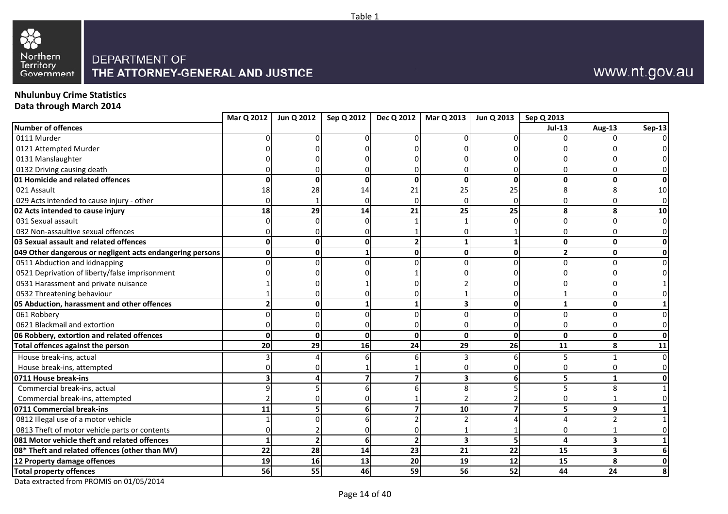



# www.nt.gov.au

## **Nhulunbuy Crime Statistics**

**Data through March 2014**

|                                                           |                 | Mar Q 2012   Jun Q 2012 | Sep Q 2012   |          | Dec Q 2012   Mar Q 2013 | Jun Q 2013   Sep Q 2013 |                |                         |                |
|-----------------------------------------------------------|-----------------|-------------------------|--------------|----------|-------------------------|-------------------------|----------------|-------------------------|----------------|
| Number of offences                                        |                 |                         |              |          |                         |                         | <b>Jul-13</b>  | Aug-13                  | Sep-13         |
| 0111 Murder                                               |                 |                         |              |          |                         |                         | U              |                         | $\Omega$       |
| 0121 Attempted Murder                                     |                 |                         |              |          |                         |                         |                |                         |                |
| 0131 Manslaughter                                         |                 |                         |              |          |                         |                         |                |                         |                |
| 0132 Driving causing death                                |                 |                         |              |          |                         |                         |                |                         | 0              |
| 01 Homicide and related offences                          | $\mathbf{0}$    | O                       | $\mathbf 0$  | O        | <sup>0</sup>            | $\mathbf{0}$            | 0              | $\mathbf 0$             | $\mathbf{0}$   |
| 021 Assault                                               | 18              | 28                      | 14           | 21       | 25                      | 25                      | 8              | $\mathsf{\mathsf{R}}$   | 10             |
| 029 Acts intended to cause injury - other                 |                 |                         |              | $\Omega$ |                         |                         | U              |                         | $\overline{0}$ |
| 02 Acts intended to cause injury                          | 18              | 29                      | 14           | 21       | 25                      | 25                      | 8              | 8                       | 10             |
| 031 Sexual assault                                        |                 |                         |              |          |                         |                         | 0              | $\Omega$                | $\overline{0}$ |
| 032 Non-assaultive sexual offences                        |                 |                         |              |          |                         |                         | U              | 0                       | $\overline{0}$ |
| 03 Sexual assault and related offences                    | O               |                         | $\mathbf{0}$ |          |                         |                         | 0              | $\Omega$                | $\mathbf{0}$   |
| 049 Other dangerous or negligent acts endangering persons | Ω               |                         |              |          | ŋ                       | 0                       | $\overline{2}$ | 0                       | $\mathbf{0}$   |
| 0511 Abduction and kidnapping                             |                 |                         |              |          |                         |                         | U              | ∩                       | $\overline{0}$ |
| 0521 Deprivation of liberty/false imprisonment            |                 |                         |              |          |                         |                         |                |                         | 0              |
| 0531 Harassment and private nuisance                      |                 |                         |              |          |                         |                         |                |                         |                |
| 0532 Threatening behaviour                                |                 |                         |              |          |                         |                         |                |                         | 0              |
| 05 Abduction, harassment and other offences               |                 | U                       |              |          |                         | $\Omega$                | 1              | $\mathbf{0}$            | $\mathbf{1}$   |
| 061 Robbery                                               |                 |                         |              |          |                         |                         | 0              | $\Omega$                | $\overline{0}$ |
| 0621 Blackmail and extortion                              |                 |                         |              |          |                         |                         | U              | 0                       | $\overline{0}$ |
| 06 Robbery, extortion and related offences                | $\mathbf{0}$    | U                       | $\mathbf{0}$ | O        | $\Omega$                | $\mathbf{0}$            | $\mathbf{0}$   | $\mathbf{0}$            | $\mathbf{0}$   |
| Total offences against the person                         | $\overline{20}$ | 29                      | 16           | 24       | 29                      | $\overline{26}$         | 11             | 8                       | 11             |
| House break-ins, actual                                   |                 |                         |              |          |                         |                         | 5              | $\mathbf{1}$            | $\overline{0}$ |
| House break-ins, attempted                                |                 |                         |              |          |                         |                         | U              | O                       | $\overline{0}$ |
| 0711 House break-ins                                      |                 |                         |              |          |                         |                         | 5              | 1                       | 0              |
| Commercial break-ins, actual                              |                 |                         |              |          |                         |                         | 5              | 8                       | 1 <sup>1</sup> |
| Commercial break-ins, attempted                           |                 |                         |              |          |                         |                         |                |                         | $\overline{0}$ |
| 0711 Commercial break-ins                                 | 11              |                         | 6            |          | 10                      |                         | 5              | 9                       | 1 <sup>1</sup> |
| 0812 Illegal use of a motor vehicle                       |                 |                         |              |          |                         |                         | Δ              | $\mathcal{D}$           | 1 <sup>1</sup> |
| 0813 Theft of motor vehicle parts or contents             |                 |                         |              |          |                         |                         | U              |                         | $\overline{0}$ |
| 081 Motor vehicle theft and related offences              |                 |                         | $6 \mid$     |          |                         |                         | 4              | $\overline{\mathbf{3}}$ | $1\vert$       |
| 08* Theft and related offences (other than MV)            | 22              | 28                      | 14           | 23       | 21                      | 22                      | 15             | 3                       | 6 <sup>1</sup> |
| 12 Property damage offences                               | 19              | 16                      | 13           | 20       | 19                      | 12                      | 15             | 8                       | 0              |
| <b>Total property offences</b>                            | 56              | 55                      | 46           | 59       | 56                      | 52                      | 44             | 24                      | 8 <sup>1</sup> |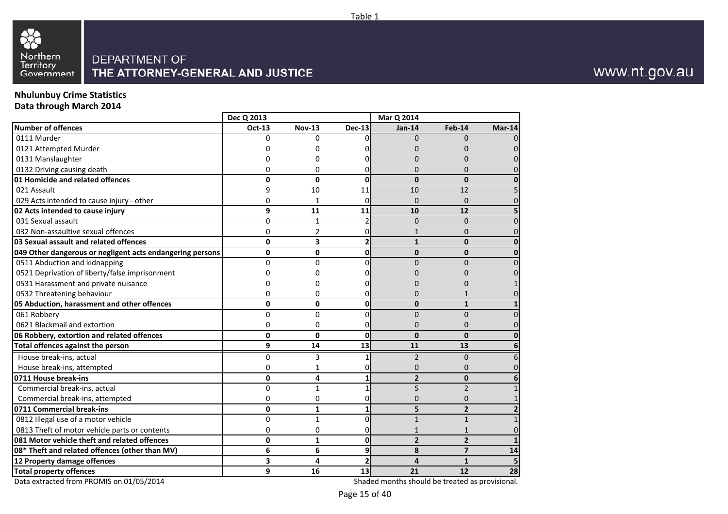

# **Nhulunbuy Crime Statistics**

**Data through March 2014**

|                                                           | Dec Q 2013    |                         |                 | Mar Q 2014     |                |              |
|-----------------------------------------------------------|---------------|-------------------------|-----------------|----------------|----------------|--------------|
| <b>Number of offences</b>                                 | <b>Oct-13</b> | <b>Nov-13</b>           | <b>Dec-13</b>   | <b>Jan-14</b>  | Feb-14         | $Mar-14$     |
| 0111 Murder                                               | $\Omega$      | $\Omega$                | O.              | $\Omega$       | $\Omega$       | 0            |
| 0121 Attempted Murder                                     | U             | ŋ                       |                 | U              | <sup>0</sup>   |              |
| 0131 Manslaughter                                         |               |                         |                 |                |                |              |
| 0132 Driving causing death                                | ŋ             | 0                       | 0               | O              | 0              |              |
| 01 Homicide and related offences                          | $\mathbf{0}$  | 0                       | 0               | $\mathbf 0$    | $\mathbf{0}$   |              |
| 021 Assault                                               | 9             | 10                      | 11              | 10             | 12             |              |
| 029 Acts intended to cause injury - other                 | 0             | 1                       | 0               | $\mathbf 0$    | 0              |              |
| 02 Acts intended to cause injury                          | 9             | 11                      | 11              | 10             | 12             |              |
| 031 Sexual assault                                        | 0             | $\mathbf{1}$            | 2               | $\mathbf 0$    | $\Omega$       |              |
| 032 Non-assaultive sexual offences                        | $\Omega$      | 2                       | 0               | 1              | $\Omega$       | O            |
| 03 Sexual assault and related offences                    | $\mathbf{0}$  | $\overline{\mathbf{3}}$ | $\overline{2}$  | $\mathbf{1}$   | $\Omega$       | $\Omega$     |
| 049 Other dangerous or negligent acts endangering persons | $\mathbf{0}$  | $\Omega$                | 0               | $\mathbf{0}$   | $\Omega$       | $\Omega$     |
| 0511 Abduction and kidnapping                             | $\Omega$      | $\Omega$                | 0               | $\Omega$       | $\Omega$       |              |
| 0521 Deprivation of liberty/false imprisonment            | 0             | ი                       |                 |                |                |              |
| 0531 Harassment and private nuisance                      | U             |                         |                 |                |                |              |
| 0532 Threatening behaviour                                | 0             | 0                       | 0               | 0              |                |              |
| 05 Abduction, harassment and other offences               | $\mathbf{0}$  | 0                       | 0               | 0              | $\mathbf{1}$   |              |
| 061 Robbery                                               | $\Omega$      | $\Omega$                | 0               | $\Omega$       | $\Omega$       | $\Omega$     |
| 0621 Blackmail and extortion                              | 0             | 0                       | 0               | $\Omega$       | 0              | 0            |
| 06 Robbery, extortion and related offences                | $\mathbf{0}$  | $\mathbf{0}$            | $\mathbf{0}$    | $\mathbf 0$    | $\mathbf{0}$   | $\mathbf{0}$ |
| Total offences against the person                         | 9             | 14                      | $\overline{13}$ | 11             | 13             | 6            |
| House break-ins, actual                                   | $\Omega$      | 3                       | 1               | $\overline{2}$ | $\Omega$       | 6            |
| House break-ins, attempted                                | $\Omega$      | 1                       | 0               | $\Omega$       | 0              |              |
| 0711 House break-ins                                      | 0             | 4                       | 1               | $\overline{2}$ | $\mathbf{0}$   | 6            |
| Commercial break-ins, actual                              | $\Omega$      | $\mathbf{1}$            | 1               | 5              | $\mathfrak{p}$ | $\mathbf{1}$ |
| Commercial break-ins, attempted                           | 0             | 0                       | 0               | 0              | 0              | $\mathbf{1}$ |
| 0711 Commercial break-ins                                 | $\mathbf{0}$  | $\mathbf{1}$            | 1               | 5              | $\overline{2}$ | $\mathbf{2}$ |
| 0812 Illegal use of a motor vehicle                       | 0             | $\mathbf{1}$            | 0               | $\mathbf{1}$   | $\mathbf{1}$   | $\mathbf{1}$ |
| 0813 Theft of motor vehicle parts or contents             | 0             | 0                       | 01              |                |                | 0            |
| 081 Motor vehicle theft and related offences              | 0             | $\mathbf{1}$            | 0               | $\overline{2}$ | $\overline{2}$ | $\mathbf{1}$ |
| 08* Theft and related offences (other than MV)            | 6             | 6                       | 9               | 8              | $\overline{ }$ | 14           |
| 12 Property damage offences                               | 3             | 4                       | $\overline{2}$  | 4              | $\mathbf{1}$   | 5            |
| <b>Total property offences</b>                            | 9             | 16                      | 13 <sup>1</sup> | 21             | 12             | 28           |

Data extracted from PROMIS on 01/05/2014

Shaded months should be treated as provisional.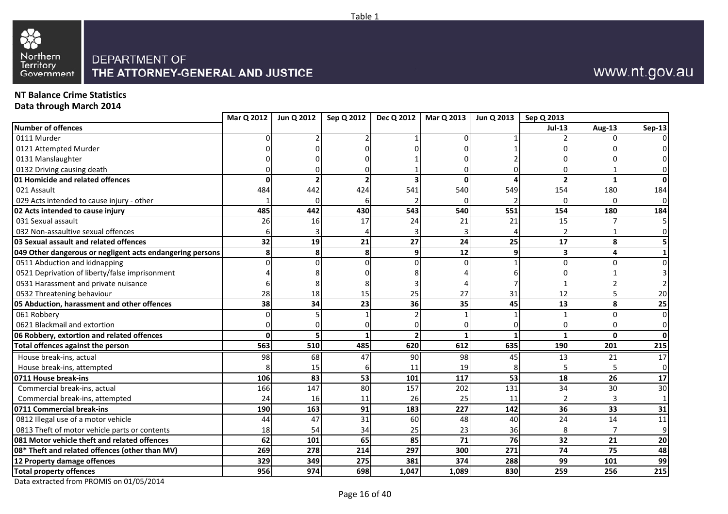



# www.nt.gov.au

### **NT Balance Crime Statistics**

**Data through March 2014**

| Number of offences<br>$Jul-13$<br><b>Aug-13</b><br>0111 Murder<br>0121 Attempted Murder<br>0131 Manslaughter<br>0132 Driving causing death<br>01 Homicide and related offences<br>$\overline{2}$<br>O<br>0<br>$\mathbf{1}$<br>484<br>442<br>541<br>540<br>549<br>021 Assault<br>424<br>154<br>180<br>029 Acts intended to cause injury - other<br>0<br>$\Omega$<br>485<br>442<br>430<br>543<br>540<br>551<br>02 Acts intended to cause injury<br>154<br>180<br>15<br>031 Sexual assault<br>26<br>17<br>24<br>21<br>21<br>16<br>032 Non-assaultive sexual offences<br>2<br>27<br>25<br>03 Sexual assault and related offences<br>32<br>19<br>21<br>24<br>17<br>8<br>9<br>049 Other dangerous or negligent acts endangering persons<br>8<br>8<br>12<br>$\mathbf{9}$<br>3<br>4<br>0511 Abduction and kidnapping<br>0<br>$\Omega$<br>0521 Deprivation of liberty/false imprisonment<br>0531 Harassment and private nuisance<br>0532 Threatening behaviour<br>28<br>25<br>27<br>12<br>18<br>15<br>31<br>45<br>38<br>34<br>23<br>36<br>13<br>35<br>8<br>05 Abduction, harassment and other offences<br>061 Robbery<br>$\Omega$<br>0621 Blackmail and extortion<br>0<br>∩<br>06 Robbery, extortion and related offences<br>$\mathbf{1}$<br>$\mathbf{0}$<br>ŋ<br>563<br>485<br>620<br>612<br>635<br>Total offences against the person<br>510<br>190<br>201<br>House break-ins, actual<br>98<br>68<br>90<br>98<br>45<br>47<br>13<br>21<br>House break-ins, attempted<br>19<br>15<br>11<br>53<br>53<br>18<br>0711 House break-ins<br>106<br>83<br>101<br>117<br>26<br>166<br>147<br>157<br>131<br>80<br>202<br>34<br>30<br>Commercial break-ins, actual<br>Commercial break-ins, attempted<br>24<br>26<br>25<br>11<br>$\mathfrak{p}$<br>16<br>11<br>3<br>0711 Commercial break-ins<br>91<br>183<br>227<br>142<br>36<br>33<br>190<br>163<br>0812 Illegal use of a motor vehicle<br>31<br>60<br>40<br>24<br>14<br>44<br>47<br>48<br>18<br>36<br>8<br>0813 Theft of motor vehicle parts or contents<br>54<br>34<br>25<br>23<br>7<br>85<br>76<br>081 Motor vehicle theft and related offences<br>62<br>101<br>65<br>71<br>32<br>21<br>297<br>300<br>271<br>74<br>08* Theft and related offences (other than MV)<br>269<br>278<br>214<br>75<br>99<br>329<br>349<br>275<br>381<br>374<br>288<br>12 Property damage offences<br>101<br>830<br><b>Total property offences</b><br>956<br>974<br>698<br>1,047<br>1,089<br>259<br>256 | Mar Q 2012 | Jun Q 2012 | Sep Q 2012 | Dec Q 2012 | Mar Q 2013 | Jun Q 2013 | Sep Q 2013 |                 |
|------------------------------------------------------------------------------------------------------------------------------------------------------------------------------------------------------------------------------------------------------------------------------------------------------------------------------------------------------------------------------------------------------------------------------------------------------------------------------------------------------------------------------------------------------------------------------------------------------------------------------------------------------------------------------------------------------------------------------------------------------------------------------------------------------------------------------------------------------------------------------------------------------------------------------------------------------------------------------------------------------------------------------------------------------------------------------------------------------------------------------------------------------------------------------------------------------------------------------------------------------------------------------------------------------------------------------------------------------------------------------------------------------------------------------------------------------------------------------------------------------------------------------------------------------------------------------------------------------------------------------------------------------------------------------------------------------------------------------------------------------------------------------------------------------------------------------------------------------------------------------------------------------------------------------------------------------------------------------------------------------------------------------------------------------------------------------------------------------------------------------------------------------------------------------------------------------------------------------------------------------------------------------------------------------------------------------------------------------------------------------------------------------------------|------------|------------|------------|------------|------------|------------|------------|-----------------|
|                                                                                                                                                                                                                                                                                                                                                                                                                                                                                                                                                                                                                                                                                                                                                                                                                                                                                                                                                                                                                                                                                                                                                                                                                                                                                                                                                                                                                                                                                                                                                                                                                                                                                                                                                                                                                                                                                                                                                                                                                                                                                                                                                                                                                                                                                                                                                                                                                  |            |            |            |            |            |            |            | <b>Sep-13</b>   |
|                                                                                                                                                                                                                                                                                                                                                                                                                                                                                                                                                                                                                                                                                                                                                                                                                                                                                                                                                                                                                                                                                                                                                                                                                                                                                                                                                                                                                                                                                                                                                                                                                                                                                                                                                                                                                                                                                                                                                                                                                                                                                                                                                                                                                                                                                                                                                                                                                  |            |            |            |            |            |            |            | $\Omega$        |
|                                                                                                                                                                                                                                                                                                                                                                                                                                                                                                                                                                                                                                                                                                                                                                                                                                                                                                                                                                                                                                                                                                                                                                                                                                                                                                                                                                                                                                                                                                                                                                                                                                                                                                                                                                                                                                                                                                                                                                                                                                                                                                                                                                                                                                                                                                                                                                                                                  |            |            |            |            |            |            |            |                 |
|                                                                                                                                                                                                                                                                                                                                                                                                                                                                                                                                                                                                                                                                                                                                                                                                                                                                                                                                                                                                                                                                                                                                                                                                                                                                                                                                                                                                                                                                                                                                                                                                                                                                                                                                                                                                                                                                                                                                                                                                                                                                                                                                                                                                                                                                                                                                                                                                                  |            |            |            |            |            |            |            |                 |
|                                                                                                                                                                                                                                                                                                                                                                                                                                                                                                                                                                                                                                                                                                                                                                                                                                                                                                                                                                                                                                                                                                                                                                                                                                                                                                                                                                                                                                                                                                                                                                                                                                                                                                                                                                                                                                                                                                                                                                                                                                                                                                                                                                                                                                                                                                                                                                                                                  |            |            |            |            |            |            |            |                 |
|                                                                                                                                                                                                                                                                                                                                                                                                                                                                                                                                                                                                                                                                                                                                                                                                                                                                                                                                                                                                                                                                                                                                                                                                                                                                                                                                                                                                                                                                                                                                                                                                                                                                                                                                                                                                                                                                                                                                                                                                                                                                                                                                                                                                                                                                                                                                                                                                                  |            |            |            |            |            |            |            | $\mathbf{0}$    |
|                                                                                                                                                                                                                                                                                                                                                                                                                                                                                                                                                                                                                                                                                                                                                                                                                                                                                                                                                                                                                                                                                                                                                                                                                                                                                                                                                                                                                                                                                                                                                                                                                                                                                                                                                                                                                                                                                                                                                                                                                                                                                                                                                                                                                                                                                                                                                                                                                  |            |            |            |            |            |            |            | 184             |
|                                                                                                                                                                                                                                                                                                                                                                                                                                                                                                                                                                                                                                                                                                                                                                                                                                                                                                                                                                                                                                                                                                                                                                                                                                                                                                                                                                                                                                                                                                                                                                                                                                                                                                                                                                                                                                                                                                                                                                                                                                                                                                                                                                                                                                                                                                                                                                                                                  |            |            |            |            |            |            |            | $\mathbf 0$     |
|                                                                                                                                                                                                                                                                                                                                                                                                                                                                                                                                                                                                                                                                                                                                                                                                                                                                                                                                                                                                                                                                                                                                                                                                                                                                                                                                                                                                                                                                                                                                                                                                                                                                                                                                                                                                                                                                                                                                                                                                                                                                                                                                                                                                                                                                                                                                                                                                                  |            |            |            |            |            |            |            | 184             |
|                                                                                                                                                                                                                                                                                                                                                                                                                                                                                                                                                                                                                                                                                                                                                                                                                                                                                                                                                                                                                                                                                                                                                                                                                                                                                                                                                                                                                                                                                                                                                                                                                                                                                                                                                                                                                                                                                                                                                                                                                                                                                                                                                                                                                                                                                                                                                                                                                  |            |            |            |            |            |            |            |                 |
|                                                                                                                                                                                                                                                                                                                                                                                                                                                                                                                                                                                                                                                                                                                                                                                                                                                                                                                                                                                                                                                                                                                                                                                                                                                                                                                                                                                                                                                                                                                                                                                                                                                                                                                                                                                                                                                                                                                                                                                                                                                                                                                                                                                                                                                                                                                                                                                                                  |            |            |            |            |            |            |            | $\Omega$        |
|                                                                                                                                                                                                                                                                                                                                                                                                                                                                                                                                                                                                                                                                                                                                                                                                                                                                                                                                                                                                                                                                                                                                                                                                                                                                                                                                                                                                                                                                                                                                                                                                                                                                                                                                                                                                                                                                                                                                                                                                                                                                                                                                                                                                                                                                                                                                                                                                                  |            |            |            |            |            |            |            |                 |
|                                                                                                                                                                                                                                                                                                                                                                                                                                                                                                                                                                                                                                                                                                                                                                                                                                                                                                                                                                                                                                                                                                                                                                                                                                                                                                                                                                                                                                                                                                                                                                                                                                                                                                                                                                                                                                                                                                                                                                                                                                                                                                                                                                                                                                                                                                                                                                                                                  |            |            |            |            |            |            |            | $\mathbf{1}$    |
|                                                                                                                                                                                                                                                                                                                                                                                                                                                                                                                                                                                                                                                                                                                                                                                                                                                                                                                                                                                                                                                                                                                                                                                                                                                                                                                                                                                                                                                                                                                                                                                                                                                                                                                                                                                                                                                                                                                                                                                                                                                                                                                                                                                                                                                                                                                                                                                                                  |            |            |            |            |            |            |            | $\Omega$        |
|                                                                                                                                                                                                                                                                                                                                                                                                                                                                                                                                                                                                                                                                                                                                                                                                                                                                                                                                                                                                                                                                                                                                                                                                                                                                                                                                                                                                                                                                                                                                                                                                                                                                                                                                                                                                                                                                                                                                                                                                                                                                                                                                                                                                                                                                                                                                                                                                                  |            |            |            |            |            |            |            |                 |
|                                                                                                                                                                                                                                                                                                                                                                                                                                                                                                                                                                                                                                                                                                                                                                                                                                                                                                                                                                                                                                                                                                                                                                                                                                                                                                                                                                                                                                                                                                                                                                                                                                                                                                                                                                                                                                                                                                                                                                                                                                                                                                                                                                                                                                                                                                                                                                                                                  |            |            |            |            |            |            |            |                 |
|                                                                                                                                                                                                                                                                                                                                                                                                                                                                                                                                                                                                                                                                                                                                                                                                                                                                                                                                                                                                                                                                                                                                                                                                                                                                                                                                                                                                                                                                                                                                                                                                                                                                                                                                                                                                                                                                                                                                                                                                                                                                                                                                                                                                                                                                                                                                                                                                                  |            |            |            |            |            |            |            | 20              |
|                                                                                                                                                                                                                                                                                                                                                                                                                                                                                                                                                                                                                                                                                                                                                                                                                                                                                                                                                                                                                                                                                                                                                                                                                                                                                                                                                                                                                                                                                                                                                                                                                                                                                                                                                                                                                                                                                                                                                                                                                                                                                                                                                                                                                                                                                                                                                                                                                  |            |            |            |            |            |            |            | 25              |
|                                                                                                                                                                                                                                                                                                                                                                                                                                                                                                                                                                                                                                                                                                                                                                                                                                                                                                                                                                                                                                                                                                                                                                                                                                                                                                                                                                                                                                                                                                                                                                                                                                                                                                                                                                                                                                                                                                                                                                                                                                                                                                                                                                                                                                                                                                                                                                                                                  |            |            |            |            |            |            |            | $\overline{0}$  |
|                                                                                                                                                                                                                                                                                                                                                                                                                                                                                                                                                                                                                                                                                                                                                                                                                                                                                                                                                                                                                                                                                                                                                                                                                                                                                                                                                                                                                                                                                                                                                                                                                                                                                                                                                                                                                                                                                                                                                                                                                                                                                                                                                                                                                                                                                                                                                                                                                  |            |            |            |            |            |            |            | $\mathbf{0}$    |
|                                                                                                                                                                                                                                                                                                                                                                                                                                                                                                                                                                                                                                                                                                                                                                                                                                                                                                                                                                                                                                                                                                                                                                                                                                                                                                                                                                                                                                                                                                                                                                                                                                                                                                                                                                                                                                                                                                                                                                                                                                                                                                                                                                                                                                                                                                                                                                                                                  |            |            |            |            |            |            |            | $\mathbf{0}$    |
|                                                                                                                                                                                                                                                                                                                                                                                                                                                                                                                                                                                                                                                                                                                                                                                                                                                                                                                                                                                                                                                                                                                                                                                                                                                                                                                                                                                                                                                                                                                                                                                                                                                                                                                                                                                                                                                                                                                                                                                                                                                                                                                                                                                                                                                                                                                                                                                                                  |            |            |            |            |            |            |            | 215             |
|                                                                                                                                                                                                                                                                                                                                                                                                                                                                                                                                                                                                                                                                                                                                                                                                                                                                                                                                                                                                                                                                                                                                                                                                                                                                                                                                                                                                                                                                                                                                                                                                                                                                                                                                                                                                                                                                                                                                                                                                                                                                                                                                                                                                                                                                                                                                                                                                                  |            |            |            |            |            |            |            | 17              |
|                                                                                                                                                                                                                                                                                                                                                                                                                                                                                                                                                                                                                                                                                                                                                                                                                                                                                                                                                                                                                                                                                                                                                                                                                                                                                                                                                                                                                                                                                                                                                                                                                                                                                                                                                                                                                                                                                                                                                                                                                                                                                                                                                                                                                                                                                                                                                                                                                  |            |            |            |            |            |            |            | $\mathbf 0$     |
|                                                                                                                                                                                                                                                                                                                                                                                                                                                                                                                                                                                                                                                                                                                                                                                                                                                                                                                                                                                                                                                                                                                                                                                                                                                                                                                                                                                                                                                                                                                                                                                                                                                                                                                                                                                                                                                                                                                                                                                                                                                                                                                                                                                                                                                                                                                                                                                                                  |            |            |            |            |            |            |            | 17              |
|                                                                                                                                                                                                                                                                                                                                                                                                                                                                                                                                                                                                                                                                                                                                                                                                                                                                                                                                                                                                                                                                                                                                                                                                                                                                                                                                                                                                                                                                                                                                                                                                                                                                                                                                                                                                                                                                                                                                                                                                                                                                                                                                                                                                                                                                                                                                                                                                                  |            |            |            |            |            |            |            | 30              |
|                                                                                                                                                                                                                                                                                                                                                                                                                                                                                                                                                                                                                                                                                                                                                                                                                                                                                                                                                                                                                                                                                                                                                                                                                                                                                                                                                                                                                                                                                                                                                                                                                                                                                                                                                                                                                                                                                                                                                                                                                                                                                                                                                                                                                                                                                                                                                                                                                  |            |            |            |            |            |            |            | $1\overline{ }$ |
|                                                                                                                                                                                                                                                                                                                                                                                                                                                                                                                                                                                                                                                                                                                                                                                                                                                                                                                                                                                                                                                                                                                                                                                                                                                                                                                                                                                                                                                                                                                                                                                                                                                                                                                                                                                                                                                                                                                                                                                                                                                                                                                                                                                                                                                                                                                                                                                                                  |            |            |            |            |            |            |            | 31              |
|                                                                                                                                                                                                                                                                                                                                                                                                                                                                                                                                                                                                                                                                                                                                                                                                                                                                                                                                                                                                                                                                                                                                                                                                                                                                                                                                                                                                                                                                                                                                                                                                                                                                                                                                                                                                                                                                                                                                                                                                                                                                                                                                                                                                                                                                                                                                                                                                                  |            |            |            |            |            |            |            | 11              |
|                                                                                                                                                                                                                                                                                                                                                                                                                                                                                                                                                                                                                                                                                                                                                                                                                                                                                                                                                                                                                                                                                                                                                                                                                                                                                                                                                                                                                                                                                                                                                                                                                                                                                                                                                                                                                                                                                                                                                                                                                                                                                                                                                                                                                                                                                                                                                                                                                  |            |            |            |            |            |            |            | $\overline{9}$  |
|                                                                                                                                                                                                                                                                                                                                                                                                                                                                                                                                                                                                                                                                                                                                                                                                                                                                                                                                                                                                                                                                                                                                                                                                                                                                                                                                                                                                                                                                                                                                                                                                                                                                                                                                                                                                                                                                                                                                                                                                                                                                                                                                                                                                                                                                                                                                                                                                                  |            |            |            |            |            |            |            | 20              |
|                                                                                                                                                                                                                                                                                                                                                                                                                                                                                                                                                                                                                                                                                                                                                                                                                                                                                                                                                                                                                                                                                                                                                                                                                                                                                                                                                                                                                                                                                                                                                                                                                                                                                                                                                                                                                                                                                                                                                                                                                                                                                                                                                                                                                                                                                                                                                                                                                  |            |            |            |            |            |            |            | 48              |
|                                                                                                                                                                                                                                                                                                                                                                                                                                                                                                                                                                                                                                                                                                                                                                                                                                                                                                                                                                                                                                                                                                                                                                                                                                                                                                                                                                                                                                                                                                                                                                                                                                                                                                                                                                                                                                                                                                                                                                                                                                                                                                                                                                                                                                                                                                                                                                                                                  |            |            |            |            |            |            |            | 99              |
|                                                                                                                                                                                                                                                                                                                                                                                                                                                                                                                                                                                                                                                                                                                                                                                                                                                                                                                                                                                                                                                                                                                                                                                                                                                                                                                                                                                                                                                                                                                                                                                                                                                                                                                                                                                                                                                                                                                                                                                                                                                                                                                                                                                                                                                                                                                                                                                                                  |            |            |            |            |            |            |            | 215             |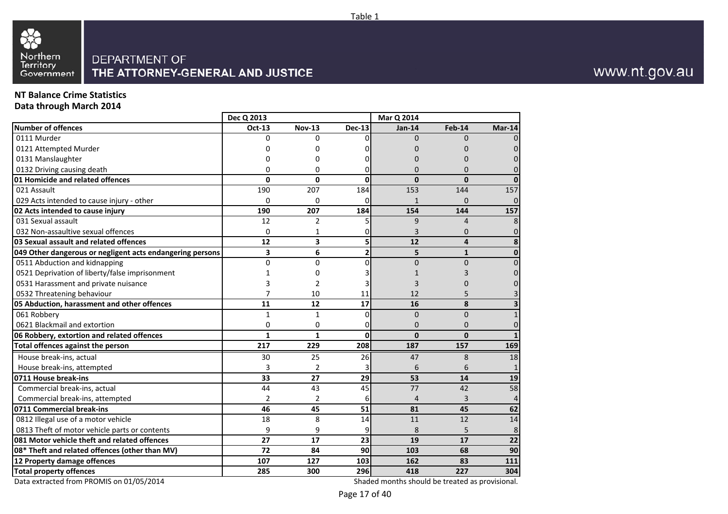

## **NT Balance Crime Statistics**

**Data through March 2014**

|                                                           | Dec Q 2013       |                  |                | Mar Q 2014     |                  |              |
|-----------------------------------------------------------|------------------|------------------|----------------|----------------|------------------|--------------|
| <b>Number of offences</b>                                 | Oct-13           | <b>Nov-13</b>    | <b>Dec-13</b>  | <b>Jan-14</b>  | Feb-14           | $Mar-14$     |
| 0111 Murder                                               | $\Omega$         | 0                | 0              | $\Omega$       | $\Omega$         | 0            |
| 0121 Attempted Murder                                     | 0                | 0                | O              | 0              | O                | 0            |
| 0131 Manslaughter                                         | O                | 0                |                | O              | 0                | O            |
| 0132 Driving causing death                                | $\Omega$         | 0                | 0              | $\Omega$       | 0                | $\Omega$     |
| 01 Homicide and related offences                          | 0                | 0                | 0              | 0              | $\mathbf{0}$     | $\bf{0}$     |
| 021 Assault                                               | 190              | 207              | 184            | 153            | 144              | 157          |
| 029 Acts intended to cause injury - other                 | $\Omega$         | 0                | 0              | $\mathbf{1}$   | 0                | 0            |
| 02 Acts intended to cause injury                          | 190              | 207              | 184            | 154            | 144              | 157          |
| 031 Sexual assault                                        | 12               | $\overline{2}$   | 5              | 9              | $\overline{4}$   | 8            |
| 032 Non-assaultive sexual offences                        | $\Omega$         | 1                | 0              | 3              | $\Omega$         | 0            |
| 03 Sexual assault and related offences                    | 12               | 3                | 5              | 12             | 4                | 8            |
| 049 Other dangerous or negligent acts endangering persons | 3                | 6                | $\overline{2}$ | 5              | $\mathbf{1}$     | $\mathbf 0$  |
| 0511 Abduction and kidnapping                             | $\Omega$         | $\Omega$         | $\Omega$       | $\Omega$       | $\Omega$         | $\Omega$     |
| 0521 Deprivation of liberty/false imprisonment            | 1                | 0                |                | 1              |                  | 0            |
| 0531 Harassment and private nuisance                      | 3                | 2                |                | 3              | O                | 0            |
| 0532 Threatening behaviour                                | 7                | 10               | 11             | 12             | 5                | 3            |
| 05 Abduction, harassment and other offences               | 11               | 12               | 17             | 16             | 8                | 3            |
| 061 Robbery                                               | $\mathbf{1}$     | $\mathbf{1}$     | $\mathbf 0$    | $\Omega$       | $\Omega$         | $\mathbf 1$  |
| 0621 Blackmail and extortion                              | 0                | 0                | 0              | $\Omega$       | $\Omega$         | 0            |
| 06 Robbery, extortion and related offences                | $\mathbf{1}$     | $\mathbf{1}$     | $\mathbf 0$    | $\mathbf{0}$   | $\mathbf{0}$     | $\mathbf{1}$ |
| Total offences against the person                         | $\overline{217}$ | $\overline{229}$ | 208            | 187            | $\overline{157}$ | 169          |
| House break-ins, actual                                   | 30               | 25               | 26             | 47             | 8                | 18           |
| House break-ins, attempted                                | 3                | 2                | 3              | 6              | 6                | $\mathbf{1}$ |
| 0711 House break-ins                                      | 33               | 27               | 29             | 53             | 14               | 19           |
| Commercial break-ins, actual                              | 44               | 43               | 45             | 77             | 42               | 58           |
| Commercial break-ins, attempted                           | $\overline{2}$   | 2                | 6              | $\overline{4}$ | 3                | 4            |
| 0711 Commercial break-ins                                 | 46               | 45               | 51             | 81             | 45               | 62           |
| 0812 Illegal use of a motor vehicle                       | 18               | 8                | 14             | 11             | 12               | 14           |
| 0813 Theft of motor vehicle parts or contents             | 9                | 9                | 9              | 8              | 5                | 8            |
| 081 Motor vehicle theft and related offences              | 27               | 17               | 23             | 19             | 17               | 22           |
| 08* Theft and related offences (other than MV)            | 72               | 84               | 90             | 103            | 68               | 90           |
| 12 Property damage offences                               | 107              | 127              | 103            | 162            | 83               | 111          |
| <b>Total property offences</b>                            | 285              | 300              | 296            | 418            | 227              | 304          |

Data extracted from PROMIS on 01/05/2014

Shaded months should be treated as provisional.

www.nt.gov.au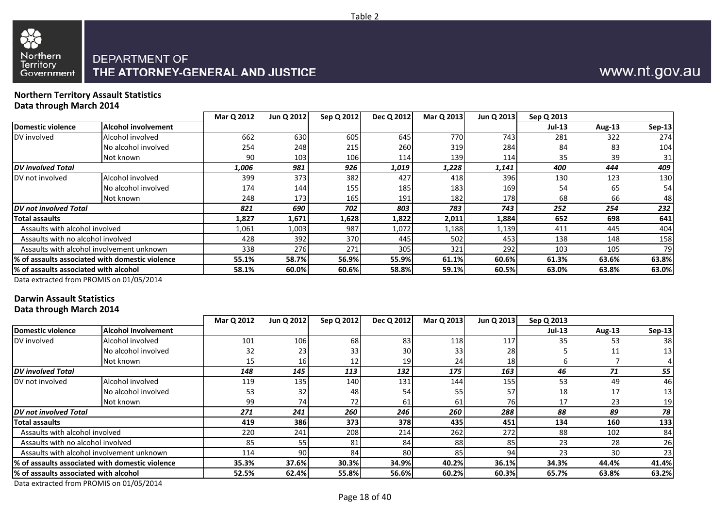



# www.nt.gov.au

#### **Northern Territory Assault StatisticsData through March 2014**

|                                        |                                                  | Mar Q 2012 | Jun Q 2012 | Sep Q 2012 | Dec Q 2012 | Mar Q 2013 | Jun Q 2013 | Sep Q 2013 |        |        |
|----------------------------------------|--------------------------------------------------|------------|------------|------------|------------|------------|------------|------------|--------|--------|
| <b>Domestic violence</b>               | <b>Alcohol involvement</b>                       |            |            |            |            |            |            | $Jul-13$   | Aug-13 | Sep-13 |
| DV involved                            | Alcohol involved                                 | 662        | 630        | 605        | 645        | 770        | 743        | 281        | 322    | 274    |
|                                        | No alcohol involved                              | 254        | 248        | 215        | 260        | 319        | 284        | 84         | 83     | 104    |
|                                        | Not known                                        | 90l        | 103        | 106        | 114        | 139        | 114        | 35         | 39     | 31     |
| <b>IDV</b> involved Total              |                                                  | 1,006      | 981        | 926        | 1,019      | 1,228      | 1,141      | 400        | 444    | 409    |
| DV not involved                        | Alcohol involved                                 | 399        | 373        | 382        | 427        | 418        | 396        | 130        | 123    | 130    |
|                                        | No alcohol involved                              | 174        | 144        | 155        | 185        | 183        | 169        | 54         | 65     | 54     |
|                                        | Not known                                        | 248        | 173        | 165        | 191        | 182        | 178        | 68         | 66     | 48     |
| DV not involved Total                  |                                                  | 821        | 690        | 702        | 803        | 783        | 743        | 252        | 254    | 232    |
| <b>Total assaults</b>                  |                                                  | 1,827      | 1,671      | 1,628      | 1,822      | 2,011      | 1,884      | 652        | 698    | 641    |
| Assaults with alcohol involved         |                                                  | L,061      | 1,003      | 987        | 1,072      | 1,188      | 1,139      | 411        | 445    | 404    |
| Assaults with no alcohol involved      |                                                  | 428        | 392        | 370        | 445        | 502        | 453        | 138        | 148    | 158    |
|                                        | Assaults with alcohol involvement unknown        | 338        | 276        | 271        | 305        | 321        | 292        | 103        | 105    | 79     |
|                                        | 1% of assaults associated with domestic violence | 55.1%      | 58.7%      | 56.9%      | 55.9%      | 61.1%      | 60.6%      | 61.3%      | 63.6%  | 63.8%  |
| 1% of assaults associated with alcohol |                                                  | 58.1%      | 60.0%      | 60.6%      | 58.8%      | 59.1%      | 60.5%      | 63.0%      | 63.8%  | 63.0%  |
|                                        |                                                  |            |            |            |            |            |            |            |        |        |

Data extracted from PROMIS on 01/05/2014

## **Darwin Assault Statistics**

**Data through March 2014**

|                                        |                                                  | Mar Q 2012 | Jun Q 2012 | Sep Q 2012 | Dec Q 2012      | Mar Q 2013      | Jun Q 2013      | Sep Q 2013    |               |                 |
|----------------------------------------|--------------------------------------------------|------------|------------|------------|-----------------|-----------------|-----------------|---------------|---------------|-----------------|
| Domestic violence                      | <b>Alcohol involvement</b>                       |            |            |            |                 |                 |                 | <b>Jul-13</b> | <b>Aug-13</b> | <b>Sep-13</b>   |
| DV involved                            | Alcohol involved                                 | 101        | 106        | 68         | 83              | 118             | 117             | 35            | 53            | 38              |
|                                        | No alcohol involved                              | 32         | 23         | 33         | 30 <sup>l</sup> | 33 <sub>1</sub> | 28              |               | 11            | 13 <sup>1</sup> |
|                                        | Not known                                        | 15         | <b>16</b>  |            | 19              | 24              | 18 <sup>l</sup> |               |               |                 |
| <b>DV</b> involved Total               |                                                  | 148        | 145        | 113        | 132             | 175             | 163             | 46            | 71            | 55              |
| DV not involved                        | Alcohol involved                                 | 119        | 135        | 140        | 131             | 144             | 155             | 53            | 49            | 46              |
|                                        | No alcohol involved                              | 53         | 32         | 48         | 54              | 55              | 57              | 18            | 17            | 13              |
|                                        | Not known                                        | 99         | 74I        | 72         | 61              | 61              | 76I             | 17            | 23            | 19              |
| <b>DV</b> not involved Total           |                                                  | 271        | 241        | 260        | 246             | 260             | 288             | 88            | 89            | 78              |
| <b>Total assaults</b>                  |                                                  | 419        | 386        | 373        | 378             | 435             | 451             | 134           | 160           | 133             |
| Assaults with alcohol involved         |                                                  | 220        | 241        | 208        | 214             | 262             | 272             | 88            | 102           | 84              |
| Assaults with no alcohol involved      |                                                  | 85         | 55         | 81         | 84              | 88              | 85              | 23            | 28            | 26              |
|                                        | Assaults with alcohol involvement unknown        | 114        | 90I        | 84         | 80              | 85              | 94              | 23            | 30            | 23              |
|                                        | 1% of assaults associated with domestic violence | 35.3%      | 37.6%      | 30.3%      | 34.9%           | 40.2%           | 36.1%           | 34.3%         | 44.4%         | 41.4%           |
| 1% of assaults associated with alcohol |                                                  | 52.5%      | 62.4%      | 55.8%      | 56.6%           | 60.2%           | 60.3%           | 65.7%         | 63.8%         | 63.2%           |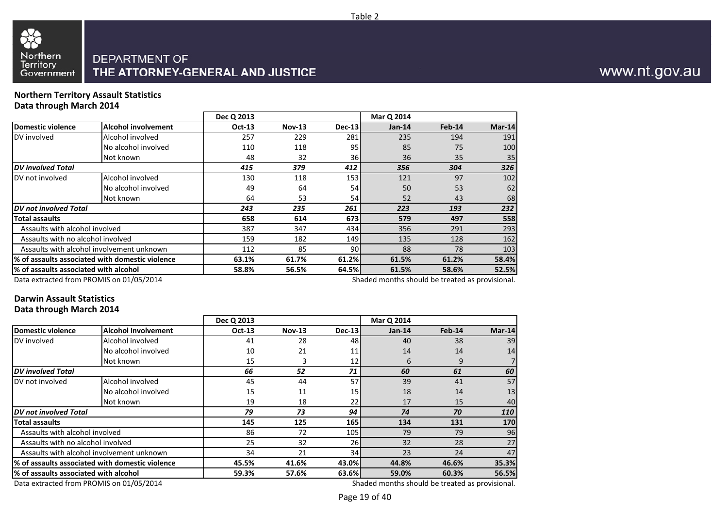

#### **Northern Territory Assault StatisticsData through March 2014**

|                                        |                                                 | Dec Q 2013 |                                  |                  | Mar Q 2014                                      |        |          |
|----------------------------------------|-------------------------------------------------|------------|----------------------------------|------------------|-------------------------------------------------|--------|----------|
| Domestic violence                      | Alcohol involvement                             | Oct-13     | <b>Nov-13</b>                    | Dec-13           | $Jan-14$                                        | Feb-14 | $Mar-14$ |
| DV involved                            | Alcohol involved                                | 257        | 229                              | 281              | 235                                             | 194    | 191      |
|                                        | No alcohol involved                             | 110        | 118                              | 95 <sub>l</sub>  | 85                                              | 75     | 100      |
|                                        | Not known                                       | 48         | 32                               | 36I              | 36                                              | 35     | 35       |
| <b>DV</b> involved Total               |                                                 | 415        | 379                              | 412              | 356                                             | 304    | 326      |
| DV not involved                        | Alcohol involved                                | 130        | 118                              | 153 <b>1</b>     | 121                                             | 97     | 102      |
|                                        | No alcohol involved                             | 49         | 64                               | 54               | 50                                              | 53     | 62       |
|                                        | Not known                                       | 64         | 53                               | 54I              | 52                                              | 43     | 68       |
| DV not involved Total                  |                                                 | 243        | 235                              | 261              | 223                                             | 193    | 232      |
| <b>Total assaults</b>                  |                                                 | 658        | 614                              | 673I             | 579                                             | 497    | 558      |
| Assaults with alcohol involved         |                                                 | 387        | 347                              | 434 <b>1</b>     | 356                                             | 291    | 293      |
| Assaults with no alcohol involved      |                                                 | 159        | 182                              | 149 <sub>l</sub> | 135                                             | 128    | 162      |
|                                        | Assaults with alcohol involvement unknown       | 112        | 85                               | 90I              | 88                                              | 78     | 103      |
|                                        | % of assaults associated with domestic violence | 63.1%      | 61.2%<br>61.7%<br>61.5%<br>61.2% |                  |                                                 |        |          |
| l% of assaults associated with alcohol |                                                 | 58.8%      | 56.5%                            | 64.5%            | 61.5%                                           | 58.6%  | 52.5%    |
|                                        | Data extracted from PROMIS on 01/05/2014        |            |                                  |                  | Shaded months should be treated as provisional. |        |          |

Data extracted from PROMIS on 01/05/2014

#### **Darwin Assault StatisticsData through March 2014**

|                                                  |                                           | Dec Q 2013    |               |                  | Mar Q 2014                                      |        |        |
|--------------------------------------------------|-------------------------------------------|---------------|---------------|------------------|-------------------------------------------------|--------|--------|
| Domestic violence                                | <b>Alcohol involvement</b>                | <b>Oct-13</b> | <b>Nov-13</b> | Dec-13           | $Jan-14$                                        | Feb-14 | Mar-14 |
| DV involved                                      | Alcohol involved                          | 41            | 28            | 481              | 40                                              | 38     | 39     |
|                                                  | No alcohol involved                       | 10            | 21            | 11               | 14                                              | 14     | 14     |
|                                                  | Not known                                 | 15            | 3             | 12               | 6                                               | 9      |        |
| <b>DV</b> involved Total                         |                                           | 66            | 52            | 71               | 60                                              | 61     | 60     |
| DV not involved                                  | Alcohol involved                          | 45            | 44            | 57               | 39                                              | 41     | 57     |
|                                                  | No alcohol involved                       | 15            | 11            | 15 <sub>l</sub>  | 18                                              | 14     | 13     |
|                                                  | Not known                                 | 19            | 18            | 22               | 17                                              | 15     | 40     |
| <b>DV</b> not involved Total                     |                                           | 79            | 73            | 94               | 74                                              | 70     | 110    |
| lTotal assaults                                  |                                           | 145           | 125           | <b>165</b>       | 134                                             | 131    | 170    |
| Assaults with alcohol involved                   |                                           | 86            | 72            | 105 <sub>l</sub> | 79                                              | 79     | 96     |
| Assaults with no alcohol involved                |                                           | 25            | 32            | 26               | 32                                              | 28     | 27     |
|                                                  | Assaults with alcohol involvement unknown | 34            | 21            | 34               | 23                                              | 24     | 47     |
| 1% of assaults associated with domestic violence |                                           | 45.5%         | 41.6%         | 43.0%            | 44.8%                                           | 46.6%  | 35.3%  |
| l% of assaults associated with alcohol           |                                           | 59.3%         | 57.6%         | 63.6%I           | 59.0%                                           | 60.3%  | 56.5%  |
|                                                  | Data extracted from PROMIS on 01/05/2014  |               |               |                  | Shaded months should be treated as provisional. |        |        |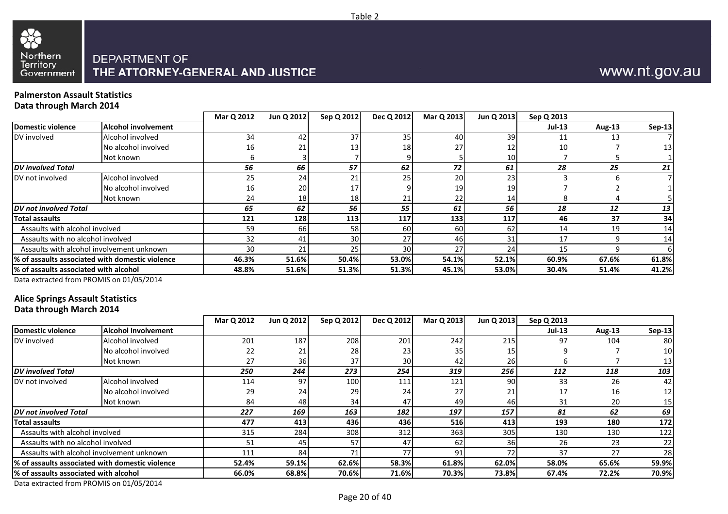

#### **Palmerston Assault StatisticsData through March 2014**

|                                        |                                                  | Mar Q 2012      | Jun Q 2012      | Sep Q 2012 | Dec Q 2012 | Mar Q 2013 | Jun Q 2013 | Sep Q 2013    |        |          |
|----------------------------------------|--------------------------------------------------|-----------------|-----------------|------------|------------|------------|------------|---------------|--------|----------|
| Domestic violence                      | <b>Alcohol involvement</b>                       |                 |                 |            |            |            |            | <b>Jul-13</b> | Aug-13 | $Sep-13$ |
| DV involved                            | Alcohol involved                                 | 34              | 42              | 37         | 35         | 40         | 39         | 11            | 13     |          |
|                                        | No alcohol involved                              | 16              | 21              | 13         | 18         | 27         | 12         | 10            |        | 13       |
|                                        | Not known                                        |                 |                 |            |            |            | 10         |               |        |          |
| <b>DV</b> involved Total               |                                                  | 56              | 66              | 57         | 62         | 72         | 61         | 28            | 25     | 21       |
| DV not involved                        | Alcohol involved                                 | 25              | 24              | 21         | 25         | 20         | 23         |               |        |          |
|                                        | No alcohol involved                              | 16              | 20              |            |            | 19         | 19         |               |        |          |
|                                        | Not known                                        | 24              | 18 <sup>1</sup> | 18I        |            | 22         | 14         |               |        |          |
| DV not involved Total                  |                                                  | 65              | 62              | 56         | 55         | 61         | 56         | 18            | 12     | 13       |
| Total assaults                         |                                                  | 121             | 128             | 113        | 117        | 133        | 117        | 46            | 37     | 34       |
| Assaults with alcohol involved         |                                                  | 59              | <b>66</b>       | <b>58</b>  | 60         | 60         | 62         | 14            | 19     | 14       |
| Assaults with no alcohol involved      |                                                  | 32              | 41              | 30         | 27         | 46         | 31         | 17            |        | 14       |
|                                        | Assaults with alcohol involvement unknown        | 30 <sup>1</sup> | 21              | 25         | 30         | 27         | 24         | 15            |        |          |
|                                        | 1% of assaults associated with domestic violence | 46.3%           | 51.6%           | 50.4%      | 53.0%      | 54.1%      | 52.1%      | 60.9%         | 67.6%  | 61.8%    |
| l% of assaults associated with alcohol |                                                  | 48.8%           | 51.6%           | 51.3%      | 51.3%      | 45.1%      | 53.0%      | 30.4%         | 51.4%  | 41.2%    |
|                                        |                                                  |                 |                 |            |            |            |            |               |        |          |

Table 2

Data extracted from PROMIS on 01/05/2014

# **Alice Springs Assault Statistics**

**Data through March 2014**

|                                        |                                                  | Mar Q 2012 | Jun Q 2012 | Sep Q 2012 | Dec Q 2012 | Mar Q 2013 | Jun Q 2013 | Sep Q 2013 |               |        |
|----------------------------------------|--------------------------------------------------|------------|------------|------------|------------|------------|------------|------------|---------------|--------|
| Domestic violence                      | <b>Alcohol involvement</b>                       |            |            |            |            |            |            | $Jul-13$   | <b>Aug-13</b> | Sep-13 |
| DV involved                            | Alcohol involved                                 | 201        | 187        | 208        | 201        | 242        | 215        | 97         | 104           | 80     |
|                                        | No alcohol involved                              | 22         | 21         | 28         | 23         | 35         | 15         |            |               | 10     |
|                                        | Not known                                        | 27         | 36I        | 37         | 30         | 42         | 26         |            |               |        |
| <b>DV</b> involved Total               |                                                  | 250        | 244        | 273        | 254        | 319        | 256        | 112        | 118           | 103    |
| DV not involved                        | Alcohol involved                                 | 114        | 97         | 100        | 111        | 121        | 90         | 33         | 26            | 42     |
|                                        | No alcohol involved                              | 29         | 24         | 29         | 24         | 27         | 21         | 17         | 16            | 12     |
|                                        | Not known                                        | 84         | 48         | 34         | 47         | 49         | 46         | 31         | 20            | 15     |
| <b>DV</b> not involved Total           |                                                  | 227        | 169        | 163        | 182        | 197        | 157        | 81         | 62            | 69     |
| <b>Total assaults</b>                  |                                                  | 477        | 413        | 436        | 436        | 516        | 413        | 193        | 180           | 172    |
| Assaults with alcohol involved         |                                                  | 315        | 284        | 308        | 312        | 363        | 305        | 130        | 130           | 122    |
| Assaults with no alcohol involved      |                                                  | 51         | 45         | 57         | 47         | 62         | 36         | 26         | 23            | 22     |
|                                        | Assaults with alcohol involvement unknown        | 111        | 84         | 71         | 77         | 91         | 72         | 37         | 27            | 28     |
|                                        | 1% of assaults associated with domestic violence | 52.4%      | 59.1%      | 62.6%      | 58.3%      | 61.8%      | 62.0%      | 58.0%      | 65.6%         | 59.9%  |
| 1% of assaults associated with alcohol |                                                  | 66.0%      | 68.8%      | 70.6%      | 71.6%      | 70.3%      | 73.8%      | 67.4%      | 72.2%         | 70.9%  |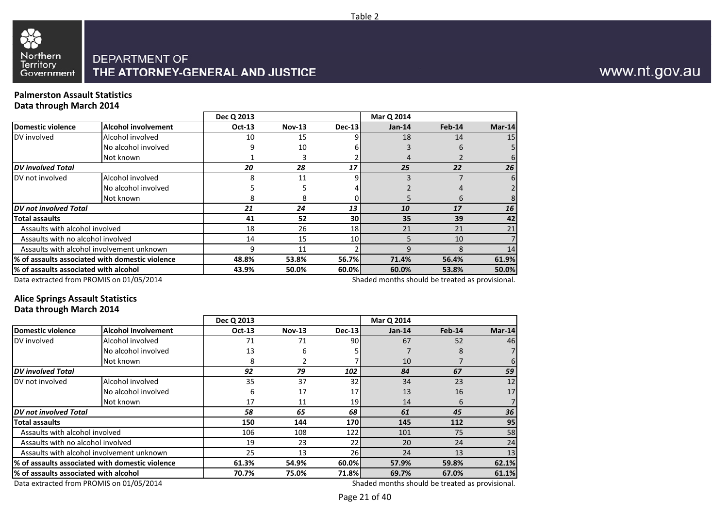

#### **Palmerston Assault StatisticsData through March 2014**

|                                       |                                                 | Dec Q 2013    |               |               | Mar Q 2014                                      |        |          |
|---------------------------------------|-------------------------------------------------|---------------|---------------|---------------|-------------------------------------------------|--------|----------|
| Domestic violence                     | <b>Alcohol involvement</b>                      | <b>Oct-13</b> | <b>Nov-13</b> | <b>Dec-13</b> | $Jan-14$                                        | Feb-14 | $Mar-14$ |
| DV involved                           | Alcohol involved                                | 10            | 15            |               | 18                                              | 14     | 15       |
|                                       | No alcohol involved                             | q             | 10            |               |                                                 | 6      |          |
|                                       | Not known                                       |               |               |               |                                                 |        | 6        |
| <b>DV</b> involved Total              |                                                 | 20            | 28            | 17            | 25                                              | 22     | 26       |
| DV not involved                       | Alcohol involved                                | 8             | 11            |               |                                                 |        | 6        |
|                                       | No alcohol involved                             |               | 5             |               |                                                 |        |          |
|                                       | Not known                                       | 8             | 8             |               |                                                 | 6      |          |
| <b>DV</b> not involved Total          |                                                 | 21            | 24            | 13            | 10                                              | 17     | 16       |
| <b>Total assaults</b>                 |                                                 | 41            | 52            | 30            | 35                                              | 39     | 42       |
| Assaults with alcohol involved        |                                                 | 18            | 26            | 18            | 21                                              | 21     | 21       |
| Assaults with no alcohol involved     |                                                 | 14            | 15            | 10            |                                                 | 10     |          |
|                                       | Assaults with alcohol involvement unknown       | 9             | 11            |               |                                                 | 8      | 14       |
|                                       | % of assaults associated with domestic violence | 48.8%         | 53.8%         | 56.7%         | 61.9%<br>71.4%<br>56.4%                         |        |          |
| % of assaults associated with alcohol |                                                 | 43.9%         | 50.0%         | 60.0%         | 60.0%                                           | 53.8%  | 50.0%    |
|                                       | Data extracted from PROMIS on 01/05/2014        |               |               |               | Shaded months should be treated as provisional. |        |          |

Data extracted from PROMIS on 01/05/2014

#### **Alice Springs Assault StatisticsData through March 2014**

|                                          |                                                                                              | Dec Q 2013                                      |               |           | Mar Q 2014 |        |          |
|------------------------------------------|----------------------------------------------------------------------------------------------|-------------------------------------------------|---------------|-----------|------------|--------|----------|
| Domestic violence                        | <b>Alcohol involvement</b>                                                                   | Oct-13                                          | <b>Nov-13</b> | Dec-13    | $Jan-14$   | Feb-14 | $Mar-14$ |
| DV involved                              | Alcohol involved                                                                             | 71                                              | 71            | 90        | 67         | 52     | 46       |
|                                          | No alcohol involved                                                                          | 13                                              | 6             |           |            | 8      | 7        |
|                                          | Not known                                                                                    | 8                                               |               |           | 10         |        | 6        |
| <b>DV</b> involved Total                 |                                                                                              | 92                                              | 79            | 102       | 84         | 67     | 59       |
| DV not involved                          | Alcohol involved                                                                             | 35                                              | 37            | 32        | 34         | 23     | 12       |
|                                          | No alcohol involved                                                                          | 6                                               | 17            | 17        | 13         | 16     | 17       |
|                                          | Not known                                                                                    | 17                                              | 11            | 19        | 14         | 6      |          |
| DV not involved Total                    |                                                                                              | 58                                              | 65            | 68        | 61         | 45     | 36       |
| <b>Total assaults</b>                    |                                                                                              | 150                                             | 144           | 170l      | 145        | 112    | 95       |
| Assaults with alcohol involved           |                                                                                              | 106                                             | 108           | 122       | 101        | 75     | 58       |
| Assaults with no alcohol involved        |                                                                                              | 19                                              | 23            | 22        | 20         | 24     | 24       |
|                                          | Assaults with alcohol involvement unknown                                                    | 25                                              | 13            | <b>26</b> | 24         | 13     | 13       |
|                                          | % of assaults associated with domestic violence<br>54.9%<br>60.0%<br>61.3%<br>57.9%<br>59.8% |                                                 |               |           | 62.1%      |        |          |
| % of assaults associated with alcohol    |                                                                                              | 70.7%                                           | 75.0%         | 71.8%     | 69.7%      | 67.0%  | 61.1%    |
| Data extracted from PROMIS on 01/05/2014 |                                                                                              | Shaded months should be treated as provisional. |               |           |            |        |          |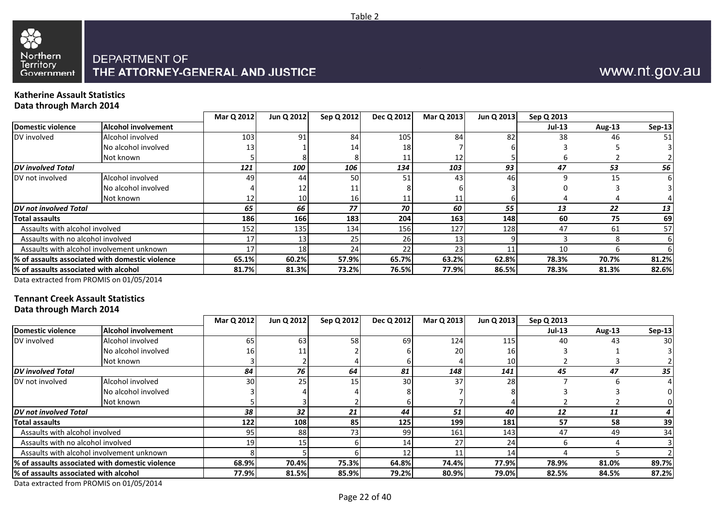

# www.nt.gov.au

#### **Katherine Assault StatisticsData through March 2014**

|                                        |                                                 | Mar Q 2012 | Jun Q 2012      | Sep Q 2012 | Dec Q 2012 | Mar Q 2013 | Jun Q 2013 | Sep Q 2013    |        |               |
|----------------------------------------|-------------------------------------------------|------------|-----------------|------------|------------|------------|------------|---------------|--------|---------------|
| Domestic violence                      | <b>Alcohol involvement</b>                      |            |                 |            |            |            |            | <b>Jul-13</b> | Aug-13 | <b>Sep-13</b> |
| DV involved                            | Alcohol involved                                | 103        | 91              | 84         | 105        | 84         | 82         | 38            | 46     | 51            |
|                                        | No alcohol involved                             | 13         |                 | 14         | 18         |            |            |               |        |               |
|                                        | Not known                                       |            |                 |            |            |            |            |               |        |               |
| <b>DV</b> involved Total               |                                                 | 121        | 100             | 106        | 134        | 103        | 93         | 47            | 53     | 56            |
| DV not involved                        | Alcohol involved                                | 49         | 44              | 50         | 51         | 43         | 46         |               | 15     |               |
|                                        | No alcohol involved                             |            |                 |            |            |            |            |               |        |               |
|                                        | Not known                                       | 12         | 10 <sub>l</sub> |            |            |            |            |               |        |               |
| <b>DV</b> not involved Total           |                                                 | 65         | 66              | 77         | 70         | 60         | 55         | 13            | 22     | 13            |
| Total assaults                         |                                                 | 186        | 166             | 183        | 204        | 163        | 148        | 60            | 75     | 69            |
| Assaults with alcohol involved         |                                                 | 152        | 135             | 134        | 156        | 127        | 128        | 47            | 61     | 57            |
| Assaults with no alcohol involved      |                                                 | 17         |                 |            | 26         |            |            |               |        |               |
|                                        | Assaults with alcohol involvement unknown       | 17         | 18              | 24         | 22         | 23         |            | 10            |        |               |
|                                        | % of assaults associated with domestic violence | 65.1%      | 60.2%           | 57.9%      | 65.7%      | 63.2%      | 62.8%      | 78.3%         | 70.7%  | 81.2%         |
| 1% of assaults associated with alcohol |                                                 | 81.7%      | 81.3%           | 73.2%      | 76.5%      | 77.9%      | 86.5%      | 78.3%         | 81.3%  | 82.6%         |
|                                        |                                                 |            |                 |            |            |            |            |               |        |               |

Data extracted from PROMIS on 01/05/2014

#### **Tennant Creek Assault StatisticsData through March 2014**

|                                       |                                                 | Mar Q 2012 | Jun Q 2012 | Sep Q 2012 | Dec Q 2012      | Mar Q 2013 | Jun Q 2013 | Sep Q 2013    |               |                 |
|---------------------------------------|-------------------------------------------------|------------|------------|------------|-----------------|------------|------------|---------------|---------------|-----------------|
| <b>Domestic violence</b>              | Alcohol involvement                             |            |            |            |                 |            |            | <b>Jul-13</b> | <b>Aug-13</b> | Sep-13          |
| DV involved                           | Alcohol involved                                | 65         | 63         | 58         | 69              | 124        | 115        | 40            | 43            | 30 <sup>1</sup> |
|                                       | No alcohol involved                             | 16I        |            |            |                 | 20         | 16         |               |               |                 |
|                                       | Not known                                       |            |            |            |                 |            | 10         |               |               |                 |
| <b>DV</b> involved Total              |                                                 | 84         | 76         | 64         | 81              | 148        | 141        | 45            | 47            | 35              |
| DV not involved                       | Alcohol involved                                | 30         | 25         | 15         | 30 <sup>1</sup> | 37         | 28         |               |               |                 |
|                                       | No alcohol involved                             |            |            |            |                 |            |            |               |               |                 |
|                                       | Not known                                       |            |            |            |                 |            |            |               |               |                 |
| <b>DV</b> not involved Total          |                                                 | 38         | 32         | 21         | 44              | 51         | 40         | 12            | 11            |                 |
| <b>Total assaults</b>                 |                                                 | 122        | 108        | 85         | 125             | 199        | 181        | 57            | 58            | 39              |
| Assaults with alcohol involved        |                                                 | 95         | 88         | 73.        | 99              | 161        | 143        | 47            | 49            | 34              |
| Assaults with no alcohol involved     |                                                 | 19         | 15         |            | 14              | 27         | 24         |               |               |                 |
|                                       | Assaults with alcohol involvement unknown       |            |            |            | 12              | 11         | 14         |               |               |                 |
|                                       | % of assaults associated with domestic violence | 68.9%      | 70.4%      | 75.3%      | 64.8%           | 74.4%      | 77.9%      | 78.9%         | 81.0%         | 89.7%           |
| % of assaults associated with alcohol |                                                 | 77.9%      | 81.5%      | 85.9%      | 79.2%           | 80.9%      | 79.0%      | 82.5%         | 84.5%         | 87.2%           |

Data extracted from PROMIS on 01/05/2014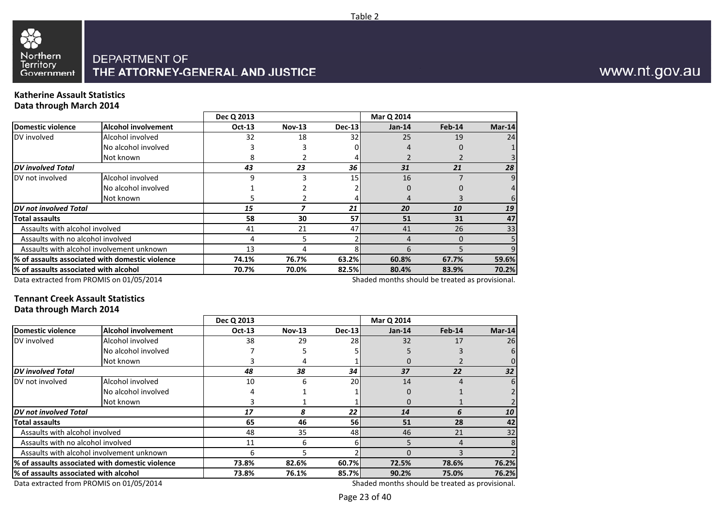

#### **Katherine Assault StatisticsData through March 2014**

| --- --- <i>--</i> --- ----            |                                                  |               |               |        |                                                 |          |          |
|---------------------------------------|--------------------------------------------------|---------------|---------------|--------|-------------------------------------------------|----------|----------|
|                                       |                                                  | Dec Q 2013    |               |        | Mar Q 2014                                      |          |          |
| Domestic violence                     | <b>Alcohol involvement</b>                       | <b>Oct-13</b> | <b>Nov-13</b> | Dec-13 | $Jan-14$                                        | Feb-14   | $Mar-14$ |
| DV involved                           | Alcohol involved                                 | 32            | 18            | 32     | 25                                              | 19       | 24       |
|                                       | No alcohol involved                              |               |               |        |                                                 |          |          |
|                                       | Not known                                        | 8             |               |        |                                                 |          |          |
| <b>DV</b> involved Total              |                                                  | 43            | 23            | 36     | 31                                              | 21       | 28       |
| DV not involved                       | Alcohol involved                                 | 9             |               | 15     | 16                                              |          | 9        |
|                                       | No alcohol involved                              |               |               |        | 0                                               |          | 4        |
|                                       | Not known                                        |               |               |        |                                                 |          | 6        |
| DV not involved Total                 |                                                  | 15            |               | 21     | 20                                              | 10       | 19       |
| Total assaults                        |                                                  | 58            | 30            | 57     | 51                                              | 31       | 47       |
| Assaults with alcohol involved        |                                                  | 41            | 21            | 47     | 41                                              | 26       | 33       |
| Assaults with no alcohol involved     |                                                  |               | 5.            |        |                                                 | $\Omega$ |          |
|                                       | Assaults with alcohol involvement unknown        | 13            |               |        | 6                                               |          | 9        |
|                                       | l% of assaults associated with domestic violence | 74.1%         | 76.7%         | 63.2%  | 60.8%                                           | 67.7%    |          |
| % of assaults associated with alcohol | 70.7%                                            | 70.0%         | 82.5%         | 80.4%  | 83.9%                                           | 70.2%    |          |
|                                       | Data extracted from PROMIS on 01/05/2014         |               |               |        | Shaded months should be treated as provisional. |          |          |

Data extracted from PROMIS on 01/05/2014

#### **Tennant Creek Assault StatisticsData through March 2014**

|                                        |                                                 | Dec Q 2013 |               |           | Mar Q 2014                                      |          |          |
|----------------------------------------|-------------------------------------------------|------------|---------------|-----------|-------------------------------------------------|----------|----------|
| <b>Domestic violence</b>               | <b>Alcohol involvement</b>                      | Oct-13     | <b>Nov-13</b> | Dec-13    | $Jan-14$                                        | $Feb-14$ | $Mar-14$ |
| DV involved                            | Alcohol involved                                | 38         | 29            | 28        | 32                                              | 17       | 26       |
|                                        | No alcohol involved                             |            |               |           |                                                 |          | 6        |
|                                        | Not known                                       |            | 4             |           |                                                 |          |          |
| <b>DV</b> involved Total               |                                                 | 48         | 38            | 34        | 37                                              | 22       | 32       |
| DV not involved                        | Alcohol involved                                | 10         | 6             | 20        | 14                                              | 4        | 6        |
|                                        | No alcohol involved                             | 4          |               |           | $\Omega$                                        |          |          |
|                                        | Not known                                       |            |               |           | $\Omega$                                        |          |          |
| <b>DV</b> not involved Total           |                                                 | 17         | 8             | 22        | 14                                              | 6        | 10       |
| <b>Total assaults</b>                  |                                                 | 65         | 46            | <b>56</b> | 51                                              | 28       | 42       |
| Assaults with alcohol involved         |                                                 | 48         | 35            | 48        | 46                                              | 21       | 32       |
| Assaults with no alcohol involved      |                                                 | 11         | 6             |           |                                                 | 4        | 8        |
|                                        | Assaults with alcohol involvement unknown       | 6          | 5             |           |                                                 | ς        |          |
|                                        | % of assaults associated with domestic violence | 73.8%      | 82.6%         | 60.7%     | 72.5%                                           | 78.6%    | 76.2%    |
| l% of assaults associated with alcohol |                                                 | 73.8%      | 76.1%         | 85.7%     | 90.2%                                           | 75.0%    | 76.2%    |
|                                        | Data extracted from PROMIS on 01/05/2014        |            |               |           | Shaded months should be treated as provisional. |          |          |

Data extracted from PROMIS on 01/05/2014

Page 23 of 40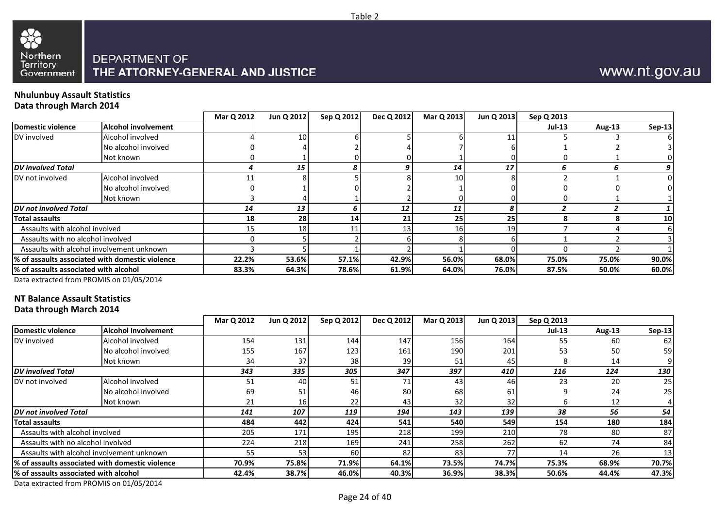

#### **Nhulunbuy Assault StatisticsData through March 2014**

|                                        |                                                 | Mar Q 2012 | Jun Q 2012 | Sep Q 2012 | Dec Q 2012 | Mar Q 2013      | Jun Q 2013 | Sep Q 2013 |               |               |
|----------------------------------------|-------------------------------------------------|------------|------------|------------|------------|-----------------|------------|------------|---------------|---------------|
| Domestic violence                      | Alcohol involvement                             |            |            |            |            |                 |            | $Jul-13$   | <b>Aug-13</b> | <b>Sep-13</b> |
| DV involved                            | Alcohol involved                                |            | 10         |            |            |                 |            |            |               |               |
|                                        | No alcohol involved                             |            |            |            |            |                 |            |            |               |               |
|                                        | Not known                                       |            |            |            |            |                 |            |            |               |               |
| <b>DV</b> involved Total               |                                                 |            | 15         |            |            | 14              | 17         |            | n             |               |
| DV not involved                        | Alcohol involved                                |            |            |            |            | 10 <sup>1</sup> |            |            |               |               |
|                                        | No alcohol involved                             |            |            |            |            |                 |            |            |               |               |
|                                        | Not known                                       |            |            |            |            |                 |            |            |               |               |
| <b>DV</b> not involved Total           |                                                 | 14         | 13         |            | 12         | 11              |            |            |               |               |
| <b>Total assaults</b>                  |                                                 | <b>18</b>  | <b>28</b>  | 14         | 21         | 25              | 25         | я          |               | 10            |
| Assaults with alcohol involved         |                                                 |            | 18         |            |            | 16              | 19         |            |               |               |
| Assaults with no alcohol involved      |                                                 |            |            |            |            |                 |            |            |               |               |
|                                        | Assaults with alcohol involvement unknown       |            |            |            |            |                 |            |            |               |               |
|                                        | % of assaults associated with domestic violence | 22.2%      | 53.6%      | 57.1%      | 42.9%      | 56.0%           | 68.0%      | 75.0%      | 75.0%         | 90.0%         |
| 1% of assaults associated with alcohol |                                                 | 83.3%      | 64.3%      | 78.6%      | 61.9%      | 64.0%           | 76.0%      | 87.5%      | 50.0%         | 60.0%         |
|                                        |                                                 |            |            |            |            |                 |            |            |               |               |

Table 2

Data extracted from PROMIS on 01/05/2014

## **NT Balance Assault Statistics**

**Data through March 2014**

|                                        |                                                  | Mar Q 2012      | Jun Q 2012 | Sep Q 2012 | Dec Q 2012 | Mar Q 2013 | Jun Q 2013 | Sep Q 2013    |        |                 |
|----------------------------------------|--------------------------------------------------|-----------------|------------|------------|------------|------------|------------|---------------|--------|-----------------|
| Domestic violence                      | <b>Alcohol involvement</b>                       |                 |            |            |            |            |            | <b>Jul-13</b> | Aug-13 | <b>Sep-13</b>   |
| DV involved                            | Alcohol involved                                 | 154             | 131        | 144        | 147        | 156        | 164        | 55            | 60     | 62              |
|                                        | No alcohol involved                              | 155             | 167        | 123        | 161        | 190        | 201        | 53            | 50     | 59              |
|                                        | Not known                                        | 34 <sub>1</sub> | 37         | 38         | 39         | 51         | 45         |               | 14     |                 |
| <b>DV</b> involved Total               |                                                  | 343             | 335        | 305        | 347        | 397        | 410        | 116           | 124    | 130             |
| DV not involved                        | Alcohol involved                                 | 51              | 40         | 51         | 71         | 43         | 46         | 23            | 20     | 25              |
|                                        | No alcohol involved                              | 69              | 51         | 46         | 80         | 68         | 61         |               | 24     | 25 <sub>l</sub> |
|                                        | Not known                                        | 21              | <b>16</b>  | 22         | 43         | 32         | 32         |               | 12     |                 |
| DV not involved Total                  |                                                  | 141             | 107        | 119        | 194        | 143        | 139        | 38            | 56     | 54              |
| <b>Total assaults</b>                  |                                                  | 484             | 442        | 424        | 541        | 540        | 549        | 154           | 180    | 184             |
| Assaults with alcohol involved         |                                                  | 205             | 171        | 195        | 218        | 199        | 210        | 78            | 80     | 87              |
| Assaults with no alcohol involved      |                                                  | 224             | 218        | 169        | 241        | 258        | 262        | 62            | 74     | 84              |
|                                        | Assaults with alcohol involvement unknown        | 55              | 53         | 60         | 82         | 83         | 77         | 14            | 26     | 13              |
|                                        | 1% of assaults associated with domestic violence | 70.9%           | 75.8%      | 71.9%      | 64.1%      | 73.5%      | 74.7%      | 75.3%         | 68.9%  | 70.7%           |
| 1% of assaults associated with alcohol |                                                  | 42.4%           | 38.7%      | 46.0%      | 40.3%      | 36.9%      | 38.3%      | 50.6%         | 44.4%  | 47.3%           |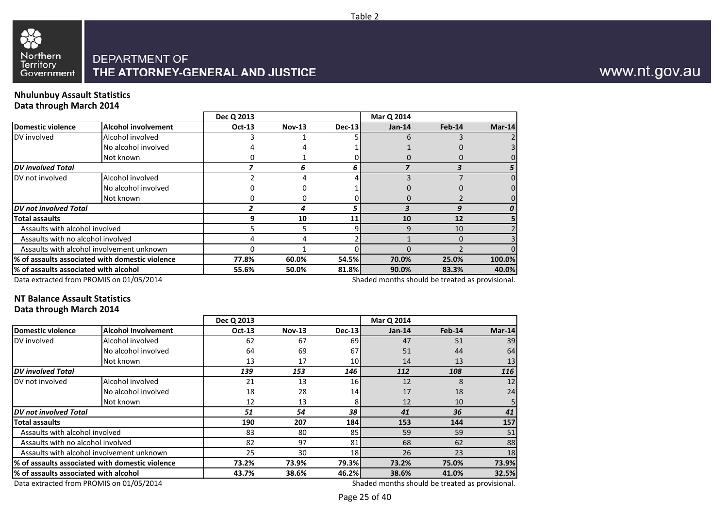

#### **Nhulunbuy Assault StatisticsData through March 2014**

| --- --- <i>--</i> --- ----            |                                                  | Dec Q 2013    |               |        | Mar Q 2014                                      |        |          |
|---------------------------------------|--------------------------------------------------|---------------|---------------|--------|-------------------------------------------------|--------|----------|
|                                       |                                                  |               |               |        |                                                 |        |          |
| Domestic violence                     | <b>Alcohol involvement</b>                       | <b>Oct-13</b> | <b>Nov-13</b> | Dec-13 | $Jan-14$                                        | Feb-14 | $Mar-14$ |
| DV involved                           | Alcohol involved                                 |               |               |        | h                                               |        |          |
|                                       | No alcohol involved                              |               |               |        |                                                 |        |          |
|                                       | Not known                                        |               |               |        |                                                 |        |          |
| <b>DV</b> involved Total              |                                                  |               |               |        |                                                 |        |          |
| DV not involved                       | Alcohol involved                                 |               |               |        |                                                 |        | $\Omega$ |
|                                       | No alcohol involved                              |               |               |        |                                                 |        |          |
|                                       | Not known                                        |               |               |        |                                                 |        |          |
| <b>DV</b> not involved Total          |                                                  |               |               |        | 3                                               | 9      | 0        |
| Total assaults                        |                                                  | 9             | 10            | 11     | 10                                              | 12     |          |
| Assaults with alcohol involved        |                                                  |               |               |        |                                                 | 10     |          |
| Assaults with no alcohol involved     |                                                  |               |               |        |                                                 | 0      |          |
|                                       | Assaults with alcohol involvement unknown        |               |               |        |                                                 |        |          |
|                                       | l% of assaults associated with domestic violence | 77.8%         | 60.0%         | 54.5%  | 70.0%                                           | 25.0%  | 100.0%   |
| % of assaults associated with alcohol |                                                  | 55.6%         | 50.0%         | 81.8%  | 90.0%                                           | 83.3%  | 40.0%    |
|                                       | Data extracted from PROMIS on 01/05/2014         |               |               |        | Shaded months should be treated as provisional. |        |          |

Data extracted from PROMIS on 01/05/2014

#### **NT Balance Assault StatisticsData through March 2014**

| Pata through Ividitii 2017            |                                                 |               |               |                 |                                                 |        |          |
|---------------------------------------|-------------------------------------------------|---------------|---------------|-----------------|-------------------------------------------------|--------|----------|
|                                       |                                                 | Dec Q 2013    |               |                 | Mar Q 2014                                      |        |          |
| <b>Domestic violence</b>              | <b>Alcohol involvement</b>                      | <b>Oct-13</b> | <b>Nov-13</b> | Dec-13          | $Jan-14$                                        | Feb-14 | $Mar-14$ |
| DV involved                           | Alcohol involved                                | 62            | 67            | 69              | 47                                              | 51     | 39       |
|                                       | No alcohol involved                             | 64            | 69            | 67              | 51                                              | 44     | 64       |
|                                       | Not known                                       | 13            | 17            | 10              | 14                                              | 13     | 13       |
| <b>DV</b> involved Total              |                                                 | 139           | 153           | 146             | 112                                             | 108    | 116      |
| DV not involved                       | Alcohol involved                                | 21            | 13            | 16 <sup>l</sup> | 12                                              | 8      | 12       |
|                                       | No alcohol involved                             | 18            | 28            | 14              | 17                                              | 18     | 24       |
|                                       | Not known                                       | 12            | 13            | 81              | 12                                              | 10     |          |
| DV not involved Total                 |                                                 | 51            | 54            | 38              | 41                                              | 36     | 41       |
| <b>Total assaults</b>                 |                                                 | 190           | 207           | 184 l           | 153                                             | 144    | 157      |
| Assaults with alcohol involved        |                                                 | 83            | 80            | 85              | 59                                              | 59     | 51       |
| Assaults with no alcohol involved     |                                                 | 82            | 97            | 81              | 68                                              | 62     | 88       |
|                                       | Assaults with alcohol involvement unknown       | 25            | 30            | 18 <sup>1</sup> | 26                                              | 23     | 18       |
|                                       | % of assaults associated with domestic violence | 73.2%         | 73.9%         | 79.3%           | 73.2%                                           | 75.0%  | 73.9%    |
| % of assaults associated with alcohol |                                                 | 43.7%         | 38.6%         | 46.2%           | 38.6%                                           | 41.0%  | 32.5%    |
|                                       | Data extracted from PROMIS on 01/05/2014        |               |               |                 | Shaded months should be treated as provisional. |        |          |

Data extracted from PROMIS on 01/05/2014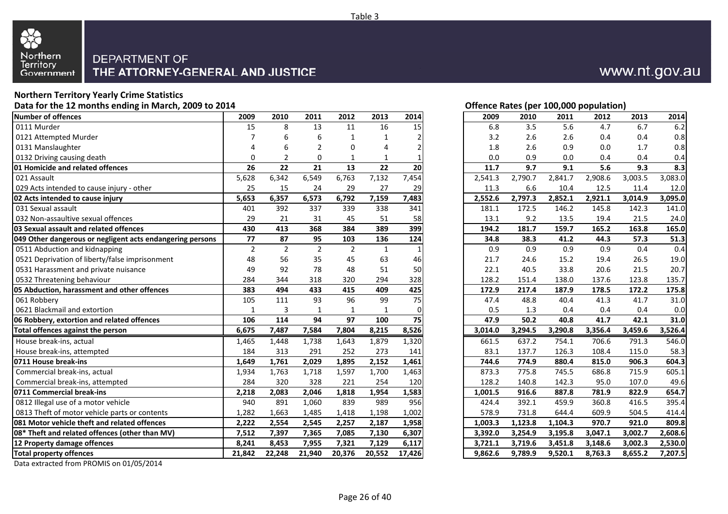

#### **Northern Territory Yearly Crime StatisticsData for the 12 months ending in March, 2009 to 2014**

|                                                           |                |                |                |                |              |          | ---,--- |         |         |         |         |         |         |
|-----------------------------------------------------------|----------------|----------------|----------------|----------------|--------------|----------|---------|---------|---------|---------|---------|---------|---------|
| <b>Number of offences</b>                                 | 2009           | 2010           | 2011           | 2012           | 2013         | 2014     |         | 2009    | 2010    | 2011    | 2012    | 2013    | 2014    |
| 0111 Murder                                               | 15             | 8              | 13             | 11             | 16           | 15       |         | 6.8     | 3.5     | 5.6     | 4.7     | 6.7     | 6.2     |
| 0121 Attempted Murder                                     |                | 6              | 6              |                |              |          |         | 3.2     | 2.6     | 2.6     | 0.4     | 0.4     | 0.8     |
| 0131 Manslaughter                                         |                | 6              | $\overline{2}$ | $\Omega$       |              |          |         | 1.8     | 2.6     | 0.9     | 0.0     | 1.7     | 0.8     |
| 0132 Driving causing death                                | 0              | $\overline{2}$ | $\mathbf 0$    | 1              |              |          |         | 0.0     | 0.9     | 0.0     | 0.4     | 0.4     | 0.4     |
| 01 Homicide and related offences                          | 26             | 22             | 21             | 13             | 22           | 20       |         | 11.7    | 9.7     | 9.1     | 5.6     | 9.3     | 8.3     |
| 021 Assault                                               | 5,628          | 6,342          | 6,549          | 6,763          | 7,132        | 7,454    |         | 2,541.3 | 2,790.7 | 2,841.7 | 2,908.6 | 3,003.5 | 3,083.0 |
| 029 Acts intended to cause injury - other                 | 25             | 15             | 24             | 29             | 27           | 29       |         | 11.3    | 6.6     | 10.4    | 12.5    | 11.4    | 12.0    |
| 02 Acts intended to cause injury                          | 5,653          | 6,357          | 6,573          | 6,792          | 7,159        | 7,483    |         | 2,552.6 | 2,797.3 | 2,852.1 | 2,921.1 | 3,014.9 | 3,095.0 |
| 031 Sexual assault                                        | 401            | 392            | 337            | 339            | 338          | 341      |         | 181.1   | 172.5   | 146.2   | 145.8   | 142.3   | 141.0   |
| 032 Non-assaultive sexual offences                        | 29             | 21             | 31             | 45             | 51           | 58       |         | 13.1    | 9.2     | 13.5    | 19.4    | 21.5    | 24.0    |
| 03 Sexual assault and related offences                    | 430            | 413            | 368            | 384            | 389          | 399      |         | 194.2   | 181.7   | 159.7   | 165.2   | 163.8   | 165.0   |
| 049 Other dangerous or negligent acts endangering persons | 77             | 87             | 95             | 103            | 136          | 124      |         | 34.8    | 38.3    | 41.2    | 44.3    | 57.3    | 51.3    |
| 0511 Abduction and kidnapping                             | $\overline{2}$ | $\overline{2}$ | $\overline{2}$ | $\overline{2}$ | 1            |          |         | 0.9     | 0.9     | 0.9     | 0.9     | 0.4     | 0.4     |
| 0521 Deprivation of liberty/false imprisonment            | 48             | 56             | 35             | 45             | 63           | 46       |         | 21.7    | 24.6    | 15.2    | 19.4    | 26.5    | 19.0    |
| 0531 Harassment and private nuisance                      | 49             | 92             | 78             | 48             | 51           | 50       |         | 22.1    | 40.5    | 33.8    | 20.6    | 21.5    | 20.7    |
| 0532 Threatening behaviour                                | 284            | 344            | 318            | 320            | 294          | 328      |         | 128.2   | 151.4   | 138.0   | 137.6   | 123.8   | 135.7   |
| 05 Abduction, harassment and other offences               | 383            | 494            | 433            | 415            | 409          | 425      |         | 172.9   | 217.4   | 187.9   | 178.5   | 172.2   | 175.8   |
| 061 Robbery                                               | 105            | 111            | 93             | 96             | 99           | 75       |         | 47.4    | 48.8    | 40.4    | 41.3    | 41.7    | 31.0    |
| 0621 Blackmail and extortion                              | $\mathbf{1}$   | $\overline{3}$ | $\mathbf{1}$   | $\mathbf 1$    | $\mathbf{1}$ | $\Omega$ |         | 0.5     | 1.3     | 0.4     | 0.4     | 0.4     | 0.0     |
| 06 Robbery, extortion and related offences                | 106            | 114            | 94             | 97             | 100          | 75       |         | 47.9    | 50.2    | 40.8    | 41.7    | 42.1    | 31.0    |
| Total offences against the person                         | 6,675          | 7,487          | 7,584          | 7,804          | 8,215        | 8,526    |         | 3,014.0 | 3,294.5 | 3,290.8 | 3,356.4 | 3,459.6 | 3,526.4 |
| House break-ins, actual                                   | 1,465          | 1,448          | 1,738          | 1,643          | 1,879        | 1,320    |         | 661.5   | 637.2   | 754.1   | 706.6   | 791.3   | 546.0   |
| House break-ins, attempted                                | 184            | 313            | 291            | 252            | 273          | 141      |         | 83.1    | 137.7   | 126.3   | 108.4   | 115.0   | 58.3    |
| 0711 House break-ins                                      | 1,649          | 1,761          | 2,029          | 1,895          | 2,152        | 1,461    |         | 744.6   | 774.9   | 880.4   | 815.0   | 906.3   | 604.3   |
| Commercial break-ins, actual                              | 1,934          | 1,763          | 1,718          | 1,597          | 1,700        | 1,463    |         | 873.3   | 775.8   | 745.5   | 686.8   | 715.9   | 605.1   |
| Commercial break-ins, attempted                           | 284            | 320            | 328            | 221            | 254          | 120      |         | 128.2   | 140.8   | 142.3   | 95.0    | 107.0   | 49.6    |
| 0711 Commercial break-ins                                 | 2,218          | 2,083          | 2,046          | 1,818          | 1,954        | 1,583    |         | 1,001.5 | 916.6   | 887.8   | 781.9   | 822.9   | 654.7   |
| 0812 Illegal use of a motor vehicle                       | 940            | 891            | 1,060          | 839            | 989          | 956      |         | 424.4   | 392.1   | 459.9   | 360.8   | 416.5   | 395.4   |
| 0813 Theft of motor vehicle parts or contents             | 1,282          | 1,663          | 1,485          | 1,418          | 1,198        | 1,002    |         | 578.9   | 731.8   | 644.4   | 609.9   | 504.5   | 414.4   |
| 081 Motor vehicle theft and related offences              | 2,222          | 2,554          | 2,545          | 2,257          | 2,187        | 1,958    |         | 1,003.3 | 1,123.8 | 1,104.3 | 970.7   | 921.0   | 809.8   |
| 08* Theft and related offences (other than MV)            | 7,512          | 7,397          | 7,365          | 7,085          | 7,130        | 6,307    |         | 3,392.0 | 3,254.9 | 3,195.8 | 3,047.1 | 3,002.7 | 2,608.6 |
| 12 Property damage offences                               | 8,241          | 8,453          | 7,955          | 7,321          | 7,129        | 6,117    |         | 3,721.1 | 3,719.6 | 3,451.8 | 3,148.6 | 3,002.3 | 2,530.0 |
| <b>Total property offences</b>                            | 21,842         | 22,248         | 21,940         | 20,376         | 20,552       | 17,426   |         | 9,862.6 | 9,789.9 | 9,520.1 | 8,763.3 | 8,655.2 | 7,207.5 |
|                                                           |                |                |                |                |              |          |         |         |         |         |         |         |         |

Data extracted from PROMIS on 01/05/2014

# **Offence Rates (per 100,000 population)**

| 9                       | 2010           | 2011           | 2012           | 2013         | 2014        | 2009    | 2010    | 2011    | 2012    | 2013    | 2014    |
|-------------------------|----------------|----------------|----------------|--------------|-------------|---------|---------|---------|---------|---------|---------|
| 5                       | 8              | 13             | 11             | 16           | 15          | 6.8     | 3.5     | 5.6     | 4.7     | 6.7     | 6.2     |
| 7                       | 6              | 6              | $\mathbf{1}$   | 1            | 2           | 3.2     | 2.6     | 2.6     | 0.4     | 0.4     | 0.8     |
| 4                       | 6              | $\overline{2}$ | 0              | 4            | 2           | 1.8     | 2.6     | 0.9     | 0.0     | 1.7     | 0.8     |
| 0                       | $\overline{2}$ | 0              | 1              | 1            | 1           | 0.0     | 0.9     | 0.0     | 0.4     | 0.4     | 0.4     |
| 6                       | 22             | 21             | 13             | 22           | 20          | 11.7    | 9.7     | 9.1     | 5.6     | 9.3     | 8.3     |
| 8                       | 6,342          | 6,549          | 6,763          | 7,132        | 7,454       | 2,541.3 | 2,790.7 | 2,841.7 | 2,908.6 | 3,003.5 | 3,083.0 |
| 5                       | 15             | 24             | 29             | 27           | 29          | 11.3    | 6.6     | 10.4    | 12.5    | 11.4    | 12.0    |
| 3                       | 6,357          | 6,573          | 6,792          | 7,159        | 7,483       | 2,552.6 | 2,797.3 | 2,852.1 | 2,921.1 | 3,014.9 | 3,095.0 |
| 1                       | 392            | 337            | 339            | 338          | 341         | 181.1   | 172.5   | 146.2   | 145.8   | 142.3   | 141.0   |
| 9                       | 21             | 31             | 45             | 51           | 58          | 13.1    | 9.2     | 13.5    | 19.4    | 21.5    | 24.0    |
| 0                       | 413            | 368            | 384            | 389          | 399         | 194.2   | 181.7   | 159.7   | 165.2   | 163.8   | 165.0   |
| 7                       | 87             | 95             | 103            | 136          | 124         | 34.8    | 38.3    | 41.2    | 44.3    | 57.3    | 51.3    |
| $\overline{\mathbf{c}}$ | $\overline{2}$ | $\overline{2}$ | $\overline{2}$ | $\mathbf{1}$ | 1           | 0.9     | 0.9     | 0.9     | 0.9     | 0.4     | 0.4     |
| 8                       | 56             | 35             | 45             | 63           | 46          | 21.7    | 24.6    | 15.2    | 19.4    | 26.5    | 19.0    |
| 9                       | 92             | 78             | 48             | 51           | 50          | 22.1    | 40.5    | 33.8    | 20.6    | 21.5    | 20.7    |
| 4                       | 344            | 318            | 320            | 294          | 328         | 128.2   | 151.4   | 138.0   | 137.6   | 123.8   | 135.7   |
| $\overline{\mathbf{3}}$ | 494            | 433            | 415            | 409          | 425         | 172.9   | 217.4   | 187.9   | 178.5   | 172.2   | 175.8   |
| 5                       | 111            | 93             | 96             | 99           | 75          | 47.4    | 48.8    | 40.4    | 41.3    | 41.7    | 31.0    |
| 1                       | 3              | $\mathbf{1}$   | $\mathbf{1}$   | $\mathbf{1}$ | $\mathbf 0$ | 0.5     | 1.3     | 0.4     | 0.4     | 0.4     | 0.0     |
| 6                       | 114            | 94             | 97             | 100          | 75          | 47.9    | 50.2    | 40.8    | 41.7    | 42.1    | 31.0    |
| 5                       | 7,487          | 7,584          | 7,804          | 8,215        | 8,526       | 3,014.0 | 3,294.5 | 3,290.8 | 3,356.4 | 3,459.6 | 3,526.4 |
| 5                       | 1,448          | 1,738          | 1,643          | 1,879        | 1,320       | 661.5   | 637.2   | 754.1   | 706.6   | 791.3   | 546.0   |
| 4                       | 313            | 291            | 252            | 273          | 141         | 83.1    | 137.7   | 126.3   | 108.4   | 115.0   | 58.3    |
| 9                       | 1,761          | 2,029          | 1,895          | 2,152        | 1,461       | 744.6   | 774.9   | 880.4   | 815.0   | 906.3   | 604.3   |
| 4                       | 1,763          | 1,718          | 1,597          | 1,700        | 1,463       | 873.3   | 775.8   | 745.5   | 686.8   | 715.9   | 605.1   |
| 4                       | 320            | 328            | 221            | 254          | 120         | 128.2   | 140.8   | 142.3   | 95.0    | 107.0   | 49.6    |
| 8                       | 2,083          | 2,046          | 1,818          | 1,954        | 1,583       | 1,001.5 | 916.6   | 887.8   | 781.9   | 822.9   | 654.7   |
| 0                       | 891            | 1,060          | 839            | 989          | 956         | 424.4   | 392.1   | 459.9   | 360.8   | 416.5   | 395.4   |
| 2                       | 1,663          | 1,485          | 1,418          | 1,198        | 1,002       | 578.9   | 731.8   | 644.4   | 609.9   | 504.5   | 414.4   |
| 2                       | 2,554          | 2,545          | 2,257          | 2,187        | 1,958       | 1,003.3 | 1,123.8 | 1,104.3 | 970.7   | 921.0   | 809.8   |
| 2                       | 7,397          | 7,365          | 7,085          | 7,130        | 6,307       | 3,392.0 | 3,254.9 | 3,195.8 | 3,047.1 | 3,002.7 | 2,608.6 |
| 1                       | 8,453          | 7,955          | 7,321          | 7,129        | 6,117       | 3,721.1 | 3,719.6 | 3,451.8 | 3,148.6 | 3,002.3 | 2,530.0 |
| 2                       | 22,248         | 21,940         | 20,376         | 20,552       | 17,426      | 9,862.6 | 9,789.9 | 9,520.1 | 8,763.3 | 8,655.2 | 7,207.5 |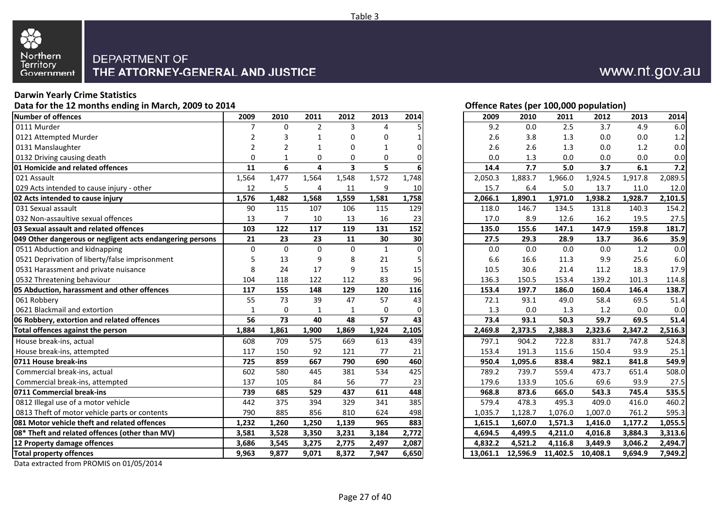

#### **Darwin Yearly Crime Statistics**

**Data for the 12 months ending in March, 2009 to 2014**

| Number of offences                                        | 2009           | 2010           | 2011           | 2012                    | 2013         | 2014  | 2009     | 2010     | 2011     | 2012     | 2013    | 2014    |
|-----------------------------------------------------------|----------------|----------------|----------------|-------------------------|--------------|-------|----------|----------|----------|----------|---------|---------|
| 0111 Murder                                               | 7              | $\Omega$       | $\overline{2}$ | 3                       | $\Delta$     |       | 9.2      | 0.0      | 2.5      | 3.7      | 4.9     | 6.0     |
| 0121 Attempted Murder                                     | 2              | 3              | $\mathbf 1$    | 0                       | $\Omega$     |       | 2.6      | 3.8      | 1.3      | 0.0      | 0.0     | 1.2     |
| 0131 Manslaughter                                         | $\overline{2}$ | $\overline{2}$ | $\mathbf 1$    | 0                       | $\mathbf 1$  |       | 2.6      | 2.6      | 1.3      | 0.0      | 1.2     | 0.0     |
| 0132 Driving causing death                                | $\Omega$       |                | $\mathbf 0$    | 0                       | $\Omega$     |       | 0.0      | 1.3      | 0.0      | 0.0      | 0.0     | 0.0     |
| 01 Homicide and related offences                          | 11             | 6              | 4              | $\overline{\mathbf{3}}$ | 5            |       | 14.4     | 7.7      | 5.0      | 3.7      | 6.1     | 7.2     |
| 021 Assault                                               | 1,564          | 1,477          | 1,564          | 1,548                   | 1,572        | 1,748 | 2,050.3  | 1,883.7  | 1,966.0  | 1,924.5  | 1,917.8 | 2,089.5 |
| 029 Acts intended to cause injury - other                 | 12             | 5              | 4              | 11                      | 9            | 10    | 15.7     | 6.4      | 5.0      | 13.7     | 11.0    | 12.0    |
| 02 Acts intended to cause injury                          | 1,576          | 1,482          | 1,568          | 1,559                   | 1,581        | 1,758 | 2,066.1  | 1,890.1  | 1,971.0  | 1,938.2  | 1,928.7 | 2,101.5 |
| 031 Sexual assault                                        | 90             | 115            | 107            | 106                     | 115          | 129   | 118.0    | 146.7    | 134.5    | 131.8    | 140.3   | 154.2   |
| 032 Non-assaultive sexual offences                        | 13             | $\overline{7}$ | 10             | 13                      | 16           | 23    | 17.0     | 8.9      | 12.6     | 16.2     | 19.5    | 27.5    |
| 03 Sexual assault and related offences                    | 103            | 122            | 117            | 119                     | 131          | 152   | 135.0    | 155.6    | 147.1    | 147.9    | 159.8   | 181.7   |
| 049 Other dangerous or negligent acts endangering persons | 21             | 23             | 23             | 11                      | 30           | 30    | 27.5     | 29.3     | 28.9     | 13.7     | 36.6    | 35.9    |
| 0511 Abduction and kidnapping                             | $\Omega$       | $\Omega$       | $\Omega$       | $\Omega$                | $\mathbf{1}$ |       | 0.0      | 0.0      | 0.0      | 0.0      | 1.2     | 0.0     |
| 0521 Deprivation of liberty/false imprisonment            | 5              | 13             | 9              | 8                       | 21           |       | 6.6      | 16.6     | 11.3     | 9.9      | 25.6    | 6.0     |
| 0531 Harassment and private nuisance                      | 8              | 24             | 17             | 9                       | 15           | 15    | 10.5     | 30.6     | 21.4     | 11.2     | 18.3    | 17.9    |
| 0532 Threatening behaviour                                | 104            | 118            | 122            | 112                     | 83           | 96    | 136.3    | 150.5    | 153.4    | 139.2    | 101.3   | 114.8   |
| 05 Abduction, harassment and other offences               | 117            | 155            | 148            | 129                     | 120          | 116   | 153.4    | 197.7    | 186.0    | 160.4    | 146.4   | 138.7   |
| 061 Robbery                                               | 55             | 73             | 39             | 47                      | 57           | 43    | 72.1     | 93.1     | 49.0     | 58.4     | 69.5    | 51.4    |
| 0621 Blackmail and extortion                              | $\mathbf{1}$   | $\mathbf 0$    | $\mathbf{1}$   | $\mathbf{1}$            | $\mathbf 0$  |       | 1.3      | 0.0      | 1.3      | 1.2      | 0.0     | 0.0     |
| 06 Robbery, extortion and related offences                | 56             | 73             | 40             | 48                      | 57           | 43    | 73.4     | 93.1     | 50.3     | 59.7     | 69.5    | 51.4    |
| Total offences against the person                         | 1,884          | 1,861          | 1,900          | 1,869                   | 1,924        | 2,105 | 2,469.8  | 2,373.5  | 2,388.3  | 2,323.6  | 2,347.2 | 2,516.3 |
| House break-ins, actual                                   | 608            | 709            | 575            | 669                     | 613          | 439   | 797.1    | 904.2    | 722.8    | 831.7    | 747.8   | 524.8   |
| House break-ins, attempted                                | 117            | 150            | 92             | 121                     | 77           | 21    | 153.4    | 191.3    | 115.6    | 150.4    | 93.9    | 25.1    |
| 0711 House break-ins                                      | 725            | 859            | 667            | 790                     | 690          | 460   | 950.4    | 1,095.6  | 838.4    | 982.1    | 841.8   | 549.9   |
| Commercial break-ins, actual                              | 602            | 580            | 445            | 381                     | 534          | 425   | 789.2    | 739.7    | 559.4    | 473.7    | 651.4   | 508.0   |
| Commercial break-ins, attempted                           | 137            | 105            | 84             | 56                      | 77           | 23    | 179.6    | 133.9    | 105.6    | 69.6     | 93.9    | 27.5    |
| 0711 Commercial break-ins                                 | 739            | 685            | 529            | 437                     | 611          | 448   | 968.8    | 873.6    | 665.0    | 543.3    | 745.4   | 535.5   |
| 0812 Illegal use of a motor vehicle                       | 442            | 375            | 394            | 329                     | 341          | 385   | 579.4    | 478.3    | 495.3    | 409.0    | 416.0   | 460.2   |
| 0813 Theft of motor vehicle parts or contents             | 790            | 885            | 856            | 810                     | 624          | 498   | 1,035.7  | 1,128.7  | 1,076.0  | 1,007.0  | 761.2   | 595.3   |
| <b>1081 Motor vehicle theft and related offences</b>      | 1,232          | 1,260          | 1,250          | 1,139                   | 965          | 883   | 1,615.1  | 1,607.0  | 1,571.3  | 1,416.0  | 1,177.2 | 1,055.5 |
| 08* Theft and related offences (other than MV)            | 3,581          | 3,528          | 3,350          | 3,231                   | 3,184        | 2,772 | 4,694.5  | 4,499.5  | 4,211.0  | 4,016.8  | 3,884.3 | 3,313.6 |
| 12 Property damage offences                               | 3.686          | 3,545          | 3,275          | 2,775                   | 2,497        | 2,087 | 4.832.2  | 4.521.2  | 4.116.8  | 3,449.9  | 3.046.2 | 2,494.7 |
| <b>Total property offences</b>                            | 9,963          | 9,877          | 9,071          | 8,372                   | 7,947        | 6,650 | 13,061.1 | 12,596.9 | 11,402.5 | 10,408.1 | 9,694.9 | 7,949.2 |

Data extracted from PROMIS on 01/05/2014

#### **Offence Rates (per 100,000 population)**

| 9                       | 2010        | 2011           | 2012         | 2013         | 2014        | 2009     | 2010     | 2011     | 2012     | 2013    | 2014    |
|-------------------------|-------------|----------------|--------------|--------------|-------------|----------|----------|----------|----------|---------|---------|
| 7                       | 0           | $\overline{2}$ | 3            | 4            | 5           | 9.2      | 0.0      | 2.5      | 3.7      | 4.9     | 6.0     |
| 2                       | 3           | 1              | 0            | 0            | 1           | 2.6      | 3.8      | 1.3      | 0.0      | 0.0     | $1.2\,$ |
| 2                       | 2           | 1              | 0            | 1            | 0           | 2.6      | 2.6      | 1.3      | 0.0      | 1.2     | 0.0     |
| 0                       | 1           | 0              | 0            | 0            | 0           | 0.0      | 1.3      | 0.0      | 0.0      | 0.0     | 0.0     |
| 1                       | 6           | 4              | 3            | 5            | 6           | 14.4     | 7.7      | 5.0      | 3.7      | 6.1     | 7.2     |
| 4                       | 1,477       | 1,564          | 1,548        | 1,572        | 1,748       | 2,050.3  | 1,883.7  | 1,966.0  | 1,924.5  | 1,917.8 | 2,089.5 |
| 2                       | 5           | 4              | 11           | 9            | 10          | 15.7     | 6.4      | 5.0      | 13.7     | 11.0    | 12.0    |
| 6                       | 1,482       | 1,568          | 1,559        | 1,581        | 1,758       | 2,066.1  | 1,890.1  | 1,971.0  | 1,938.2  | 1,928.7 | 2,101.5 |
| 0                       | 115         | 107            | 106          | 115          | 129         | 118.0    | 146.7    | 134.5    | 131.8    | 140.3   | 154.2   |
| 3                       | 7           | 10             | 13           | 16           | 23          | 17.0     | 8.9      | 12.6     | 16.2     | 19.5    | 27.5    |
| 3                       | 122         | 117            | 119          | 131          | 152         | 135.0    | 155.6    | 147.1    | 147.9    | 159.8   | 181.7   |
| 1                       | 23          | 23             | 11           | 30           | 30          | 27.5     | 29.3     | 28.9     | 13.7     | 36.6    | 35.9    |
| 0                       | $\mathbf 0$ | $\mathbf 0$    | $\mathbf 0$  | $\mathbf{1}$ | 0           | $0.0\,$  | 0.0      | 0.0      | 0.0      | 1.2     | 0.0     |
| 5                       | 13          | 9              | 8            | 21           | 5           | 6.6      | 16.6     | 11.3     | 9.9      | 25.6    | 6.0     |
| 8                       | 24          | 17             | 9            | 15           | 15          | 10.5     | 30.6     | 21.4     | 11.2     | 18.3    | 17.9    |
| 4                       | 118         | 122            | 112          | 83           | 96          | 136.3    | 150.5    | 153.4    | 139.2    | 101.3   | 114.8   |
| 7                       | 155         | 148            | 129          | 120          | 116         | 153.4    | 197.7    | 186.0    | 160.4    | 146.4   | 138.7   |
| 5                       | 73          | 39             | 47           | 57           | 43          | 72.1     | 93.1     | 49.0     | 58.4     | 69.5    | 51.4    |
| 1                       | 0           | $\mathbf{1}$   | $\mathbf{1}$ | $\mathbf 0$  | $\mathbf 0$ | 1.3      | 0.0      | 1.3      | $1.2$    | 0.0     | 0.0     |
| 6                       | 73          | 40             | 48           | 57           | 43          | 73.4     | 93.1     | 50.3     | 59.7     | 69.5    | 51.4    |
| 4                       | 1,861       | 1,900          | 1,869        | 1,924        | 2,105       | 2,469.8  | 2,373.5  | 2,388.3  | 2,323.6  | 2,347.2 | 2,516.3 |
| 8                       | 709         | 575            | 669          | 613          | 439         | 797.1    | 904.2    | 722.8    | 831.7    | 747.8   | 524.8   |
| 7                       | 150         | 92             | 121          | 77           | 21          | 153.4    | 191.3    | 115.6    | 150.4    | 93.9    | 25.1    |
| 5                       | 859         | 667            | 790          | 690          | 460         | 950.4    | 1,095.6  | 838.4    | 982.1    | 841.8   | 549.9   |
| $\overline{\mathbf{c}}$ | 580         | 445            | 381          | 534          | 425         | 789.2    | 739.7    | 559.4    | 473.7    | 651.4   | 508.0   |
| 7                       | 105         | 84             | 56           | 77           | 23          | 179.6    | 133.9    | 105.6    | 69.6     | 93.9    | 27.5    |
| 9                       | 685         | 529            | 437          | 611          | 448         | 968.8    | 873.6    | 665.0    | 543.3    | 745.4   | 535.5   |
| $\overline{\mathbf{c}}$ | 375         | 394            | 329          | 341          | 385         | 579.4    | 478.3    | 495.3    | 409.0    | 416.0   | 460.2   |
| 0                       | 885         | 856            | 810          | 624          | 498         | 1,035.7  | 1,128.7  | 1,076.0  | 1,007.0  | 761.2   | 595.3   |
| 2                       | 1,260       | 1,250          | 1,139        | 965          | 883         | 1,615.1  | 1,607.0  | 1,571.3  | 1,416.0  | 1,177.2 | 1,055.5 |
| 1                       | 3,528       | 3,350          | 3,231        | 3,184        | 2,772       | 4,694.5  | 4,499.5  | 4,211.0  | 4,016.8  | 3,884.3 | 3,313.6 |
| 6                       | 3,545       | 3,275          | 2,775        | 2,497        | 2,087       | 4,832.2  | 4,521.2  | 4,116.8  | 3,449.9  | 3,046.2 | 2,494.7 |
| 3                       | 9,877       | 9,071          | 8,372        | 7,947        | 6,650       | 13,061.1 | 12,596.9 | 11,402.5 | 10,408.1 | 9,694.9 | 7,949.2 |
|                         |             |                |              |              |             |          |          |          |          |         |         |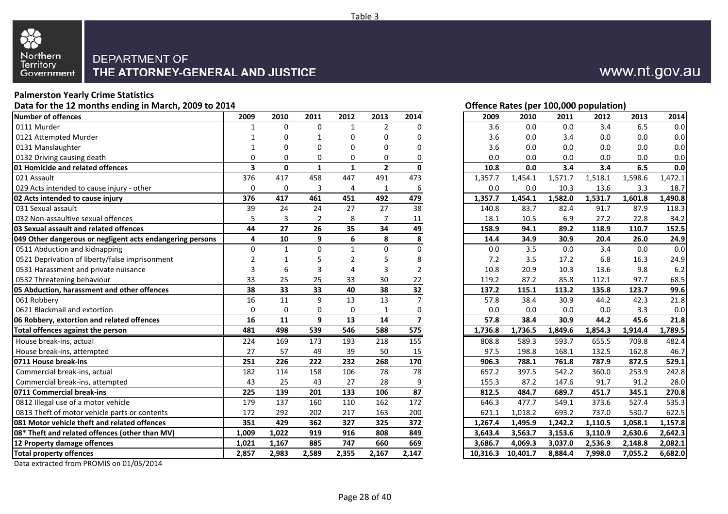

#### **Palmerston Yearly Crime Statistics**

**Data for the 12 months ending in March, 2009 to 2014**

| Number of offences                                        | 2009           | 2010                    | 2011           | 2012           | 2013           | 2014            | 2009     | 2010     | 2011    | 2012    | 2013    | 2014    |
|-----------------------------------------------------------|----------------|-------------------------|----------------|----------------|----------------|-----------------|----------|----------|---------|---------|---------|---------|
| 0111 Murder                                               | 1              | $\Omega$                | $\Omega$       | $\mathbf{1}$   | 2              |                 | 3.6      | 0.0      | 0.0     | 3.4     | 6.5     | 0.0     |
| 0121 Attempted Murder                                     |                | $\Omega$                | -1             | 0              | $\Omega$       |                 | 3.6      | 0.0      | 3.4     | 0.0     | 0.0     | 0.0     |
| 0131 Manslaughter                                         |                | 0                       | $\Omega$       | 0              | $\Omega$       |                 | 3.6      | 0.0      | 0.0     | 0.0     | 0.0     | 0.0     |
| 0132 Driving causing death                                | $\Omega$       | $\Omega$                | 0              | 0              | $\Omega$       |                 | 0.0      | 0.0      | 0.0     | 0.0     | 0.0     | 0.0     |
| 01 Homicide and related offences                          | 3              | $\mathbf 0$             | $\mathbf{1}$   | 1              | $\overline{2}$ |                 | 10.8     | 0.0      | 3.4     | 3.4     | 6.5     | 0.0     |
| 021 Assault                                               | 376            | 417                     | 458            | 447            | 491            | 473             | 1,357.7  | 1,454.1  | 1,571.7 | 1,518.1 | 1,598.6 | 1,472.1 |
| 029 Acts intended to cause injury - other                 | 0              | 0                       | 3              | 4              | 1              | 6               | 0.0      | 0.0      | 10.3    | 13.6    | 3.3     | 18.7    |
| 02 Acts intended to cause injury                          | 376            | 417                     | 461            | 451            | 492            | 479             | 1,357.7  | 1,454.1  | 1,582.0 | 1,531.7 | 1,601.8 | 1,490.8 |
| 031 Sexual assault                                        | 39             | 24                      | 24             | 27             | 27             | 38              | 140.8    | 83.7     | 82.4    | 91.7    | 87.9    | 118.3   |
| 032 Non-assaultive sexual offences                        | 5              | $\overline{\mathbf{3}}$ | $\overline{2}$ | 8              | $\overline{7}$ | 11              | 18.1     | 10.5     | 6.9     | 27.2    | 22.8    | 34.2    |
| 03 Sexual assault and related offences                    | 44             | 27                      | 26             | 35             | 34             | 49              | 158.9    | 94.1     | 89.2    | 118.9   | 110.7   | 152.5   |
| 049 Other dangerous or negligent acts endangering persons | 4              | 10                      | 9              | 6              | 8              | 8               | 14.4     | 34.9     | 30.9    | 20.4    | 26.0    | 24.9    |
| 0511 Abduction and kidnapping                             | $\Omega$       | $\mathbf{1}$            | $\Omega$       | $\mathbf{1}$   | $\Omega$       |                 | 0.0      | 3.5      | 0.0     | 3.4     | 0.0     | 0.0     |
| 0521 Deprivation of liberty/false imprisonment            | $\overline{2}$ | 1                       | 5              | $\overline{2}$ | .5             |                 | 7.2      | 3.5      | 17.2    | 6.8     | 16.3    | 24.9    |
| 0531 Harassment and private nuisance                      | 3              | 6                       | 3              | 4              | 3              |                 | 10.8     | 20.9     | 10.3    | 13.6    | 9.8     | 6.2     |
| 0532 Threatening behaviour                                | 33             | 25                      | 25             | 33             | 30             | 22              | 119.2    | 87.2     | 85.8    | 112.1   | 97.7    | 68.5    |
| 05 Abduction, harassment and other offences               | 38             | 33                      | 33             | 40             | 38             | 32              | 137.2    | 115.1    | 113.2   | 135.8   | 123.7   | 99.6    |
| 061 Robbery                                               | 16             | 11                      | 9              | 13             | 13             |                 | 57.8     | 38.4     | 30.9    | 44.2    | 42.3    | 21.8    |
| 0621 Blackmail and extortion                              | 0              | 0                       | $\mathbf 0$    | $\mathbf 0$    | $\mathbf{1}$   |                 | 0.0      | 0.0      | 0.0     | 0.0     | 3.3     | 0.0     |
| 06 Robbery, extortion and related offences                | 16             | $\overline{11}$         | 9              | 13             | 14             |                 | 57.8     | 38.4     | 30.9    | 44.2    | 45.6    | 21.8    |
| Total offences against the person                         | 481            | 498                     | 539            | 546            | 588            | 575             | 1,736.8  | 1,736.5  | 1,849.6 | 1,854.3 | 1,914.4 | 1,789.5 |
| House break-ins, actual                                   | 224            | 169                     | 173            | 193            | 218            | 155             | 808.8    | 589.3    | 593.7   | 655.5   | 709.8   | 482.4   |
| House break-ins, attempted                                | 27             | 57                      | 49             | 39             | 50             | 15              | 97.5     | 198.8    | 168.1   | 132.5   | 162.8   | 46.7    |
| 0711 House break-ins                                      | 251            | 226                     | 222            | 232            | 268            | 170             | 906.3    | 788.1    | 761.8   | 787.9   | 872.5   | 529.1   |
| Commercial break-ins, actual                              | 182            | 114                     | 158            | 106            | 78             | 78              | 657.2    | 397.5    | 542.2   | 360.0   | 253.9   | 242.8   |
| Commercial break-ins, attempted                           | 43             | 25                      | 43             | 27             | 28             |                 | 155.3    | 87.2     | 147.6   | 91.7    | 91.2    | 28.0    |
| 0711 Commercial break-ins                                 | 225            | 139                     | 201            | 133            | 106            | $\overline{87}$ | 812.5    | 484.7    | 689.7   | 451.7   | 345.1   | 270.8   |
| 0812 Illegal use of a motor vehicle                       | 179            | 137                     | 160            | 110            | 162            | 172             | 646.3    | 477.7    | 549.1   | 373.6   | 527.4   | 535.3   |
| 0813 Theft of motor vehicle parts or contents             | 172            | 292                     | 202            | 217            | 163            | 200             | 621.1    | 1,018.2  | 693.2   | 737.0   | 530.7   | 622.5   |
| <b>081 Motor vehicle theft and related offences</b>       | 351            | 429                     | 362            | 327            | 325            | 372             | 1,267.4  | 1,495.9  | 1,242.2 | 1,110.5 | 1.058.1 | 1,157.8 |
| 08* Theft and related offences (other than MV)            | 1,009          | 1,022                   | 919            | 916            | 808            | 849             | 3,643.4  | 3,563.7  | 3,153.6 | 3,110.9 | 2,630.6 | 2,642.3 |
| 12 Property damage offences                               | 1,021          | 1,167                   | 885            | 747            | 660            | 669             | 3,686.7  | 4,069.3  | 3,037.0 | 2,536.9 | 2,148.8 | 2,082.1 |
| <b>Total property offences</b>                            | 2,857          | 2,983                   | 2,589          | 2,355          | 2,167          | 2,147           | 10,316.3 | 10,401.7 | 8,884.4 | 7,998.0 | 7,055.2 | 6,682.0 |
|                                                           |                |                         |                |                |                |                 |          |          |         |         |         |         |

Data extracted from PROMIS on 01/05/2014

| 1              | 0            | $\mathbf{1}$   | 0            | 0              | $\Omega$        | 3.6     | 0.0     | 3.4     | 0.0     | 0.0     | 0.0     |
|----------------|--------------|----------------|--------------|----------------|-----------------|---------|---------|---------|---------|---------|---------|
| 1              | 0            | 0              | 0            | $\Omega$       | $\overline{0}$  | 3.6     | 0.0     | 0.0     | 0.0     | 0.0     | 0.0     |
| 0              | 0            | $\Omega$       | 0            | $\Omega$       | $\Omega$        | 0.0     | 0.0     | 0.0     | 0.0     | 0.0     | 0.0     |
| 3              | $\mathbf{0}$ | $\mathbf{1}$   | $\mathbf{1}$ | $\overline{2}$ | $\Omega$        | 10.8    | 0.0     | 3.4     | 3.4     | 6.5     | 0.0     |
| 6              | 417          | 458            | 447          | 491            | 473             | 1,357.7 | 1,454.1 | 1,571.7 | 1,518.1 | 1,598.6 | 1,472.1 |
| 0              | $\mathbf 0$  | 3              | 4            | $\mathbf{1}$   | $6 \mid$        | 0.0     | 0.0     | 10.3    | 13.6    | 3.3     | 18.7    |
| $\overline{6}$ | 417          | 461            | 451          | 492            | 479             | 1,357.7 | 1,454.1 | 1,582.0 | 1,531.7 | 1,601.8 | 1,490.8 |
| 9              | 24           | 24             | 27           | 27             | 38              | 140.8   | 83.7    | 82.4    | 91.7    | 87.9    | 118.3   |
| $\overline{5}$ | 3            | $\overline{2}$ | 8            | $\overline{7}$ | 11              | 18.1    | 10.5    | 6.9     | 27.2    | 22.8    | 34.2    |
| 4              | 27           | 26             | 35           | 34             | 49              | 158.9   | 94.1    | 89.2    | 118.9   | 110.7   | 152.5   |
| 4              | 10           | 9              | 6            | 8              | 8               | 14.4    | 34.9    | 30.9    | 20.4    | 26.0    | 24.9    |
| 0              | $\mathbf{1}$ | $\Omega$       | $\mathbf{1}$ | $\mathbf 0$    | $\Omega$        | 0.0     | 3.5     | 0.0     | 3.4     | 0.0     | 0.0     |
| 2              | 1            | 5              | 2            | 5              | 8               | 7.2     | 3.5     | 17.2    | 6.8     | 16.3    | 24.9    |
| 3              | 6            | 3              | 4            | 3              | $\mathsf{2}$    | 10.8    | 20.9    | 10.3    | 13.6    | 9.8     | 6.2     |
| 3              | 25           | 25             | 33           | 30             | 22              | 119.2   | 87.2    | 85.8    | 112.1   | 97.7    | 68.5    |
| 8              | 33           | 33             | 40           | 38             | 32              | 137.2   | 115.1   | 113.2   | 135.8   | 123.7   | 99.6    |
| 6              | $11\,$       | 9              | 13           | 13             | 7               | 57.8    | 38.4    | 30.9    | 44.2    | 42.3    | 21.8    |
| 0              | $\Omega$     | $\mathbf 0$    | $\Omega$     | $\mathbf{1}$   | $\overline{0}$  | 0.0     | 0.0     | 0.0     | 0.0     | 3.3     | 0.0     |
| 6              | 11           | 9              | 13           | 14             |                 | 57.8    | 38.4    | 30.9    | 44.2    | 45.6    | 21.8    |
| 1              | 498          | 539            | 546          | 588            | 575             | 1,736.8 | 1,736.5 | 1,849.6 | 1,854.3 | 1,914.4 | 1,789.5 |
| 4              | 169          | 173            | 193          | 218            | 155             | 808.8   | 589.3   | 593.7   | 655.5   | 709.8   | 482.4   |
| 7              | 57           | 49             | 39           | 50             | 15 <sub>l</sub> | 97.5    | 198.8   | 168.1   | 132.5   | 162.8   | 46.7    |
| 1              | 226          | 222            | 232          | 268            | 170             | 906.3   | 788.1   | 761.8   | 787.9   | 872.5   | 529.1   |
| $\overline{2}$ | 114          | 158            | 106          | 78             | 78              | 657.2   | 397.5   | 542.2   | 360.0   | 253.9   | 242.8   |
| 3              | 25           | 43             | 27           | 28             | 9               | 155.3   | 87.2    | 147.6   | 91.7    | 91.2    | 28.0    |
|                | 139          | 201            | 133          | 106            | 87              | 812.5   | 484.7   | 689.7   | 451.7   | 345.1   | 270.8   |
| 9              | 137          | 160            | 110          | 162            | 172             | 646.3   | 477.7   | 549.1   | 373.6   | 527.4   | 535.3   |
|                |              |                |              |                |                 |         |         |         |         |         |         |

**Offence Rates (per 100,000 population)**<br>2009 2010 2011 2012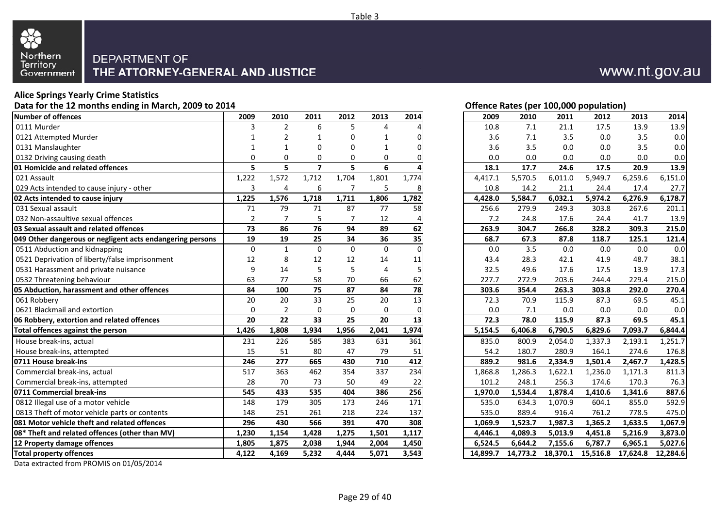

#### **Alice Springs Yearly Crime Statistics**

**Data for the 12 months ending in March, 2009 to 2014**

| <b>Number of offences</b>                                 | 2009           | 2010           | 2011                    | 2012         | 2013           | 2014            | 2009     | 2010    | 2011              | 2012     | 2013     | 2014     |
|-----------------------------------------------------------|----------------|----------------|-------------------------|--------------|----------------|-----------------|----------|---------|-------------------|----------|----------|----------|
| 0111 Murder                                               | 3              | $\overline{2}$ | 6                       | 5.           | Δ              |                 | 10.8     | 7.1     | 21.1              | 17.5     | 13.9     | 13.9     |
| 0121 Attempted Murder                                     |                | $\overline{2}$ | 1                       | 0            |                |                 | 3.6      | 7.1     | 3.5               | 0.0      | 3.5      | 0.0      |
| 0131 Manslaughter                                         |                | 1              | 0                       | 0            | 1              |                 | 3.6      | 3.5     | 0.0               | 0.0      | 3.5      | 0.0      |
| 0132 Driving causing death                                | $\Omega$       | $\Omega$       | 0                       | 0            | $\mathbf 0$    |                 | 0.0      | 0.0     | 0.0               | 0.0      | 0.0      | 0.0      |
| <b>01 Homicide and related offences</b>                   | 5.             | 5              | $\overline{\mathbf{z}}$ | 5.           | 6              |                 | 18.1     | 17.7    | 24.6              | 17.5     | 20.9     | 13.9     |
| 021 Assault                                               | 1,222          | 1,572          | 1,712                   | 1,704        | 1,801          | 1,774           | 4,417.1  | 5,570.5 | 6,011.0           | 5,949.7  | 6,259.6  | 6,151.0  |
| 029 Acts intended to cause injury - other                 | 3              | 4              | 6                       |              | 5              |                 | 10.8     | 14.2    | 21.1              | 24.4     | 17.4     | 27.7     |
| 02 Acts intended to cause injury                          | 1,225          | 1,576          | 1,718                   | 1,711        | 1,806          | 1,782           | 4,428.0  | 5,584.7 | 6,032.1           | 5,974.2  | 6,276.9  | 6,178.7  |
| 031 Sexual assault                                        | 71             | 79             | 71                      | 87           | 77             | 58              | 256.6    | 279.9   | 249.3             | 303.8    | 267.6    | 201.1    |
| 032 Non-assaultive sexual offences                        | $\overline{2}$ | $\overline{7}$ | 5                       |              | 12             |                 | 7.2      | 24.8    | 17.6              | 24.4     | 41.7     | 13.9     |
| 03 Sexual assault and related offences                    | 73             | 86             | $\overline{76}$         | 94           | 89             | 62              | 263.9    | 304.7   | 266.8             | 328.2    | 309.3    | 215.0    |
| 049 Other dangerous or negligent acts endangering persons | 19             | 19             | 25                      | 34           | 36             | 35              | 68.7     | 67.3    | 87.8              | 118.7    | 125.1    | 121.4    |
| 0511 Abduction and kidnapping                             | $\mathbf 0$    | $\mathbf{1}$   | $\Omega$                | $\mathbf{0}$ | $\Omega$       | $\Omega$        | 0.0      | 3.5     | 0.0               | 0.0      | 0.0      | 0.0      |
| 0521 Deprivation of liberty/false imprisonment            | 12             | 8              | 12                      | 12           | 14             | 11              | 43.4     | 28.3    | 42.1              | 41.9     | 48.7     | 38.1     |
| 0531 Harassment and private nuisance                      | 9              | 14             | 5                       | 5            | $\overline{4}$ |                 | 32.5     | 49.6    | 17.6              | 17.5     | 13.9     | 17.3     |
| 0532 Threatening behaviour                                | 63             | 77             | 58                      | 70           | 66             | 62              | 227.7    | 272.9   | 203.6             | 244.4    | 229.4    | 215.0    |
| 05 Abduction, harassment and other offences               | 84             | 100            | 75                      | 87           | 84             | 78              | 303.6    | 354.4   | 263.3             | 303.8    | 292.0    | 270.4    |
| 061 Robbery                                               | 20             | 20             | 33                      | 25           | 20             | $\overline{13}$ | 72.3     | 70.9    | 115.9             | 87.3     | 69.5     | 45.1     |
| 0621 Blackmail and extortion                              | 0              | $\overline{2}$ | 0                       | 0            | $\mathbf 0$    | 0               | 0.0      | 7.1     | 0.0               | 0.0      | 0.0      | 0.0      |
| 06 Robbery, extortion and related offences                | 20             | 22             | 33                      | 25           | 20             | 13              | 72.3     | 78.0    | 115.9             | 87.3     | 69.5     | 45.1     |
| Total offences against the person                         | 1,426          | 1,808          | 1,934                   | 1,956        | 2,041          | 1,974           | 5,154.5  | 6,406.8 | 6,790.5           | 6,829.6  | 7,093.7  | 6,844.4  |
| House break-ins, actual                                   | 231            | 226            | 585                     | 383          | 631            | 361             | 835.0    | 800.9   | 2,054.0           | 1,337.3  | 2,193.1  | 1,251.7  |
| House break-ins, attempted                                | 15             | 51             | 80                      | 47           | 79             | 51              | 54.2     | 180.7   | 280.9             | 164.1    | 274.6    | 176.8    |
| 0711 House break-ins                                      | 246            | 277            | 665                     | 430          | 710            | 412             | 889.2    | 981.6   | 2,334.9           | 1,501.4  | 2,467.7  | 1,428.5  |
| Commercial break-ins, actual                              | 517            | 363            | 462                     | 354          | 337            | 234             | 1,868.8  | 1,286.3 | 1,622.1           | 1,236.0  | 1,171.3  | 811.3    |
| Commercial break-ins, attempted                           | 28             | 70             | 73                      | 50           | 49             | 22              | 101.2    | 248.1   | 256.3             | 174.6    | 170.3    | 76.3     |
| 0711 Commercial break-ins                                 | 545            | 433            | 535                     | 404          | 386            | 256             | 1,970.0  | 1,534.4 | 1,878.4           | 1,410.6  | 1,341.6  | 887.6    |
| 0812 Illegal use of a motor vehicle                       | 148            | 179            | 305                     | 173          | 246            | 171             | 535.0    | 634.3   | 1,070.9           | 604.1    | 855.0    | 592.9    |
| 0813 Theft of motor vehicle parts or contents             | 148            | 251            | 261                     | 218          | 224            | 137             | 535.0    | 889.4   | 916.4             | 761.2    | 778.5    | 475.0    |
| 081 Motor vehicle theft and related offences              | 296            | 430            | 566                     | 391          | 470            | 308             | 1,069.9  | 1,523.7 | 1,987.3           | 1,365.2  | 1,633.5  | 1,067.9  |
| 08* Theft and related offences (other than MV)            | 1,230          | 1,154          | 1,428                   | 1,275        | 1,501          | 1,117           | 4,446.1  | 4,089.3 | 5,013.9           | 4,451.8  | 5,216.9  | 3,873.0  |
| 12 Property damage offences                               | 1,805          | 1,875          | 2,038                   | 1,944        | 2,004          | 1,450           | 6,524.5  | 6.644.2 | 7,155.6           | 6,787.7  | 6.965.1  | 5,027.6  |
| <b>Total property offences</b>                            | 4,122          | 4,169          | 5,232                   | 4,444        | 5,071          | 3,543           | 14,899.7 |         | 14,773.2 18,370.1 | 15,516.8 | 17,624.8 | 12,284.6 |
|                                                           |                |                |                         |              |                |                 |          |         |                   |          |          |          |

Data extracted from PROMIS on 01/05/2014

#### **Offence Rates (per 100,000 population)**

| 9                       | 2010           | 2011           | 2012           | 2013        | 2014     | 2009     | 2010     | 2011     | 2012     | 2013     | 2014     |
|-------------------------|----------------|----------------|----------------|-------------|----------|----------|----------|----------|----------|----------|----------|
| 3                       | 2              | 6              | 5              | 4           | 4        | 10.8     | 7.1      | 21.1     | 17.5     | 13.9     | 13.9     |
| 1                       | 2              | 1              | 0              | 1           | 0        | 3.6      | 7.1      | 3.5      | 0.0      | 3.5      | 0.0      |
| 1                       | 1              | 0              | 0              | 1           | 0        | 3.6      | 3.5      | 0.0      | 0.0      | 3.5      | 0.0      |
| 0                       | 0              | $\Omega$       | 0              | 0           | 0        | 0.0      | 0.0      | 0.0      | 0.0      | 0.0      | 0.0      |
| $\frac{5}{2}$           | 5              | $\overline{7}$ | 5              | 6           |          | 18.1     | 17.7     | 24.6     | 17.5     | 20.9     | 13.9     |
|                         | 1,572          | 1,712          | 1,704          | 1,801       | 1,774    | 4,417.1  | 5,570.5  | 6,011.0  | 5,949.7  | 6,259.6  | 6,151.0  |
| 3                       | 4              | 6              | $\overline{7}$ | 5           | 8        | 10.8     | 14.2     | 21.1     | 24.4     | 17.4     | 27.7     |
| 5                       | 1,576          | 1,718          | 1,711          | 1,806       | 1,782    | 4,428.0  | 5,584.7  | 6,032.1  | 5,974.2  | 6,276.9  | 6,178.7  |
| 1                       | 79             | 71             | 87             | 77          | 58       | 256.6    | 279.9    | 249.3    | 303.8    | 267.6    | 201.1    |
| $\frac{2}{3}$           | 7              | 5              | $\overline{7}$ | 12          | 4        | 7.2      | 24.8     | 17.6     | 24.4     | 41.7     | 13.9     |
|                         | 86             | 76             | 94             | 89          | 62       | 263.9    | 304.7    | 266.8    | 328.2    | 309.3    | 215.0    |
| 9                       | 19             | 25             | 34             | 36          | 35       | 68.7     | 67.3     | 87.8     | 118.7    | 125.1    | 121.4    |
| 0                       | $\mathbf{1}$   | $\Omega$       | 0              | $\mathbf 0$ | $\Omega$ | 0.0      | 3.5      | 0.0      | 0.0      | 0.0      | 0.0      |
| 2                       | 8              | 12             | 12             | 14          | 11       | 43.4     | 28.3     | 42.1     | 41.9     | 48.7     | 38.1     |
| 9                       | 14             | 5              | 5              | 4           | 5        | 32.5     | 49.6     | 17.6     | 17.5     | 13.9     | 17.3     |
| $\overline{\mathbf{3}}$ | 77             | 58             | 70             | 66          | 62       | 227.7    | 272.9    | 203.6    | 244.4    | 229.4    | 215.0    |
| 4                       | 100            | 75             | 87             | 84          | 78       | 303.6    | 354.4    | 263.3    | 303.8    | 292.0    | 270.4    |
| 0                       | 20             | 33             | 25             | 20          | 13       | 72.3     | 70.9     | 115.9    | 87.3     | 69.5     | 45.1     |
| 0                       | $\overline{2}$ | $\mathbf 0$    | 0              | 0           | $\Omega$ | 0.0      | 7.1      | $0.0\,$  | 0.0      | 0.0      | 0.0      |
| $\overline{\mathbf{0}}$ | 22             | 33             | 25             | 20          | 13       | 72.3     | 78.0     | 115.9    | 87.3     | 69.5     | 45.1     |
| 6                       | 1,808          | 1,934          | 1,956          | 2,041       | 1,974    | 5,154.5  | 6,406.8  | 6,790.5  | 6,829.6  | 7,093.7  | 6,844.4  |
| 1                       | 226            | 585            | 383            | 631         | 361      | 835.0    | 800.9    | 2,054.0  | 1,337.3  | 2,193.1  | 1,251.7  |
| 5                       | 51             | 80             | 47             | 79          | 51       | 54.2     | 180.7    | 280.9    | 164.1    | 274.6    | 176.8    |
| $\frac{6}{7}$           | 277            | 665            | 430            | 710         | 412      | 889.2    | 981.6    | 2,334.9  | 1,501.4  | 2,467.7  | 1,428.5  |
|                         | 363            | 462            | 354            | 337         | 234      | 1,868.8  | 1,286.3  | 1,622.1  | 1,236.0  | 1,171.3  | 811.3    |
| 8                       | 70             | 73             | 50             | 49          | 22       | 101.2    | 248.1    | 256.3    | 174.6    | 170.3    | 76.3     |
| 5                       | 433            | 535            | 404            | 386         | 256      | 1,970.0  | 1,534.4  | 1,878.4  | 1,410.6  | 1,341.6  | 887.6    |
| 8                       | 179            | 305            | 173            | 246         | 171      | 535.0    | 634.3    | 1,070.9  | 604.1    | 855.0    | 592.9    |
| $\frac{8}{1}$           | 251            | 261            | 218            | 224         | 137      | 535.0    | 889.4    | 916.4    | 761.2    | 778.5    | 475.0    |
| 6                       | 430            | 566            | 391            | 470         | 308      | 1,069.9  | 1,523.7  | 1,987.3  | 1,365.2  | 1,633.5  | 1,067.9  |
| 0                       | 1,154          | 1,428          | 1,275          | 1,501       | 1,117    | 4,446.1  | 4,089.3  | 5,013.9  | 4,451.8  | 5,216.9  | 3,873.0  |
| 5                       | 1,875          | 2,038          | 1,944          | 2,004       | 1,450    | 6,524.5  | 6,644.2  | 7,155.6  | 6,787.7  | 6,965.1  | 5,027.6  |
| $\overline{2}$          | 4,169          | 5,232          | 4.444          | 5,071       | 3,543    | 14,899.7 | 14,773.2 | 18,370.1 | 15,516.8 | 17,624.8 | 12,284.6 |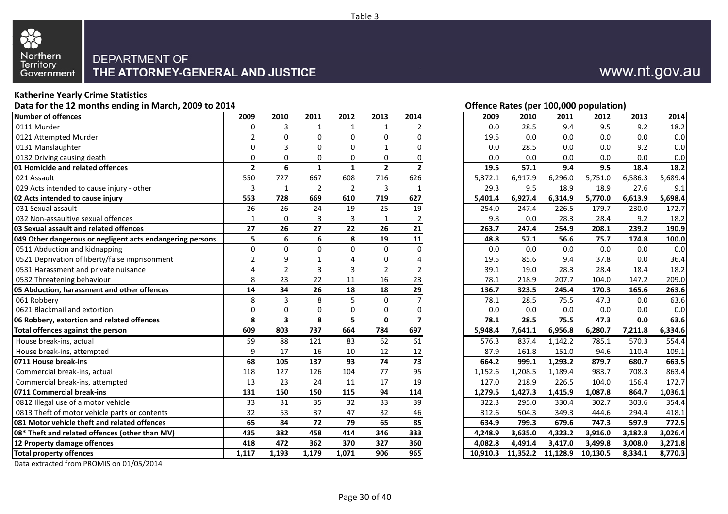

#### **Katherine Yearly Crime Statistics**

**Data for the 12 months ending in March, 2009 to 2014**

| Number of offences                                        | 2009           | 2010                    | 2011           | 2012           | 2013           | 2014            | 2009     | 2010              | 2011    | 2012     | 2013    | 2014    |
|-----------------------------------------------------------|----------------|-------------------------|----------------|----------------|----------------|-----------------|----------|-------------------|---------|----------|---------|---------|
| 0111 Murder                                               | O              | 3                       | $\mathbf{1}$   | 1              | $\mathbf 1$    |                 | 0.0      | 28.5              | 9.4     | 9.5      | 9.2     | 18.2    |
| 0121 Attempted Murder                                     |                | 0                       | $\Omega$       | $\Omega$       | $\Omega$       |                 | 19.5     | 0.0               | 0.0     | 0.0      | 0.0     | 0.0     |
| 0131 Manslaughter                                         | $\Omega$       | 3                       | $\Omega$       | $\mathbf 0$    |                |                 | 0.0      | 28.5              | 0.0     | 0.0      | 9.2     | 0.0     |
| 0132 Driving causing death                                | $\Omega$       | 0                       | 0              | 0              | 0              |                 | 0.0      | 0.0               | 0.0     | 0.0      | 0.0     | 0.0     |
| <b>01 Homicide and related offences</b>                   | $\overline{2}$ | 6                       | $\mathbf{1}$   | $\mathbf{1}$   | $\overline{2}$ |                 | 19.5     | 57.1              | 9.4     | 9.5      | 18.4    | 18.2    |
| 021 Assault                                               | 550            | 727                     | 667            | 608            | 716            | 626             | 5,372.1  | 6,917.9           | 6,296.0 | 5,751.0  | 6,586.3 | 5,689.4 |
| 029 Acts intended to cause injury - other                 | 3              | $\mathbf{1}$            | $\overline{2}$ | $\overline{2}$ | 3              |                 | 29.3     | 9.5               | 18.9    | 18.9     | 27.6    | 9.1     |
| 02 Acts intended to cause injury                          | 553            | 728                     | 669            | 610            | 719            | 627             | 5,401.4  | 6,927.4           | 6,314.9 | 5,770.0  | 6,613.9 | 5.698.4 |
| 031 Sexual assault                                        | 26             | 26                      | 24             | 19             | 25             | 19              | 254.0    | 247.4             | 226.5   | 179.7    | 230.0   | 172.7   |
| 032 Non-assaultive sexual offences                        | $\mathbf{1}$   | 0                       | 3              | 3              | $\mathbf{1}$   |                 | 9.8      | 0.0               | 28.3    | 28.4     | 9.2     | 18.2    |
| 03 Sexual assault and related offences                    | 27             | 26                      | 27             | 22             | 26             | 21              | 263.7    | 247.4             | 254.9   | 208.1    | 239.2   | 190.9   |
| 049 Other dangerous or negligent acts endangering persons | 5              | 6                       | 6              | 8              | 19             | 11              | 48.8     | 57.1              | 56.6    | 75.7     | 174.8   | 100.0   |
| 0511 Abduction and kidnapping                             | $\mathbf 0$    | $\Omega$                | $\mathbf 0$    | $\Omega$       | $\Omega$       | $\Omega$        | 0.0      | 0.0               | 0.0     | 0.0      | 0.0     | 0.0     |
| 0521 Deprivation of liberty/false imprisonment            | $\overline{2}$ | 9                       | $\mathbf{1}$   | 4              | 0              |                 | 19.5     | 85.6              | 9.4     | 37.8     | 0.0     | 36.4    |
| 0531 Harassment and private nuisance                      | 4              | $\overline{2}$          | 3              | 3              | $\overline{2}$ |                 | 39.1     | 19.0              | 28.3    | 28.4     | 18.4    | 18.2    |
| 0532 Threatening behaviour                                | 8              | 23                      | 22             | 11             | 16             | 23              | 78.1     | 218.9             | 207.7   | 104.0    | 147.2   | 209.0   |
| 05 Abduction, harassment and other offences               | 14             | 34                      | 26             | 18             | 18             | 29              | 136.7    | 323.5             | 245.4   | 170.3    | 165.6   | 263.6   |
| 061 Robbery                                               | 8              | 3                       | 8              | 5              | $\Omega$       |                 | 78.1     | 28.5              | 75.5    | 47.3     | 0.0     | 63.6    |
| 0621 Blackmail and extortion                              | $\Omega$       | 0                       | 0              | $\mathbf 0$    | 0              |                 | 0.0      | 0.0               | 0.0     | 0.0      | 0.0     | 0.0     |
| 06 Robbery, extortion and related offences                | 8              | $\overline{\mathbf{3}}$ | 8              | 5              | $\mathbf 0$    |                 | 78.1     | 28.5              | 75.5    | 47.3     | 0.0     | 63.6    |
| Total offences against the person                         | 609            | 803                     | 737            | 664            | 784            | 697             | 5,948.4  | 7,641.1           | 6,956.8 | 6,280.7  | 7,211.8 | 6,334.6 |
| House break-ins, actual                                   | 59             | 88                      | 121            | 83             | 62             | 61              | 576.3    | 837.4             | 1,142.2 | 785.1    | 570.3   | 554.4   |
| House break-ins, attempted                                | 9              | 17                      | 16             | 10             | 12             | 12              | 87.9     | 161.8             | 151.0   | 94.6     | 110.4   | 109.1   |
| 0711 House break-ins                                      | 68             | 105                     | 137            | 93             | 74             | $\overline{73}$ | 664.2    | 999.1             | 1,293.2 | 879.7    | 680.7   | 663.5   |
| Commercial break-ins, actual                              | 118            | 127                     | 126            | 104            | 77             | 95              | 1,152.6  | 1,208.5           | 1,189.4 | 983.7    | 708.3   | 863.4   |
| Commercial break-ins, attempted                           | 13             | 23                      | 24             | 11             | 17             | 19              | 127.0    | 218.9             | 226.5   | 104.0    | 156.4   | 172.7   |
| 0711 Commercial break-ins                                 | 131            | 150                     | 150            | 115            | 94             | 114             | 1,279.5  | 1,427.3           | 1,415.9 | 1,087.8  | 864.7   | 1,036.1 |
| 0812 Illegal use of a motor vehicle                       | 33             | 31                      | 35             | 32             | 33             | $\overline{39}$ | 322.3    | 295.0             | 330.4   | 302.7    | 303.6   | 354.4   |
| 0813 Theft of motor vehicle parts or contents             | 32             | 53                      | 37             | 47             | 32             | 46              | 312.6    | 504.3             | 349.3   | 444.6    | 294.4   | 418.1   |
| 081 Motor vehicle theft and related offences              | 65             | 84                      | 72             | 79             | 65             | 85              | 634.9    | 799.3             | 679.6   | 747.3    | 597.9   | 772.5   |
| 08* Theft and related offences (other than MV)            | 435            | 382                     | 458            | 414            | 346            | 333             | 4,248.9  | 3,635.0           | 4,323.2 | 3,916.0  | 3,182.8 | 3,026.4 |
| 12 Property damage offences                               | 418            | 472                     | 362            | 370            | 327            | 360             | 4.082.8  | 4.491.4           | 3,417.0 | 3,499.8  | 3,008.0 | 3,271.8 |
| <b>Total property offences</b>                            | 1,117          | 1,193                   | 1,179          | 1,071          | 906            | 965             | 10,910.3 | 11,352.2 11,128.9 |         | 10,130.5 | 8,334.1 | 8,770.3 |

| ۰ | O<br>н |  |
|---|--------|--|
|   |        |  |

| Offence Rates (per 100,000 population) |      |      |      |  |
|----------------------------------------|------|------|------|--|
| 2009                                   | 2010 | 2011 | 2012 |  |

| 0<br>3<br>28.5<br>1<br>$\mathbf{1}$<br>1<br>2<br>0.0<br>0<br>0<br>0<br>19.5<br>0.0<br>0<br>0<br>3<br>0.0<br>28.5<br>0<br>0<br>1<br>0<br>0.0<br>0.0<br>0<br>0<br>0<br>0<br>0<br>6<br>$\overline{2}$<br>19.5<br>57.1<br>1<br>1<br>727<br>667<br>608<br>716<br>626<br>5,372.1<br>6,917.9<br>$\overline{2}$<br>$\overline{2}$<br>3<br>29.3<br>9.5<br>1<br>719<br>728<br>669<br>610<br>627<br>6,927.4<br>5,401.4<br>26<br>24<br>19<br>25<br>19<br>254.0<br>247.4<br>3<br>$\boldsymbol{0}$<br>3<br>1<br>9.8<br>0.0<br>2<br>26<br>27<br>22<br>26<br>263.7<br>247.4<br>21<br>6<br>$\bf 6$<br>8<br>19<br>11<br>48.8<br>57.1<br>$\pmb{0}$<br>0<br>0<br>$\mathbf 0$<br>$0.0\,$<br>$0.0\,$<br>$\Omega$<br>85.6<br>9<br>19.5<br>1<br>4<br>0<br>4<br>2<br>3<br>3<br>2<br>39.1<br>19.0<br>23<br>22<br>78.1<br>218.9<br>11<br>16<br>23<br>34<br>26<br>18<br>18<br>136.7<br>323.5<br>29<br>5<br>3<br>8<br>$\mathbf 0$<br>28.5<br>78.1<br>0.0<br>0.0<br>0<br>0<br>0<br>0<br>0<br>8<br>5<br>3<br>0<br>28.5<br>78.1<br>803<br>737<br>664<br>784<br>697<br>5,948.4<br>7,641.1<br>576.3<br>88<br>121<br>83<br>62<br>837.4<br>61<br>16<br>17<br>10<br>12<br>87.9<br>161.8<br>12<br>93<br>105<br>137<br>74<br>73<br>664.2<br>999.1<br>127<br>126<br>104<br>77<br>95<br>1,152.6<br>1,208.5 | 9.4<br>18.2<br>9.5<br>9.2<br>0.0<br>0.0<br>0.0<br>0.0<br>$0.0\,$<br>0.0<br>9.2<br>0.0<br>0.0<br>0.0<br>0.0<br>0.0<br>9.4<br>18.2<br>9.5<br>18.4<br>6,296.0<br>5,751.0<br>6,586.3<br>5,689.4<br>18.9<br>18.9<br>27.6<br>9.1<br>5,770.0<br>6,314.9<br>6,613.9<br>5,698.4<br>172.7<br>226.5<br>179.7<br>230.0<br>28.3<br>28.4<br>9.2<br>18.2<br>254.9<br>208.1<br>239.2<br>190.9<br>56.6<br>75.7<br>174.8<br>100.0<br>$0.0\,$<br>$0.0\,$<br>$0.0\,$<br>0.0<br>36.4<br>9.4<br>37.8<br>$0.0\,$ |
|-------------------------------------------------------------------------------------------------------------------------------------------------------------------------------------------------------------------------------------------------------------------------------------------------------------------------------------------------------------------------------------------------------------------------------------------------------------------------------------------------------------------------------------------------------------------------------------------------------------------------------------------------------------------------------------------------------------------------------------------------------------------------------------------------------------------------------------------------------------------------------------------------------------------------------------------------------------------------------------------------------------------------------------------------------------------------------------------------------------------------------------------------------------------------------------------------------------------------------------------------------------------|-------------------------------------------------------------------------------------------------------------------------------------------------------------------------------------------------------------------------------------------------------------------------------------------------------------------------------------------------------------------------------------------------------------------------------------------------------------------------------------------|
| 2<br>0<br>0<br>2<br>0<br>3<br>3<br>6<br>1<br>7<br>5<br>0<br>2<br>4<br>8<br>4<br>8<br>0<br>8<br>9<br>9<br>9<br>8<br>8                                                                                                                                                                                                                                                                                                                                                                                                                                                                                                                                                                                                                                                                                                                                                                                                                                                                                                                                                                                                                                                                                                                                              |                                                                                                                                                                                                                                                                                                                                                                                                                                                                                           |
|                                                                                                                                                                                                                                                                                                                                                                                                                                                                                                                                                                                                                                                                                                                                                                                                                                                                                                                                                                                                                                                                                                                                                                                                                                                                   |                                                                                                                                                                                                                                                                                                                                                                                                                                                                                           |
|                                                                                                                                                                                                                                                                                                                                                                                                                                                                                                                                                                                                                                                                                                                                                                                                                                                                                                                                                                                                                                                                                                                                                                                                                                                                   |                                                                                                                                                                                                                                                                                                                                                                                                                                                                                           |
|                                                                                                                                                                                                                                                                                                                                                                                                                                                                                                                                                                                                                                                                                                                                                                                                                                                                                                                                                                                                                                                                                                                                                                                                                                                                   |                                                                                                                                                                                                                                                                                                                                                                                                                                                                                           |
|                                                                                                                                                                                                                                                                                                                                                                                                                                                                                                                                                                                                                                                                                                                                                                                                                                                                                                                                                                                                                                                                                                                                                                                                                                                                   |                                                                                                                                                                                                                                                                                                                                                                                                                                                                                           |
|                                                                                                                                                                                                                                                                                                                                                                                                                                                                                                                                                                                                                                                                                                                                                                                                                                                                                                                                                                                                                                                                                                                                                                                                                                                                   |                                                                                                                                                                                                                                                                                                                                                                                                                                                                                           |
|                                                                                                                                                                                                                                                                                                                                                                                                                                                                                                                                                                                                                                                                                                                                                                                                                                                                                                                                                                                                                                                                                                                                                                                                                                                                   |                                                                                                                                                                                                                                                                                                                                                                                                                                                                                           |
|                                                                                                                                                                                                                                                                                                                                                                                                                                                                                                                                                                                                                                                                                                                                                                                                                                                                                                                                                                                                                                                                                                                                                                                                                                                                   |                                                                                                                                                                                                                                                                                                                                                                                                                                                                                           |
|                                                                                                                                                                                                                                                                                                                                                                                                                                                                                                                                                                                                                                                                                                                                                                                                                                                                                                                                                                                                                                                                                                                                                                                                                                                                   |                                                                                                                                                                                                                                                                                                                                                                                                                                                                                           |
|                                                                                                                                                                                                                                                                                                                                                                                                                                                                                                                                                                                                                                                                                                                                                                                                                                                                                                                                                                                                                                                                                                                                                                                                                                                                   |                                                                                                                                                                                                                                                                                                                                                                                                                                                                                           |
|                                                                                                                                                                                                                                                                                                                                                                                                                                                                                                                                                                                                                                                                                                                                                                                                                                                                                                                                                                                                                                                                                                                                                                                                                                                                   |                                                                                                                                                                                                                                                                                                                                                                                                                                                                                           |
|                                                                                                                                                                                                                                                                                                                                                                                                                                                                                                                                                                                                                                                                                                                                                                                                                                                                                                                                                                                                                                                                                                                                                                                                                                                                   |                                                                                                                                                                                                                                                                                                                                                                                                                                                                                           |
|                                                                                                                                                                                                                                                                                                                                                                                                                                                                                                                                                                                                                                                                                                                                                                                                                                                                                                                                                                                                                                                                                                                                                                                                                                                                   |                                                                                                                                                                                                                                                                                                                                                                                                                                                                                           |
|                                                                                                                                                                                                                                                                                                                                                                                                                                                                                                                                                                                                                                                                                                                                                                                                                                                                                                                                                                                                                                                                                                                                                                                                                                                                   |                                                                                                                                                                                                                                                                                                                                                                                                                                                                                           |
|                                                                                                                                                                                                                                                                                                                                                                                                                                                                                                                                                                                                                                                                                                                                                                                                                                                                                                                                                                                                                                                                                                                                                                                                                                                                   | 28.3<br>28.4<br>18.2<br>18.4                                                                                                                                                                                                                                                                                                                                                                                                                                                              |
|                                                                                                                                                                                                                                                                                                                                                                                                                                                                                                                                                                                                                                                                                                                                                                                                                                                                                                                                                                                                                                                                                                                                                                                                                                                                   | 209.0<br>207.7<br>104.0<br>147.2                                                                                                                                                                                                                                                                                                                                                                                                                                                          |
|                                                                                                                                                                                                                                                                                                                                                                                                                                                                                                                                                                                                                                                                                                                                                                                                                                                                                                                                                                                                                                                                                                                                                                                                                                                                   | 165.6<br>245.4<br>170.3<br>263.6                                                                                                                                                                                                                                                                                                                                                                                                                                                          |
|                                                                                                                                                                                                                                                                                                                                                                                                                                                                                                                                                                                                                                                                                                                                                                                                                                                                                                                                                                                                                                                                                                                                                                                                                                                                   | 63.6<br>75.5<br>47.3<br>0.0                                                                                                                                                                                                                                                                                                                                                                                                                                                               |
|                                                                                                                                                                                                                                                                                                                                                                                                                                                                                                                                                                                                                                                                                                                                                                                                                                                                                                                                                                                                                                                                                                                                                                                                                                                                   | 0.0<br>0.0<br>0.0<br>0.0                                                                                                                                                                                                                                                                                                                                                                                                                                                                  |
|                                                                                                                                                                                                                                                                                                                                                                                                                                                                                                                                                                                                                                                                                                                                                                                                                                                                                                                                                                                                                                                                                                                                                                                                                                                                   | 75.5<br>47.3<br>0.0<br>63.6                                                                                                                                                                                                                                                                                                                                                                                                                                                               |
|                                                                                                                                                                                                                                                                                                                                                                                                                                                                                                                                                                                                                                                                                                                                                                                                                                                                                                                                                                                                                                                                                                                                                                                                                                                                   | 6,334.6<br>6,956.8<br>6,280.7<br>7,211.8                                                                                                                                                                                                                                                                                                                                                                                                                                                  |
|                                                                                                                                                                                                                                                                                                                                                                                                                                                                                                                                                                                                                                                                                                                                                                                                                                                                                                                                                                                                                                                                                                                                                                                                                                                                   | 570.3<br>1,142.2<br>785.1<br>554.4                                                                                                                                                                                                                                                                                                                                                                                                                                                        |
|                                                                                                                                                                                                                                                                                                                                                                                                                                                                                                                                                                                                                                                                                                                                                                                                                                                                                                                                                                                                                                                                                                                                                                                                                                                                   | 151.0<br>94.6<br>109.1<br>110.4                                                                                                                                                                                                                                                                                                                                                                                                                                                           |
|                                                                                                                                                                                                                                                                                                                                                                                                                                                                                                                                                                                                                                                                                                                                                                                                                                                                                                                                                                                                                                                                                                                                                                                                                                                                   | 663.5<br>1,293.2<br>879.7<br>680.7                                                                                                                                                                                                                                                                                                                                                                                                                                                        |
|                                                                                                                                                                                                                                                                                                                                                                                                                                                                                                                                                                                                                                                                                                                                                                                                                                                                                                                                                                                                                                                                                                                                                                                                                                                                   | 863.4<br>983.7<br>708.3<br>1,189.4                                                                                                                                                                                                                                                                                                                                                                                                                                                        |
| 23<br>24<br>11<br>17<br>19<br>127.0<br>218.9<br>3                                                                                                                                                                                                                                                                                                                                                                                                                                                                                                                                                                                                                                                                                                                                                                                                                                                                                                                                                                                                                                                                                                                                                                                                                 | 226.5<br>172.7<br>104.0<br>156.4                                                                                                                                                                                                                                                                                                                                                                                                                                                          |
| <u>1</u><br>150<br>115<br>94<br>114<br>1,427.3<br>150<br>1,279.5                                                                                                                                                                                                                                                                                                                                                                                                                                                                                                                                                                                                                                                                                                                                                                                                                                                                                                                                                                                                                                                                                                                                                                                                  | 1,415.9<br>1,036.1<br>1,087.8<br>864.7                                                                                                                                                                                                                                                                                                                                                                                                                                                    |
| $\overline{\mathbf{3}}$<br>35<br>33<br>39<br>31<br>32<br>322.3<br>295.0                                                                                                                                                                                                                                                                                                                                                                                                                                                                                                                                                                                                                                                                                                                                                                                                                                                                                                                                                                                                                                                                                                                                                                                           | 330.4<br>302.7<br>303.6<br>354.4                                                                                                                                                                                                                                                                                                                                                                                                                                                          |
| 2<br>53<br>37<br>47<br>32<br>312.6<br>504.3<br>46                                                                                                                                                                                                                                                                                                                                                                                                                                                                                                                                                                                                                                                                                                                                                                                                                                                                                                                                                                                                                                                                                                                                                                                                                 | 418.1<br>349.3<br>444.6<br>294.4                                                                                                                                                                                                                                                                                                                                                                                                                                                          |
| 5<br>72<br>84<br>79<br>65<br>799.3<br>85<br>634.9                                                                                                                                                                                                                                                                                                                                                                                                                                                                                                                                                                                                                                                                                                                                                                                                                                                                                                                                                                                                                                                                                                                                                                                                                 | 679.6<br>772.5<br>747.3<br>597.9                                                                                                                                                                                                                                                                                                                                                                                                                                                          |
| 5<br>382<br>458<br>346<br>414<br>333<br>4,248.9<br>3,635.0                                                                                                                                                                                                                                                                                                                                                                                                                                                                                                                                                                                                                                                                                                                                                                                                                                                                                                                                                                                                                                                                                                                                                                                                        | 3,026.4<br>4,323.2<br>3,182.8<br>3,916.0                                                                                                                                                                                                                                                                                                                                                                                                                                                  |
| 8<br>472<br>362<br>370<br>327<br>360<br>4,082.8<br>4,491.4                                                                                                                                                                                                                                                                                                                                                                                                                                                                                                                                                                                                                                                                                                                                                                                                                                                                                                                                                                                                                                                                                                                                                                                                        |                                                                                                                                                                                                                                                                                                                                                                                                                                                                                           |
| 7<br>1,193<br>1,179<br>1,071<br>906<br>965<br>10,910.3<br>11,352.2<br>11,128.9                                                                                                                                                                                                                                                                                                                                                                                                                                                                                                                                                                                                                                                                                                                                                                                                                                                                                                                                                                                                                                                                                                                                                                                    | 3,417.0<br>3,271.8<br>3,499.8<br>3,008.0<br>10,130.5<br>8,334.1<br>8,770.3                                                                                                                                                                                                                                                                                                                                                                                                                |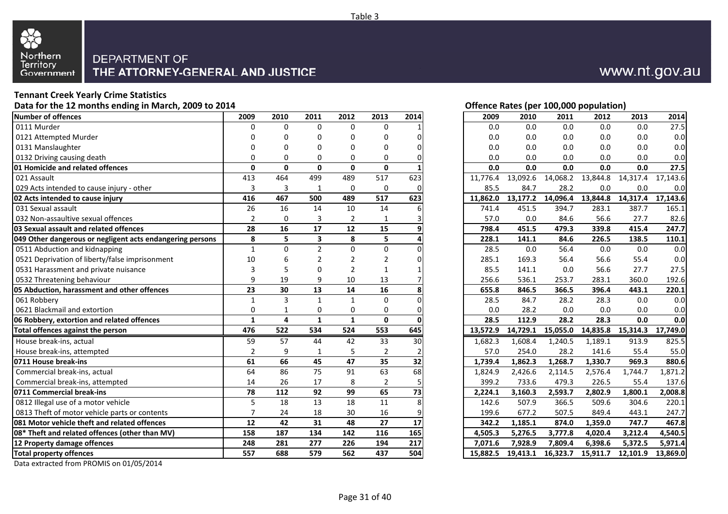

# **Tennant Creek Yearly Crime Statistics**

**Data for the 12 months ending in March, 2009 to 2014**

| Number of offences                                        | 2009           | 2010           | 2011                    | 2012           | 2013           | 2014 | 2009     | 2010     | 2011              | 2012     | 2013     | 2014     |
|-----------------------------------------------------------|----------------|----------------|-------------------------|----------------|----------------|------|----------|----------|-------------------|----------|----------|----------|
| 0111 Murder                                               | $\Omega$       | $\Omega$       | $\Omega$                | $\Omega$       | $\Omega$       |      | 0.0      | 0.0      | $0.0\,$           | 0.0      | 0.0      | 27.5     |
| 0121 Attempted Murder                                     | U              | 0              | $\Omega$                | $\Omega$       | $\Omega$       |      | 0.0      | 0.0      | 0.0               | 0.0      | 0.0      | 0.0      |
| 0131 Manslaughter                                         | 0              | $\Omega$       | $\Omega$                | $\Omega$       | $\Omega$       |      | 0.0      | 0.0      | 0.0               | 0.0      | 0.0      | 0.0      |
| 0132 Driving causing death                                | $\Omega$       | 0              | 0                       | 0              | 0              |      | 0.0      | 0.0      | 0.0               | 0.0      | 0.0      | 0.0      |
| <b>01 Homicide and related offences</b>                   | $\mathbf{0}$   | $\mathbf{0}$   | $\mathbf{0}$            | $\mathbf{0}$   | $\mathbf 0$    |      | 0.0      | 0.0      | 0.0               | 0.0      | 0.0      | 27.5     |
| 021 Assault                                               | 413            | 464            | 499                     | 489            | 517            | 623  | 11,776.4 | 13,092.6 | 14,068.2          | 13,844.8 | 14,317.4 | 17,143.6 |
| 029 Acts intended to cause injury - other                 | 3              | 3              | 1                       | $\Omega$       | $\mathbf 0$    |      | 85.5     | 84.7     | 28.2              | 0.0      | 0.0      | 0.0      |
| 02 Acts intended to cause injury                          | 416            | 467            | 500                     | 489            | 517            | 623  | 11.862.0 |          | 13,177.2 14,096.4 | 13,844.8 | 14,317.4 | 17,143.6 |
| 031 Sexual assault                                        | 26             | 16             | 14                      | 10             | 14             |      | 741.4    | 451.5    | 394.7             | 283.1    | 387.7    | 165.1    |
| 032 Non-assaultive sexual offences                        | $\overline{2}$ | 0              | 3                       | $\overline{2}$ | $\mathbf{1}$   |      | 57.0     | 0.0      | 84.6              | 56.6     | 27.7     | 82.6     |
| 03 Sexual assault and related offences                    | 28             | 16             | 17                      | 12             | 15             |      | 798.4    | 451.5    | 479.3             | 339.8    | 415.4    | 247.7    |
| 049 Other dangerous or negligent acts endangering persons | 8              | 5              | $\overline{\mathbf{3}}$ | 8              | 5              |      | 228.1    | 141.1    | 84.6              | 226.5    | 138.5    | 110.1    |
| 0511 Abduction and kidnapping                             | $\mathbf{1}$   | $\Omega$       | $\overline{2}$          | $\Omega$       | $\mathbf 0$    |      | 28.5     | 0.0      | 56.4              | 0.0      | 0.0      | 0.0      |
| 0521 Deprivation of liberty/false imprisonment            | 10             | 6              | 2                       | 2              | 2              |      | 285.1    | 169.3    | 56.4              | 56.6     | 55.4     | 0.0      |
| 0531 Harassment and private nuisance                      | 3              | 5              | $\Omega$                | $\overline{2}$ | $\mathbf{1}$   |      | 85.5     | 141.1    | 0.0               | 56.6     | 27.7     | 27.5     |
| 0532 Threatening behaviour                                | 9              | 19             | 9                       | 10             | 13             |      | 256.6    | 536.1    | 253.7             | 283.1    | 360.0    | 192.6    |
| 05 Abduction, harassment and other offences               | 23             | 30             | 13                      | 14             | 16             |      | 655.8    | 846.5    | 366.5             | 396.4    | 443.1    | 220.1    |
| 061 Robbery                                               | $\mathbf{1}$   | 3              | $\mathbf{1}$            | $\mathbf{1}$   | $\Omega$       |      | 28.5     | 84.7     | 28.2              | 28.3     | 0.0      | 0.0      |
| 0621 Blackmail and extortion                              | $\mathbf 0$    | $\mathbf{1}$   | $\mathbf 0$             | 0              | 0              |      | 0.0      | 28.2     | 0.0               | 0.0      | 0.0      | 0.0      |
| 06 Robbery, extortion and related offences                | $\mathbf{1}$   | $\overline{a}$ | $\mathbf{1}$            | $\mathbf{1}$   | $\mathbf 0$    |      | 28.5     | 112.9    | 28.2              | 28.3     | 0.0      | 0.0      |
| Total offences against the person                         | 476            | 522            | 534                     | 524            | 553            | 645  | 13,572.9 |          | 14,729.1 15,055.0 | 14,835.8 | 15,314.3 | 17,749.0 |
| House break-ins, actual                                   | 59             | 57             | 44                      | 42             | 33             | 30   | 1,682.3  | 1,608.4  | 1,240.5           | 1,189.1  | 913.9    | 825.5    |
| House break-ins, attempted                                | $\overline{2}$ | 9              | 1                       | 5              | 2              |      | 57.0     | 254.0    | 28.2              | 141.6    | 55.4     | 55.0     |
| 0711 House break-ins                                      | 61             | 66             | 45                      | 47             | 35             | 32   | 1,739.4  | 1,862.3  | 1,268.7           | 1,330.7  | 969.3    | 880.6    |
| Commercial break-ins, actual                              | 64             | 86             | 75                      | 91             | 63             | 68   | 1,824.9  | 2,426.6  | 2,114.5           | 2,576.4  | 1,744.7  | 1,871.2  |
| Commercial break-ins, attempted                           | 14             | 26             | 17                      | 8              | $\overline{2}$ |      | 399.2    | 733.6    | 479.3             | 226.5    | 55.4     | 137.6    |
| 0711 Commercial break-ins                                 | 78             | 112            | 92                      | 99             | 65             | 73   | 2,224.1  | 3,160.3  | 2,593.7           | 2,802.9  | 1,800.1  | 2,008.8  |
| 0812 Illegal use of a motor vehicle                       | 5              | 18             | 13                      | 18             | 11             |      | 142.6    | 507.9    | 366.5             | 509.6    | 304.6    | 220.1    |
| 0813 Theft of motor vehicle parts or contents             | $\overline{7}$ | 24             | 18                      | 30             | 16             |      | 199.6    | 677.2    | 507.5             | 849.4    | 443.1    | 247.7    |
| 081 Motor vehicle theft and related offences              | 12             | 42             | 31                      | 48             | 27             | 17   | 342.2    | 1,185.1  | 874.0             | 1,359.0  | 747.7    | 467.8    |
| 08* Theft and related offences (other than MV)            | 158            | 187            | 134                     | 142            | 116            | 165  | 4,505.3  | 5,276.5  | 3,777.8           | 4,020.4  | 3,212.4  | 4,540.5  |
| 12 Property damage offences                               | 248            | 281            | 277                     | 226            | 194            | 217  | 7.071.6  | 7.928.9  | 7.809.4           | 6,398.6  | 5,372.5  | 5,971.4  |
| Total property offences                                   | 557            | 688            | 579                     | 562            | 437            | 504  | 15,882.5 | 19,413.1 | 16,323.7          | 15,911.7 | 12,101.9 | 13,869.0 |

Data extracted from PROMIS on 01/05/2014



# **Offence Rates (per 100,000 population)**

| 2011<br>2012<br>2013<br>2014<br>2009<br>2010<br>2012<br>2010<br>2011<br>2013<br>2014<br>0<br>$\mathbf 0$<br>$\mathbf 0$<br>$\mathbf 0$<br>$0.0\,$<br>0.0<br>0.0<br>$0.0\,$<br>0.0<br>1<br>$0.0\,$<br>0.0<br>0.0<br>0<br>0<br>0.0<br>0.0<br>0<br>0<br>0<br>0<br>$0.0\,$<br>0.0<br>0.0<br>0<br>0.0<br>0.0<br>0<br>0<br>0<br>$\Omega$<br>0<br>0.0<br>0.0<br>0.0<br>0.0<br>0<br>0<br>0.0<br>0<br>0<br>0<br>0.0<br>0<br>0<br>0.0<br>0.0<br>0.0<br>0.0<br>$\frac{1}{3}$<br>464<br>499<br>14,068.2<br>13,844.8<br>489<br>517<br>623<br>11,776.4<br>13,092.6<br>14,317.4<br>3<br>$\mathbf{1}$<br>$\pmb{0}$<br>0<br>85.5<br>84.7<br>28.2<br>$0.0\,$<br>0.0<br>0<br>$\overline{6}$<br>467<br>517<br>623<br>14,096.4<br>500<br>489<br>11,862.0<br>13,177.2<br>13,844.8<br>14,317.4<br>16<br>14<br>$10\,$<br>14<br>741.4<br>451.5<br>394.7<br>283.1<br>387.7<br>165.1<br>6<br>56.6<br>$\frac{2}{8}$<br>3<br>2<br>57.0<br>0.0<br>84.6<br>27.7<br>0<br>3<br>1<br>17<br>12<br>9<br>16<br>15<br>451.5<br>479.3<br>339.8<br>415.4<br>798.4<br>5<br>5<br>3<br>8<br>228.1<br>141.1<br>84.6<br>226.5<br>138.5<br>110.1<br>4<br>$\overline{2}$<br>0<br>0<br>0<br>56.4<br>0.0<br>0.0<br>0<br>28.5<br>0.0<br>0.0<br>0.0<br>6<br>2<br>$\overline{2}$<br>2<br>285.1<br>169.3<br>56.4<br>56.6<br>55.4<br>0<br>$\overline{2}$<br>5<br>$\mathbf 0$<br>85.5<br>0.0<br>56.6<br>27.5<br>1<br>141.1<br>27.7<br>19<br>9<br>10<br>256.6<br>536.1<br>13<br>253.7<br>283.1<br>360.0<br>30<br>13<br>14<br>16<br>8<br>655.8<br>846.5<br>366.5<br>396.4<br>443.1<br>220.1<br>3<br>$\mathbf{1}$<br>$\mathbf{1}$<br>$\Omega$<br>0<br>28.5<br>84.7<br>28.2<br>28.3<br>0.0<br>$\mathbf 0$<br>0<br>0.0<br>28.2<br>0.0<br>0.0<br>$\mathbf{1}$<br>0<br>0.0<br>0<br>$\mathbf{1}$<br>$\mathbf{1}$<br>112.9<br>28.2<br>28.3<br>4<br>0<br>28.5<br>0.0<br>O<br>522<br>15,314.3<br>553<br>645<br>14,729.1<br>15,055.0<br>14,835.8<br>534<br>524<br>13,572.9<br>57<br>44<br>42<br>30<br>1,608.4<br>1,240.5<br>33<br>1,682.3<br>1,189.1<br>913.9<br>5<br>9<br>$\overline{2}$<br>57.0<br>254.0<br>28.2<br>141.6<br>55.4<br>$\mathbf{1}$<br>2<br>66<br>35<br>45<br>47<br>32<br>1,268.7<br>969.3<br>1,739.4<br>1,862.3<br>1,330.7<br>86<br>75<br>91<br>63<br>68<br>2,426.6<br>2,114.5<br>1,744.7<br>1,824.9<br>2,576.4<br>8<br>26<br>17<br>2<br>5<br>399.2<br>733.6<br>479.3<br>226.5<br>55.4<br>99<br>112<br>92<br>65<br>73<br>2,224.1<br>3,160.3<br>2,593.7<br>2,802.9<br>1,800.1<br>18<br>13<br>18<br>8<br>11<br>142.6<br>507.9<br>366.5<br>509.6<br>304.6<br>16<br>24<br>18<br>30<br>199.6<br>677.2<br>507.5<br>849.4<br>9<br>443.1<br>17<br>42<br>31<br>48<br>27<br>342.2<br>1,185.1<br>874.0<br>747.7<br>1,359.0<br>187<br>116<br>134<br>142<br>165<br>4,505.3<br>5,276.5<br>3,777.8<br>4,020.4<br>3,212.4<br>281<br>226<br>194<br>217<br>277<br>7,928.9<br>7,809.4<br>6,398.6<br>5,372.5<br>7,071.6<br>7<br>688<br>579<br>562<br>437<br>504<br>15,882.5<br>19,413.1<br>16,323.7<br>15,911.7<br>12,101.9 |          |  |  |  |  |  |          |
|-------------------------------------------------------------------------------------------------------------------------------------------------------------------------------------------------------------------------------------------------------------------------------------------------------------------------------------------------------------------------------------------------------------------------------------------------------------------------------------------------------------------------------------------------------------------------------------------------------------------------------------------------------------------------------------------------------------------------------------------------------------------------------------------------------------------------------------------------------------------------------------------------------------------------------------------------------------------------------------------------------------------------------------------------------------------------------------------------------------------------------------------------------------------------------------------------------------------------------------------------------------------------------------------------------------------------------------------------------------------------------------------------------------------------------------------------------------------------------------------------------------------------------------------------------------------------------------------------------------------------------------------------------------------------------------------------------------------------------------------------------------------------------------------------------------------------------------------------------------------------------------------------------------------------------------------------------------------------------------------------------------------------------------------------------------------------------------------------------------------------------------------------------------------------------------------------------------------------------------------------------------------------------------------------------------------------------------------------------------------------------------------------------------------------------------------------------------------------------------------------------------------------------------------------------------------------------------------------------------------------------------------------------------------------------------------------------------------------------------------------------------------------------------------------------------------------------------------------------------------------------------------------------------------------------------------------------|----------|--|--|--|--|--|----------|
|                                                                                                                                                                                                                                                                                                                                                                                                                                                                                                                                                                                                                                                                                                                                                                                                                                                                                                                                                                                                                                                                                                                                                                                                                                                                                                                                                                                                                                                                                                                                                                                                                                                                                                                                                                                                                                                                                                                                                                                                                                                                                                                                                                                                                                                                                                                                                                                                                                                                                                                                                                                                                                                                                                                                                                                                                                                                                                                                                       | 9        |  |  |  |  |  |          |
|                                                                                                                                                                                                                                                                                                                                                                                                                                                                                                                                                                                                                                                                                                                                                                                                                                                                                                                                                                                                                                                                                                                                                                                                                                                                                                                                                                                                                                                                                                                                                                                                                                                                                                                                                                                                                                                                                                                                                                                                                                                                                                                                                                                                                                                                                                                                                                                                                                                                                                                                                                                                                                                                                                                                                                                                                                                                                                                                                       | 0        |  |  |  |  |  | 27.5     |
|                                                                                                                                                                                                                                                                                                                                                                                                                                                                                                                                                                                                                                                                                                                                                                                                                                                                                                                                                                                                                                                                                                                                                                                                                                                                                                                                                                                                                                                                                                                                                                                                                                                                                                                                                                                                                                                                                                                                                                                                                                                                                                                                                                                                                                                                                                                                                                                                                                                                                                                                                                                                                                                                                                                                                                                                                                                                                                                                                       | 0        |  |  |  |  |  | 0.0      |
|                                                                                                                                                                                                                                                                                                                                                                                                                                                                                                                                                                                                                                                                                                                                                                                                                                                                                                                                                                                                                                                                                                                                                                                                                                                                                                                                                                                                                                                                                                                                                                                                                                                                                                                                                                                                                                                                                                                                                                                                                                                                                                                                                                                                                                                                                                                                                                                                                                                                                                                                                                                                                                                                                                                                                                                                                                                                                                                                                       | 0        |  |  |  |  |  | 0.0      |
|                                                                                                                                                                                                                                                                                                                                                                                                                                                                                                                                                                                                                                                                                                                                                                                                                                                                                                                                                                                                                                                                                                                                                                                                                                                                                                                                                                                                                                                                                                                                                                                                                                                                                                                                                                                                                                                                                                                                                                                                                                                                                                                                                                                                                                                                                                                                                                                                                                                                                                                                                                                                                                                                                                                                                                                                                                                                                                                                                       | 0        |  |  |  |  |  | 0.0      |
|                                                                                                                                                                                                                                                                                                                                                                                                                                                                                                                                                                                                                                                                                                                                                                                                                                                                                                                                                                                                                                                                                                                                                                                                                                                                                                                                                                                                                                                                                                                                                                                                                                                                                                                                                                                                                                                                                                                                                                                                                                                                                                                                                                                                                                                                                                                                                                                                                                                                                                                                                                                                                                                                                                                                                                                                                                                                                                                                                       | 0        |  |  |  |  |  | 27.5     |
|                                                                                                                                                                                                                                                                                                                                                                                                                                                                                                                                                                                                                                                                                                                                                                                                                                                                                                                                                                                                                                                                                                                                                                                                                                                                                                                                                                                                                                                                                                                                                                                                                                                                                                                                                                                                                                                                                                                                                                                                                                                                                                                                                                                                                                                                                                                                                                                                                                                                                                                                                                                                                                                                                                                                                                                                                                                                                                                                                       |          |  |  |  |  |  | 17,143.6 |
|                                                                                                                                                                                                                                                                                                                                                                                                                                                                                                                                                                                                                                                                                                                                                                                                                                                                                                                                                                                                                                                                                                                                                                                                                                                                                                                                                                                                                                                                                                                                                                                                                                                                                                                                                                                                                                                                                                                                                                                                                                                                                                                                                                                                                                                                                                                                                                                                                                                                                                                                                                                                                                                                                                                                                                                                                                                                                                                                                       | 3        |  |  |  |  |  | 0.0      |
|                                                                                                                                                                                                                                                                                                                                                                                                                                                                                                                                                                                                                                                                                                                                                                                                                                                                                                                                                                                                                                                                                                                                                                                                                                                                                                                                                                                                                                                                                                                                                                                                                                                                                                                                                                                                                                                                                                                                                                                                                                                                                                                                                                                                                                                                                                                                                                                                                                                                                                                                                                                                                                                                                                                                                                                                                                                                                                                                                       |          |  |  |  |  |  | 17,143.6 |
|                                                                                                                                                                                                                                                                                                                                                                                                                                                                                                                                                                                                                                                                                                                                                                                                                                                                                                                                                                                                                                                                                                                                                                                                                                                                                                                                                                                                                                                                                                                                                                                                                                                                                                                                                                                                                                                                                                                                                                                                                                                                                                                                                                                                                                                                                                                                                                                                                                                                                                                                                                                                                                                                                                                                                                                                                                                                                                                                                       | 6        |  |  |  |  |  |          |
|                                                                                                                                                                                                                                                                                                                                                                                                                                                                                                                                                                                                                                                                                                                                                                                                                                                                                                                                                                                                                                                                                                                                                                                                                                                                                                                                                                                                                                                                                                                                                                                                                                                                                                                                                                                                                                                                                                                                                                                                                                                                                                                                                                                                                                                                                                                                                                                                                                                                                                                                                                                                                                                                                                                                                                                                                                                                                                                                                       |          |  |  |  |  |  | 82.6     |
|                                                                                                                                                                                                                                                                                                                                                                                                                                                                                                                                                                                                                                                                                                                                                                                                                                                                                                                                                                                                                                                                                                                                                                                                                                                                                                                                                                                                                                                                                                                                                                                                                                                                                                                                                                                                                                                                                                                                                                                                                                                                                                                                                                                                                                                                                                                                                                                                                                                                                                                                                                                                                                                                                                                                                                                                                                                                                                                                                       |          |  |  |  |  |  | 247.7    |
|                                                                                                                                                                                                                                                                                                                                                                                                                                                                                                                                                                                                                                                                                                                                                                                                                                                                                                                                                                                                                                                                                                                                                                                                                                                                                                                                                                                                                                                                                                                                                                                                                                                                                                                                                                                                                                                                                                                                                                                                                                                                                                                                                                                                                                                                                                                                                                                                                                                                                                                                                                                                                                                                                                                                                                                                                                                                                                                                                       | 8        |  |  |  |  |  |          |
|                                                                                                                                                                                                                                                                                                                                                                                                                                                                                                                                                                                                                                                                                                                                                                                                                                                                                                                                                                                                                                                                                                                                                                                                                                                                                                                                                                                                                                                                                                                                                                                                                                                                                                                                                                                                                                                                                                                                                                                                                                                                                                                                                                                                                                                                                                                                                                                                                                                                                                                                                                                                                                                                                                                                                                                                                                                                                                                                                       | 1        |  |  |  |  |  |          |
|                                                                                                                                                                                                                                                                                                                                                                                                                                                                                                                                                                                                                                                                                                                                                                                                                                                                                                                                                                                                                                                                                                                                                                                                                                                                                                                                                                                                                                                                                                                                                                                                                                                                                                                                                                                                                                                                                                                                                                                                                                                                                                                                                                                                                                                                                                                                                                                                                                                                                                                                                                                                                                                                                                                                                                                                                                                                                                                                                       | 0        |  |  |  |  |  |          |
|                                                                                                                                                                                                                                                                                                                                                                                                                                                                                                                                                                                                                                                                                                                                                                                                                                                                                                                                                                                                                                                                                                                                                                                                                                                                                                                                                                                                                                                                                                                                                                                                                                                                                                                                                                                                                                                                                                                                                                                                                                                                                                                                                                                                                                                                                                                                                                                                                                                                                                                                                                                                                                                                                                                                                                                                                                                                                                                                                       | 3        |  |  |  |  |  |          |
|                                                                                                                                                                                                                                                                                                                                                                                                                                                                                                                                                                                                                                                                                                                                                                                                                                                                                                                                                                                                                                                                                                                                                                                                                                                                                                                                                                                                                                                                                                                                                                                                                                                                                                                                                                                                                                                                                                                                                                                                                                                                                                                                                                                                                                                                                                                                                                                                                                                                                                                                                                                                                                                                                                                                                                                                                                                                                                                                                       | <u>9</u> |  |  |  |  |  | 192.6    |
|                                                                                                                                                                                                                                                                                                                                                                                                                                                                                                                                                                                                                                                                                                                                                                                                                                                                                                                                                                                                                                                                                                                                                                                                                                                                                                                                                                                                                                                                                                                                                                                                                                                                                                                                                                                                                                                                                                                                                                                                                                                                                                                                                                                                                                                                                                                                                                                                                                                                                                                                                                                                                                                                                                                                                                                                                                                                                                                                                       | 3        |  |  |  |  |  |          |
|                                                                                                                                                                                                                                                                                                                                                                                                                                                                                                                                                                                                                                                                                                                                                                                                                                                                                                                                                                                                                                                                                                                                                                                                                                                                                                                                                                                                                                                                                                                                                                                                                                                                                                                                                                                                                                                                                                                                                                                                                                                                                                                                                                                                                                                                                                                                                                                                                                                                                                                                                                                                                                                                                                                                                                                                                                                                                                                                                       | 1        |  |  |  |  |  | 0.0      |
|                                                                                                                                                                                                                                                                                                                                                                                                                                                                                                                                                                                                                                                                                                                                                                                                                                                                                                                                                                                                                                                                                                                                                                                                                                                                                                                                                                                                                                                                                                                                                                                                                                                                                                                                                                                                                                                                                                                                                                                                                                                                                                                                                                                                                                                                                                                                                                                                                                                                                                                                                                                                                                                                                                                                                                                                                                                                                                                                                       | 0        |  |  |  |  |  | 0.0      |
|                                                                                                                                                                                                                                                                                                                                                                                                                                                                                                                                                                                                                                                                                                                                                                                                                                                                                                                                                                                                                                                                                                                                                                                                                                                                                                                                                                                                                                                                                                                                                                                                                                                                                                                                                                                                                                                                                                                                                                                                                                                                                                                                                                                                                                                                                                                                                                                                                                                                                                                                                                                                                                                                                                                                                                                                                                                                                                                                                       | 1        |  |  |  |  |  | 0.0      |
|                                                                                                                                                                                                                                                                                                                                                                                                                                                                                                                                                                                                                                                                                                                                                                                                                                                                                                                                                                                                                                                                                                                                                                                                                                                                                                                                                                                                                                                                                                                                                                                                                                                                                                                                                                                                                                                                                                                                                                                                                                                                                                                                                                                                                                                                                                                                                                                                                                                                                                                                                                                                                                                                                                                                                                                                                                                                                                                                                       | 6        |  |  |  |  |  | 17,749.0 |
|                                                                                                                                                                                                                                                                                                                                                                                                                                                                                                                                                                                                                                                                                                                                                                                                                                                                                                                                                                                                                                                                                                                                                                                                                                                                                                                                                                                                                                                                                                                                                                                                                                                                                                                                                                                                                                                                                                                                                                                                                                                                                                                                                                                                                                                                                                                                                                                                                                                                                                                                                                                                                                                                                                                                                                                                                                                                                                                                                       | 9        |  |  |  |  |  | 825.5    |
|                                                                                                                                                                                                                                                                                                                                                                                                                                                                                                                                                                                                                                                                                                                                                                                                                                                                                                                                                                                                                                                                                                                                                                                                                                                                                                                                                                                                                                                                                                                                                                                                                                                                                                                                                                                                                                                                                                                                                                                                                                                                                                                                                                                                                                                                                                                                                                                                                                                                                                                                                                                                                                                                                                                                                                                                                                                                                                                                                       | 2        |  |  |  |  |  | 55.0     |
|                                                                                                                                                                                                                                                                                                                                                                                                                                                                                                                                                                                                                                                                                                                                                                                                                                                                                                                                                                                                                                                                                                                                                                                                                                                                                                                                                                                                                                                                                                                                                                                                                                                                                                                                                                                                                                                                                                                                                                                                                                                                                                                                                                                                                                                                                                                                                                                                                                                                                                                                                                                                                                                                                                                                                                                                                                                                                                                                                       | 1        |  |  |  |  |  | 880.6    |
|                                                                                                                                                                                                                                                                                                                                                                                                                                                                                                                                                                                                                                                                                                                                                                                                                                                                                                                                                                                                                                                                                                                                                                                                                                                                                                                                                                                                                                                                                                                                                                                                                                                                                                                                                                                                                                                                                                                                                                                                                                                                                                                                                                                                                                                                                                                                                                                                                                                                                                                                                                                                                                                                                                                                                                                                                                                                                                                                                       | 4        |  |  |  |  |  | 1,871.2  |
|                                                                                                                                                                                                                                                                                                                                                                                                                                                                                                                                                                                                                                                                                                                                                                                                                                                                                                                                                                                                                                                                                                                                                                                                                                                                                                                                                                                                                                                                                                                                                                                                                                                                                                                                                                                                                                                                                                                                                                                                                                                                                                                                                                                                                                                                                                                                                                                                                                                                                                                                                                                                                                                                                                                                                                                                                                                                                                                                                       | 4        |  |  |  |  |  | 137.6    |
|                                                                                                                                                                                                                                                                                                                                                                                                                                                                                                                                                                                                                                                                                                                                                                                                                                                                                                                                                                                                                                                                                                                                                                                                                                                                                                                                                                                                                                                                                                                                                                                                                                                                                                                                                                                                                                                                                                                                                                                                                                                                                                                                                                                                                                                                                                                                                                                                                                                                                                                                                                                                                                                                                                                                                                                                                                                                                                                                                       | 8        |  |  |  |  |  | 2,008.8  |
|                                                                                                                                                                                                                                                                                                                                                                                                                                                                                                                                                                                                                                                                                                                                                                                                                                                                                                                                                                                                                                                                                                                                                                                                                                                                                                                                                                                                                                                                                                                                                                                                                                                                                                                                                                                                                                                                                                                                                                                                                                                                                                                                                                                                                                                                                                                                                                                                                                                                                                                                                                                                                                                                                                                                                                                                                                                                                                                                                       | 5        |  |  |  |  |  | 220.1    |
|                                                                                                                                                                                                                                                                                                                                                                                                                                                                                                                                                                                                                                                                                                                                                                                                                                                                                                                                                                                                                                                                                                                                                                                                                                                                                                                                                                                                                                                                                                                                                                                                                                                                                                                                                                                                                                                                                                                                                                                                                                                                                                                                                                                                                                                                                                                                                                                                                                                                                                                                                                                                                                                                                                                                                                                                                                                                                                                                                       | 7        |  |  |  |  |  | 247.7    |
|                                                                                                                                                                                                                                                                                                                                                                                                                                                                                                                                                                                                                                                                                                                                                                                                                                                                                                                                                                                                                                                                                                                                                                                                                                                                                                                                                                                                                                                                                                                                                                                                                                                                                                                                                                                                                                                                                                                                                                                                                                                                                                                                                                                                                                                                                                                                                                                                                                                                                                                                                                                                                                                                                                                                                                                                                                                                                                                                                       | 2        |  |  |  |  |  | 467.8    |
|                                                                                                                                                                                                                                                                                                                                                                                                                                                                                                                                                                                                                                                                                                                                                                                                                                                                                                                                                                                                                                                                                                                                                                                                                                                                                                                                                                                                                                                                                                                                                                                                                                                                                                                                                                                                                                                                                                                                                                                                                                                                                                                                                                                                                                                                                                                                                                                                                                                                                                                                                                                                                                                                                                                                                                                                                                                                                                                                                       | 8        |  |  |  |  |  | 4,540.5  |
|                                                                                                                                                                                                                                                                                                                                                                                                                                                                                                                                                                                                                                                                                                                                                                                                                                                                                                                                                                                                                                                                                                                                                                                                                                                                                                                                                                                                                                                                                                                                                                                                                                                                                                                                                                                                                                                                                                                                                                                                                                                                                                                                                                                                                                                                                                                                                                                                                                                                                                                                                                                                                                                                                                                                                                                                                                                                                                                                                       | 8        |  |  |  |  |  | 5,971.4  |
|                                                                                                                                                                                                                                                                                                                                                                                                                                                                                                                                                                                                                                                                                                                                                                                                                                                                                                                                                                                                                                                                                                                                                                                                                                                                                                                                                                                                                                                                                                                                                                                                                                                                                                                                                                                                                                                                                                                                                                                                                                                                                                                                                                                                                                                                                                                                                                                                                                                                                                                                                                                                                                                                                                                                                                                                                                                                                                                                                       |          |  |  |  |  |  | 13,869.0 |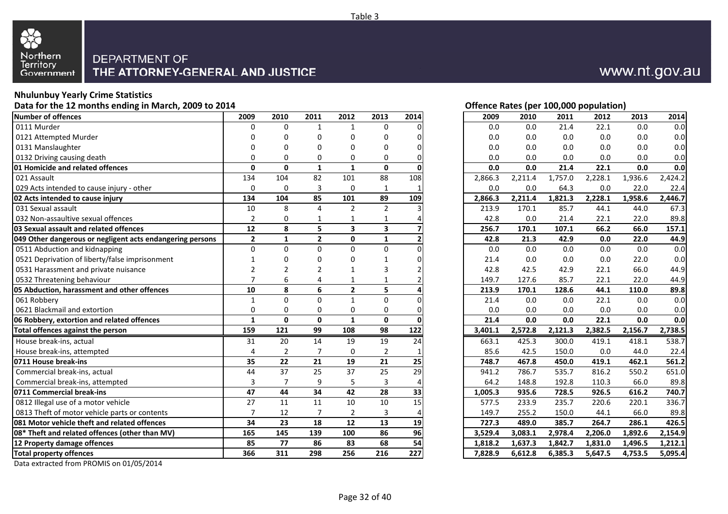

#### **Nhulunbuy Yearly Crime Statistics**

**Data for the 12 months ending in March, 2009 to 2014**

| Number of offences                                        | 2009           | 2010           | 2011           | 2012           | 2013                    | 2014            | 2009    | 2010    | 2011    | 2012    | 2013    | 2014    |
|-----------------------------------------------------------|----------------|----------------|----------------|----------------|-------------------------|-----------------|---------|---------|---------|---------|---------|---------|
| 0111 Murder                                               | 0              | $\Omega$       | $\mathbf{1}$   | 1              | $\Omega$                |                 | 0.0     | 0.0     | 21.4    | 22.1    | 0.0     | 0.0     |
| 0121 Attempted Murder                                     |                | $\Omega$       | 0              | 0              | $\Omega$                |                 | 0.0     | 0.0     | 0.0     | 0.0     | 0.0     | 0.0     |
| 0131 Manslaughter                                         | n              | 0              | $\Omega$       | 0              | $\Omega$                |                 | 0.0     | 0.0     | 0.0     | 0.0     | 0.0     | 0.0     |
| 0132 Driving causing death                                | $\Omega$       | $\Omega$       | $\mathbf 0$    | $\Omega$       | $\mathbf 0$             |                 | 0.0     | 0.0     | 0.0     | 0.0     | 0.0     | 0.0     |
| 01 Homicide and related offences                          | $\Omega$       | $\mathbf 0$    | $\mathbf{1}$   | $\mathbf{1}$   | $\mathbf 0$             |                 | 0.0     | 0.0     | 21.4    | 22.1    | 0.0     | 0.0     |
| 021 Assault                                               | 134            | 104            | 82             | 101            | $\overline{88}$         | 108             | 2,866.3 | 2,211.4 | 1,757.0 | 2,228.1 | 1,936.6 | 2,424.2 |
| 029 Acts intended to cause injury - other                 | $\Omega$       | $\mathbf 0$    | 3              | $\Omega$       | 1                       |                 | 0.0     | 0.0     | 64.3    | 0.0     | 22.0    | 22.4    |
| 02 Acts intended to cause injury                          | 134            | 104            | 85             | 101            | 89                      | 109             | 2,866.3 | 2,211.4 | 1,821.3 | 2,228.1 | 1.958.6 | 2,446.7 |
| 031 Sexual assault                                        | 10             | 8              | $\overline{4}$ | $\overline{2}$ | $\overline{2}$          |                 | 213.9   | 170.1   | 85.7    | 44.1    | 44.0    | 67.3    |
| 032 Non-assaultive sexual offences                        | $\overline{2}$ | 0              | $\mathbf{1}$   | $\mathbf{1}$   | $\mathbf{1}$            |                 | 42.8    | 0.0     | 21.4    | 22.1    | 22.0    | 89.8    |
| 03 Sexual assault and related offences                    | 12             | 8              | 5              | 3              | $\overline{\mathbf{3}}$ |                 | 256.7   | 170.1   | 107.1   | 66.2    | 66.0    | 157.1   |
| 049 Other dangerous or negligent acts endangering persons | $\overline{2}$ | $\mathbf{1}$   | $\overline{2}$ | $\mathbf 0$    | $\mathbf{1}$            |                 | 42.8    | 21.3    | 42.9    | 0.0     | 22.0    | 44.9    |
| 0511 Abduction and kidnapping                             | $\Omega$       | $\Omega$       | $\Omega$       | $\mathbf{0}$   | $\mathbf 0$             |                 | 0.0     | 0.0     | 0.0     | 0.0     | 0.0     | 0.0     |
| 0521 Deprivation of liberty/false imprisonment            |                | 0              | $\Omega$       | 0              | 1                       |                 | 21.4    | 0.0     | 0.0     | 0.0     | 22.0    | 0.0     |
| 0531 Harassment and private nuisance                      | 2              | $\overline{2}$ | $\overline{2}$ |                | 3                       |                 | 42.8    | 42.5    | 42.9    | 22.1    | 66.0    | 44.9    |
| 0532 Threatening behaviour                                |                | 6              | 4              |                | $\mathbf 1$             |                 | 149.7   | 127.6   | 85.7    | 22.1    | 22.0    | 44.9    |
| 05 Abduction, harassment and other offences               | 10             | 8              | 6              | $\overline{2}$ | 5                       |                 | 213.9   | 170.1   | 128.6   | 44.1    | 110.0   | 89.8    |
| 061 Robbery                                               | $\mathbf{1}$   | $\Omega$       | $\Omega$       | $\mathbf{1}$   | $\mathbf 0$             |                 | 21.4    | 0.0     | 0.0     | 22.1    | 0.0     | 0.0     |
| 0621 Blackmail and extortion                              | 0              | 0              | $\mathbf 0$    | $\mathbf 0$    | $\mathbf 0$             |                 | 0.0     | 0.0     | 0.0     | 0.0     | 0.0     | 0.0     |
| 06 Robbery, extortion and related offences                | 1              | 0              | $\mathbf{0}$   | $\mathbf{1}$   | $\mathbf 0$             |                 | 21.4    | 0.0     | 0.0     | 22.1    | 0.0     | 0.0     |
| Total offences against the person                         | 159            | 121            | 99             | 108            | 98                      | 122             | 3,401.1 | 2,572.8 | 2,121.3 | 2,382.5 | 2,156.7 | 2,738.5 |
| House break-ins, actual                                   | 31             | 20             | 14             | 19             | $\overline{19}$         | $\overline{24}$ | 663.1   | 425.3   | 300.0   | 419.1   | 418.1   | 538.7   |
| House break-ins, attempted                                | 4              | $\overline{2}$ | $\overline{7}$ | 0              | $\overline{2}$          |                 | 85.6    | 42.5    | 150.0   | 0.0     | 44.0    | 22.4    |
| 0711 House break-ins                                      | 35             | 22             | 21             | 19             | 21                      | 25              | 748.7   | 467.8   | 450.0   | 419.1   | 462.1   | 561.2   |
| Commercial break-ins, actual                              | 44             | 37             | 25             | 37             | 25                      | 29              | 941.2   | 786.7   | 535.7   | 816.2   | 550.2   | 651.0   |
| Commercial break-ins, attempted                           | 3              | $\overline{7}$ | 9              | 5              | 3                       |                 | 64.2    | 148.8   | 192.8   | 110.3   | 66.0    | 89.8    |
| 0711 Commercial break-ins                                 | 47             | 44             | 34             | 42             | 28                      | 33              | 1,005.3 | 935.6   | 728.5   | 926.5   | 616.2   | 740.7   |
| 0812 Illegal use of a motor vehicle                       | 27             | 11             | 11             | 10             | 10                      | 15              | 577.5   | 233.9   | 235.7   | 220.6   | 220.1   | 336.7   |
| 0813 Theft of motor vehicle parts or contents             | 7              | 12             | $\overline{7}$ | $\overline{2}$ | 3                       |                 | 149.7   | 255.2   | 150.0   | 44.1    | 66.0    | 89.8    |
| 081 Motor vehicle theft and related offences              | 34             | 23             | 18             | 12             | 13                      | 19              | 727.3   | 489.0   | 385.7   | 264.7   | 286.1   | 426.5   |
| 08* Theft and related offences (other than MV)            | 165            | 145            | 139            | 100            | 86                      | 96              | 3,529.4 | 3,083.1 | 2,978.4 | 2,206.0 | 1,892.6 | 2,154.9 |
| 12 Property damage offences                               | 85             | 77             | 86             | 83             | 68                      | 54              | 1,818.2 | 1,637.3 | 1,842.7 | 1,831.0 | 1,496.5 | 1,212.1 |
| <b>Total property offences</b>                            | 366            | 311            | 298            | 256            | 216                     | 227             | 7,828.9 | 6,612.8 | 6,385.3 | 5,647.5 | 4,753.5 | 5,095.4 |
|                                                           |                |                |                |                |                         |                 |         |         |         |         |         |         |

Data extracted from PROMIS on 01/05/2014

**Offence Rates (per 100,000 population)**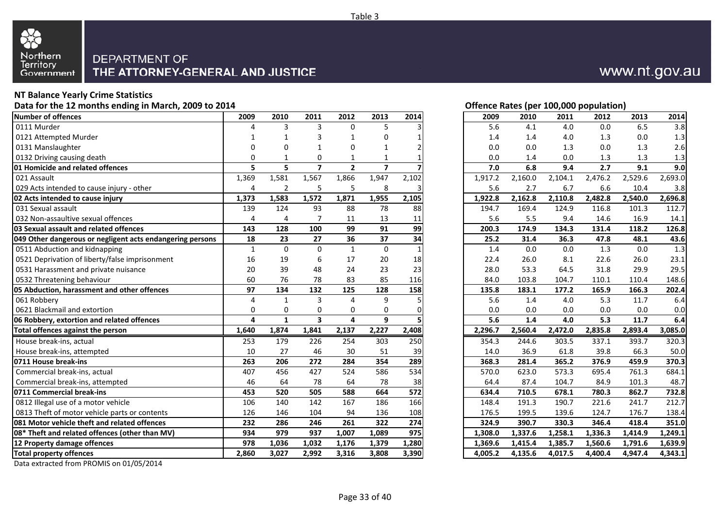

#### **NT Balance Yearly Crime Statistics**

**Data for the 12 months ending in March, 2009 to 2014**

| Number of offences                                        | 2009         | 2010           | 2011                    | 2012           | 2013           | 2014            | 2009    | 2010    | 2011    | 2012    | 2013    | 2014    |
|-----------------------------------------------------------|--------------|----------------|-------------------------|----------------|----------------|-----------------|---------|---------|---------|---------|---------|---------|
| 0111 Murder                                               |              | 3              | 3                       | $\mathbf{0}$   | -5             |                 | 5.6     | 4.1     | 4.0     | 0.0     | 6.5     | 3.8     |
| 0121 Attempted Murder                                     |              |                | 3                       |                | $\Omega$       |                 | 1.4     | 1.4     | 4.0     | 1.3     | 0.0     | 1.3     |
| 0131 Manslaughter                                         | n            | $\Omega$       | $\mathbf{1}$            | 0              | $\mathbf 1$    |                 | 0.0     | 0.0     | 1.3     | 0.0     | 1.3     | 2.6     |
| 0132 Driving causing death                                | $\Omega$     |                | 0                       |                |                |                 | 0.0     | 1.4     | 0.0     | 1.3     | 1.3     | 1.3     |
| 01 Homicide and related offences                          | 5            | 5              | $\overline{7}$          | $\overline{2}$ | $\overline{7}$ |                 | 7.0     | 6.8     | 9.4     | 2.7     | 9.1     | 9.0     |
| 021 Assault                                               | 1,369        | 1,581          | 1,567                   | 1,866          | 1,947          | 2,102           | 1,917.2 | 2,160.0 | 2,104.1 | 2,476.2 | 2,529.6 | 2,693.0 |
| 029 Acts intended to cause injury - other                 | 4            | $\overline{2}$ | 5                       | 5              | 8              |                 | 5.6     | 2.7     | 6.7     | 6.6     | 10.4    | 3.8     |
| 02 Acts intended to cause injury                          | 1,373        | 1,583          | 1,572                   | 1,871          | 1,955          | 2,105           | 1,922.8 | 2,162.8 | 2,110.8 | 2,482.8 | 2,540.0 | 2,696.8 |
| 031 Sexual assault                                        | 139          | 124            | 93                      | 88             | 78             | 88              | 194.7   | 169.4   | 124.9   | 116.8   | 101.3   | 112.7   |
| 032 Non-assaultive sexual offences                        | 4            | 4              | $\overline{7}$          | 11             | 13             | 11              | 5.6     | 5.5     | 9.4     | 14.6    | 16.9    | 14.1    |
| 03 Sexual assault and related offences                    | 143          | 128            | 100                     | 99             | 91             | 99              | 200.3   | 174.9   | 134.3   | 131.4   | 118.2   | 126.8   |
| 049 Other dangerous or negligent acts endangering persons | 18           | 23             | 27                      | 36             | 37             | $\overline{34}$ | 25.2    | 31.4    | 36.3    | 47.8    | 48.1    | 43.6    |
| 0511 Abduction and kidnapping                             | $\mathbf{1}$ | $\Omega$       | $\Omega$                | $\mathbf{1}$   | $\mathbf 0$    |                 | 1.4     | 0.0     | 0.0     | 1.3     | 0.0     | 1.3     |
| 0521 Deprivation of liberty/false imprisonment            | 16           | 19             | 6                       | 17             | 20             | 18              | 22.4    | 26.0    | 8.1     | 22.6    | 26.0    | 23.1    |
| 0531 Harassment and private nuisance                      | 20           | 39             | 48                      | 24             | 23             | 23              | 28.0    | 53.3    | 64.5    | 31.8    | 29.9    | 29.5    |
| 0532 Threatening behaviour                                | 60           | 76             | 78                      | 83             | 85             | 116             | 84.0    | 103.8   | 104.7   | 110.1   | 110.4   | 148.6   |
| 05 Abduction, harassment and other offences               | 97           | 134            | 132                     | 125            | 128            | 158             | 135.8   | 183.1   | 177.2   | 165.9   | 166.3   | 202.4   |
| 061 Robbery                                               | 4            | $\mathbf{1}$   | 3                       | 4              | 9              |                 | 5.6     | 1.4     | 4.0     | 5.3     | 11.7    | 6.4     |
| 0621 Blackmail and extortion                              | $\Omega$     | 0              | 0                       | 0              | $\mathbf 0$    |                 | 0.0     | 0.0     | 0.0     | 0.0     | 0.0     | 0.0     |
| 06 Robbery, extortion and related offences                | 4            | $\mathbf{1}$   | $\overline{\mathbf{3}}$ | 4              | 9              |                 | 5.6     | 1.4     | 4.0     | 5.3     | 11.7    | 6.4     |
| Total offences against the person                         | 1,640        | 1,874          | 1,841                   | 2,137          | 2,227          | 2,408           | 2,296.7 | 2,560.4 | 2,472.0 | 2,835.8 | 2,893.4 | 3,085.0 |
| House break-ins, actual                                   | 253          | 179            | 226                     | 254            | 303            | 250             | 354.3   | 244.6   | 303.5   | 337.1   | 393.7   | 320.3   |
| House break-ins, attempted                                | 10           | 27             | 46                      | 30             | 51             | 39              | 14.0    | 36.9    | 61.8    | 39.8    | 66.3    | 50.0    |
| 0711 House break-ins                                      | 263          | 206            | 272                     | 284            | 354            | 289             | 368.3   | 281.4   | 365.2   | 376.9   | 459.9   | 370.3   |
| Commercial break-ins, actual                              | 407          | 456            | 427                     | 524            | 586            | 534             | 570.0   | 623.0   | 573.3   | 695.4   | 761.3   | 684.1   |
| Commercial break-ins, attempted                           | 46           | 64             | 78                      | 64             | 78             | 38              | 64.4    | 87.4    | 104.7   | 84.9    | 101.3   | 48.7    |
| 0711 Commercial break-ins                                 | 453          | 520            | 505                     | 588            | 664            | 572             | 634.4   | 710.5   | 678.1   | 780.3   | 862.7   | 732.8   |
| 0812 Illegal use of a motor vehicle                       | 106          | 140            | 142                     | 167            | 186            | 166             | 148.4   | 191.3   | 190.7   | 221.6   | 241.7   | 212.7   |
| 0813 Theft of motor vehicle parts or contents             | 126          | 146            | 104                     | 94             | 136            | 108             | 176.5   | 199.5   | 139.6   | 124.7   | 176.7   | 138.4   |
| <b>1081 Motor vehicle theft and related offences</b>      | 232          | 286            | 246                     | 261            | 322            | 274             | 324.9   | 390.7   | 330.3   | 346.4   | 418.4   | 351.0   |
| 08* Theft and related offences (other than MV)            | 934          | 979            | 937                     | 1,007          | 1,089          | 975             | 1,308.0 | 1,337.6 | 1,258.1 | 1,336.3 | 1,414.9 | 1,249.1 |
| 12 Property damage offences                               | 978          | 1,036          | 1.032                   | 1,176          | 1,379          | 1,280           | 1,369.6 | 1,415.4 | 1,385.7 | 1.560.6 | 1.791.6 | 1,639.9 |
| <b>Total property offences</b>                            | 2,860        | 3,027          | 2,992                   | 3,316          | 3,808          | 3,390           | 4,005.2 | 4,135.6 | 4,017.5 | 4,400.4 | 4,947.4 | 4,343.1 |
|                                                           |              |                |                         |                |                |                 |         |         |         |         |         |         |

Data extracted from PROMIS on 01/05/2014

#### **Offence Rates (per 100,000 population)**

| 9              | 2010         | 2011           | 2012         | 2013                    | 2014  | 2009    | 2010    | 2011    | 2012    | 2013    | 2014    |
|----------------|--------------|----------------|--------------|-------------------------|-------|---------|---------|---------|---------|---------|---------|
| 4              | 3            | 3              | 0            | 5                       | 3     | 5.6     | 4.1     | 4.0     | $0.0\,$ | 6.5     | 3.8     |
| 1              | 1            | 3              | 1            | 0                       | 1     | 1.4     | 1.4     | 4.0     | 1.3     | 0.0     | 1.3     |
| 0              | 0            | 1              | 0            | 1                       |       | 0.0     | 0.0     | 1.3     | 0.0     | 1.3     | 2.6     |
| 0              | 1            | 0              | 1            | 1                       |       | 0.0     | 1.4     | 0.0     | 1.3     | 1.3     | 1.3     |
| 5              | 5            | $\overline{7}$ | $\mathbf{2}$ | $\overline{\mathbf{z}}$ |       | 7.0     | 6.8     | 9.4     | 2.7     | 9.1     | 9.0     |
| 9              | 1,581        | 1,567          | 1,866        | 1,947                   | 2,102 | 1,917.2 | 2,160.0 | 2,104.1 | 2,476.2 | 2,529.6 | 2,693.0 |
| 4              | 2            | 5              | 5            | 8                       | 3     | 5.6     | 2.7     | 6.7     | 6.6     | 10.4    | 3.8     |
| 3              | 1,583        | 1,572          | 1,871        | 1,955                   | 2,105 | 1,922.8 | 2,162.8 | 2,110.8 | 2,482.8 | 2,540.0 | 2,696.8 |
| 9              | 124          | 93             | 88           | 78                      | 88    | 194.7   | 169.4   | 124.9   | 116.8   | 101.3   | 112.7   |
| 4              | 4            | $\overline{7}$ | 11           | 13                      | 11    | 5.6     | 5.5     | 9.4     | 14.6    | 16.9    | 14.1    |
| 3              | 128          | 100            | 99           | 91                      | 99    | 200.3   | 174.9   | 134.3   | 131.4   | 118.2   | 126.8   |
| 8              | 23           | 27             | 36           | 37                      | 34    | 25.2    | 31.4    | 36.3    | 47.8    | 48.1    | 43.6    |
| $\mathbf{1}$   | $\mathbf 0$  | $\mathbf 0$    | $\mathbf{1}$ | $\mathbf 0$             | 1     | 1.4     | 0.0     | 0.0     | 1.3     | 0.0     | 1.3     |
| 6              | 19           | 6              | 17           | 20                      | 18    | 22.4    | 26.0    | 8.1     | 22.6    | 26.0    | 23.1    |
| 0              | 39           | 48             | 24           | 23                      | 23    | 28.0    | 53.3    | 64.5    | 31.8    | 29.9    | 29.5    |
| 0              | 76           | 78             | 83           | 85                      | 116   | 84.0    | 103.8   | 104.7   | 110.1   | 110.4   | 148.6   |
| 7              | 134          | 132            | 125          | 128                     | 158   | 135.8   | 183.1   | 177.2   | 165.9   | 166.3   | 202.4   |
| 4              | $\mathbf{1}$ | 3              | 4            | 9                       | 5     | 5.6     | 1.4     | 4.0     | 5.3     | 11.7    | 6.4     |
| 0              | 0            | 0              | 0            | $\Omega$                | 0     | 0.0     | 0.0     | 0.0     | 0.0     | 0.0     | $0.0\,$ |
| 4              | $\mathbf{1}$ | 3              | 4            | 9                       | 5     | 5.6     | 1.4     | 4.0     | 5.3     | 11.7    | 6.4     |
| 0              | 1,874        | 1,841          | 2,137        | 2,227                   | 2,408 | 2,296.7 | 2,560.4 | 2,472.0 | 2,835.8 | 2,893.4 | 3,085.0 |
| 3              | 179          | 226            | 254          | 303                     | 250   | 354.3   | 244.6   | 303.5   | 337.1   | 393.7   | 320.3   |
| 0              | 27           | 46             | 30           | 51                      | 39    | 14.0    | 36.9    | 61.8    | 39.8    | 66.3    | 50.0    |
| 3              | 206          | 272            | 284          | 354                     | 289   | 368.3   | 281.4   | 365.2   | 376.9   | 459.9   | 370.3   |
| $\overline{7}$ | 456          | 427            | 524          | 586                     | 534   | 570.0   | 623.0   | 573.3   | 695.4   | 761.3   | 684.1   |
| $\frac{6}{3}$  | 64           | 78             | 64           | 78                      | 38    | 64.4    | 87.4    | 104.7   | 84.9    | 101.3   | 48.7    |
|                | 520          | 505            | 588          | 664                     | 572   | 634.4   | 710.5   | 678.1   | 780.3   | 862.7   | 732.8   |
| 6              | 140          | 142            | 167          | 186                     | 166   | 148.4   | 191.3   | 190.7   | 221.6   | 241.7   | 212.7   |
| 6              | 146          | 104            | 94           | 136                     | 108   | 176.5   | 199.5   | 139.6   | 124.7   | 176.7   | 138.4   |
| 2              | 286          | 246            | 261          | 322                     | 274   | 324.9   | 390.7   | 330.3   | 346.4   | 418.4   | 351.0   |
| 4              | 979          | 937            | 1,007        | 1,089                   | 975   | 1,308.0 | 1,337.6 | 1,258.1 | 1,336.3 | 1,414.9 | 1,249.1 |
| 8              | 1,036        | 1,032          | 1,176        | 1,379                   | 1,280 | 1,369.6 | 1,415.4 | 1,385.7 | 1,560.6 | 1,791.6 | 1,639.9 |
| 0              | 3,027        | 2,992          | 3,316        | 3,808                   | 3,390 | 4,005.2 | 4,135.6 | 4,017.5 | 4,400.4 | 4,947.4 | 4,343.1 |
|                |              |                |              |                         |       |         |         |         |         |         |         |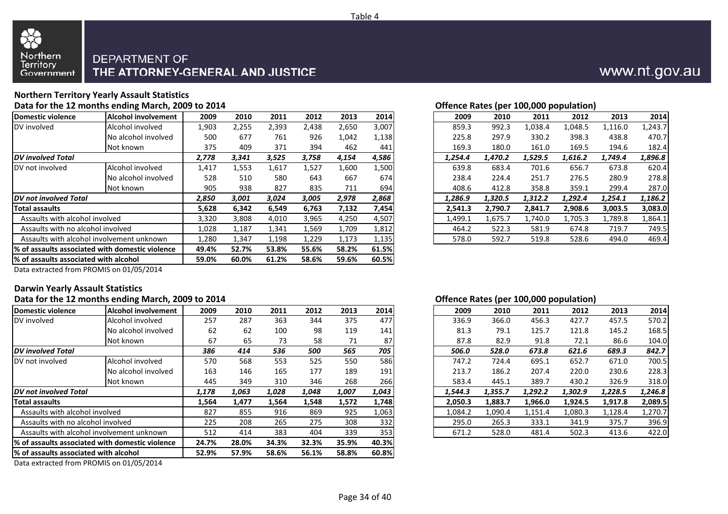

#### **Northern Territory Yearly Assault StatisticsData for the 12 months ending March, 2009 to 2014**

| Domestic violence                     | Alcohol involvement                              | 2009  | 2010  | 2011  | 2012  | 2013  | 2014  | 2009    | 2010    | 2011    | 2012    | 2013    | 2014    |
|---------------------------------------|--------------------------------------------------|-------|-------|-------|-------|-------|-------|---------|---------|---------|---------|---------|---------|
| DV involved                           | Alcohol involved                                 | 1,903 | 2,255 | 2,393 | 2,438 | 2,650 | 3,007 | 859.3   | 992.3   | 1,038.4 | 1,048.5 | L,116.0 | 1,243.7 |
|                                       | No alcohol involved                              | 500   | 677   | 761   | 926   | 1,042 | 1,138 | 225.8   | 297.9   | 330.2   | 398.3   | 438.8   | 470.7   |
|                                       | Not known                                        | 375   | 409   | 371   | 394   | 462   | 441   | 169.3   | 180.0   | 161.0   | 169.5   | 194.6   | 182.4   |
| <b>DV</b> involved Total              |                                                  | 2,778 | 3,341 | 3,525 | 3,758 | 4,154 | 4,586 | 1,254.4 | 1,470.2 | 1,529.5 | 1,616.2 | 1,749.4 | 1,896.8 |
| DV not involved                       | Alcohol involved                                 | 1,417 | 1,553 | 1,617 | 1,527 | 1,600 | 1,500 | 639.8   | 683.4   | 701.6   | 656.7   | 673.8   | 620.4   |
|                                       | No alcohol involved                              | 528   | 510   | 580   | 643   | 667   | 674   | 238.4   | 224.4   | 251.7   | 276.5   | 280.9   | 278.8   |
|                                       | Not known                                        | 905   | 938   | 827   | 835   | 711   | 694   | 408.6   | 412.8   | 358.8   | 359.1   | 299.4   | 287.0   |
| <b>IDV</b> not involved Total         |                                                  | 2,850 | 3,001 | 3,024 | 3,005 | 2,978 | 2,868 | 1,286.9 | 1,320.5 | 1,312.2 | 1,292.4 | 1,254.1 | 1,186.2 |
| Total assaults                        |                                                  | 5,628 | 6,342 | 6,549 | 6,763 | 7,132 | 7,454 | 2,541.3 | 2,790.7 | 2,841.7 | 2,908.6 | 3,003.5 | 3,083.0 |
| Assaults with alcohol involved        |                                                  | 3,320 | 3,808 | 4,010 | 3,965 | 4,250 | 4,507 | 1,499.1 | 1,675.7 | 1,740.0 | 1,705.3 | 1,789.8 | 1,864.1 |
| Assaults with no alcohol involved     |                                                  | 1,028 | 1,187 | 1,341 | 1,569 | 1,709 | 1,812 | 464.2   | 522.3   | 581.9   | 674.8   | 719.7   | 749.5   |
|                                       | Assaults with alcohol involvement unknown        | 1,280 | 1,347 | 1,198 | 1,229 | 1,173 | 1,135 | 578.0   | 592.7   | 519.8   | 528.6   | 494.0   | 469.4   |
|                                       | 1% of assaults associated with domestic violence | 49.4% | 52.7% | 53.8% | 55.6% | 58.2% | 61.5% |         |         |         |         |         |         |
| % of assaults associated with alcohol |                                                  | 59.0% | 60.0% | 61.2% | 58.6% | 59.6% | 60.5% |         |         |         |         |         |         |
|                                       |                                                  |       |       |       |       |       |       |         |         |         |         |         |         |

| Offence Rates (per 100,000 population) |  |  |  |
|----------------------------------------|--|--|--|

| $\overline{\phantom{a}}$ |       |       |       |       |       |       |
|--------------------------|-------|-------|-------|-------|-------|-------|
| <b>nent</b>              | 2009  | 2010  | 2011  | 2012  | 2013  | 2014  |
|                          | 1,903 | 2,255 | 2,393 | 2,438 | 2,650 | 3,007 |
|                          | 500   | 677   | 761   | 926   | 1,042 | 1,138 |
|                          | 375   | 409   | 371   | 394   | 462   | 441   |
|                          | 2,778 | 3,341 | 3,525 | 3,758 | 4,154 | 4,586 |
|                          | 1,417 | 1,553 | 1,617 | 1,527 | 1,600 | 1,500 |
|                          | 528   | 510   | 580   | 643   | 667   | 674I  |
|                          | 905   | 938   | 827   | 835   | 711   | 694   |
|                          | 2,850 | 3,001 | 3,024 | 3,005 | 2,978 | 2,868 |
|                          | 5,628 | 6,342 | 6,549 | 6,763 | 7,132 | 7,454 |
|                          | 3,320 | 3,808 | 4,010 | 3,965 | 4,250 | 4,507 |
| 1,028                    |       | 1,187 | 1,341 | 1,569 | 1,709 | 1,812 |
|                          | 1,280 | 1,347 | 1,198 | 1,229 | 1,173 | 1,135 |
|                          |       |       |       |       |       |       |

Data extracted from PROMIS on 01/05/2014

#### **Darwin Yearly Assault Statistics**

#### **Data for the 12 months ending March, 2009 to 2014**

| Domestic violence                      | <b>Alcohol involvement</b>                       | 2009  | 2010  | 2011  | 2012  | 2013  | 2014             | 2009    | 2010    | 2011    | 2012    | 2013    | 2014    |
|----------------------------------------|--------------------------------------------------|-------|-------|-------|-------|-------|------------------|---------|---------|---------|---------|---------|---------|
| DV involved                            | Alcohol involved                                 | 257   | 287   | 363   | 344   | 375   | 477              | 336.9   | 366.0   | 456.3   | 427.7   | 457.5   | 570.2   |
|                                        | No alcohol involved                              | 62    | 62    | 100   | 98    | 119   | 141              | 81.3    | 79.1    | 125.7   | 121.8   | 145.2   | 168.5   |
|                                        | Not known                                        | 67    | 65    | 73    | 58    | 71    | 87'              | 87.8    | 82.9    | 91.8    | 72.1    | 86.6    | 104.0   |
| <b>DV</b> involved Total               |                                                  | 386   | 414   | 536   | 500   | 565   | 705              | 506.0   | 528.0   | 673.8   | 621.6   | 689.3   | 842.7   |
| DV not involved                        | Alcohol involved                                 | 570   | 568   | 553   | 525   | 550   | <b>586</b>       | 747.2   | 724.4   | 695.1   | 652.7   | 671.0   | 700.5   |
|                                        | No alcohol involved                              | 163   | 146   | 165   | 177   | 189   | 191              | 213.7   | 186.2   | 207.4   | 220.0   | 230.6   | 228.3   |
|                                        | Not known                                        | 445   | 349   | 310   | 346   | 268   | 266              | 583.4   | 445.1   | 389.7   | 430.2   | 326.9   | 318.0   |
| <b>DV</b> not involved Total           |                                                  | 1,178 | 1,063 | 1,028 | 1,048 | 1,007 | 1,043            | 1,544.3 | 1,355.7 | 1,292.2 | 1,302.9 | 1,228.5 | 1,246.8 |
| <b>Total assaults</b>                  |                                                  | 1,564 | 1,477 | 1,564 | 1,548 | 1,572 | 1,748            | 2,050.3 | 1,883.7 | 1,966.0 | 1,924.5 | 1,917.8 | 2,089.5 |
| Assaults with alcohol involved         |                                                  | 827   | 855   | 916   | 869   | 925   | 1,063            | 1,084.2 | 1,090.4 | 1,151.4 | 1,080.3 | 1,128.4 | 1,270.7 |
| Assaults with no alcohol involved      |                                                  | 225   | 208   | 265   | 275   | 308   | 332              | 295.0   | 265.3   | 333.1   | 341.9   | 375.7   | 396.9   |
|                                        | Assaults with alcohol involvement unknown        | 512   | 414   | 383   | 404   | 339   | 353 <sup>I</sup> | 671.2   | 528.0   | 481.4   | 502.3   | 413.6   | 422.0   |
|                                        | l% of assaults associated with domestic violence | 24.7% | 28.0% | 34.3% | 32.3% | 35.9% | 40.3%            |         |         |         |         |         |         |
| 1% of assaults associated with alcohol |                                                  | 52.9% | 57.9% | 58.6% | 56.1% | 58.8% | 60.8%            |         |         |         |         |         |         |
|                                        | $\cdots$                                         |       |       |       |       |       |                  |         |         |         |         |         |         |

Data extracted from PROMIS on 01/05/2014

#### **Offence Rates (per 100,000 population)**

| nt | 2009  | 2010  | 2011  | 2012  | 2013  | 2014         |
|----|-------|-------|-------|-------|-------|--------------|
|    | 257   | 287   | 363   | 344   | 375   | 477          |
| ď  | 62    | 62    | 100   | 98    | 119   | 141          |
|    | 67    | 65    | 73    | 58    | 71    | 87           |
|    | 386   | 414   | 536   | 500   | 565   | 705          |
|    | 570   | 568   | 553   | 525   | 550   | 586 <b>1</b> |
| d  | 163   | 146   | 165   | 177   | 189   | 191          |
|    | 445   | 349   | 310   | 346   | 268   | 266          |
|    | 1,178 | 1,063 | 1,028 | 1,048 | 1,007 | 1,043        |
|    | 1,564 | 1,477 | 1,564 | 1,548 | 1,572 | 1,748        |
|    | 827   | 855   | 916   | 869   | 925   | 1,063        |
|    | 225   | 208   | 265   | 275   | 308   | 332          |
|    | 512   | 414   | 383   | 404   | 339   | 353          |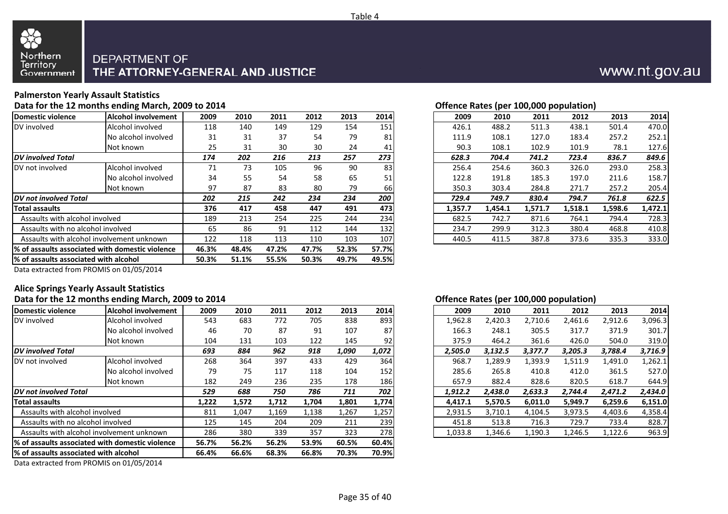

#### **Palmerston Yearly Assault Statistics**

#### **Data for the 12 months ending March, 2009 to 2014**

| Domestic violence                     | Alcohol involvement                              | 2009  | 2010  | 2011  | 2012  | 2013  | 2014  | 2009    | 2010    | 2011    | 2012    | 2013    | 2014    |
|---------------------------------------|--------------------------------------------------|-------|-------|-------|-------|-------|-------|---------|---------|---------|---------|---------|---------|
| DV involved                           | Alcohol involved                                 | 118   | 140   | 149   | 129   | 154   | 151   | 426.1   | 488.2   | 511.3   | 438.1   | 501.4   | 470.0   |
|                                       | No alcohol involved                              | 31    | 31    | 37    | 54    | 79    | 81    | 111.9   | 108.1   | 127.0   | 183.4   | 257.2   | 252.1   |
|                                       | Not known                                        | 25    | 31    | 30    | 30    | 24    | 41    | 90.3    | 108.1   | 102.9   | 101.9   | 78.1    | 127.6   |
| <b>DV</b> involved Total              |                                                  | 174   | 202   | 216   | 213   | 257   | 273   | 628.3   | 704.4   | 741.2   | 723.4   | 836.7   | 849.6   |
| DV not involved                       | Alcohol involved                                 | 71    | 73    | 105   | 96    | 90    | 83    | 256.4   | 254.6   | 360.3   | 326.0   | 293.0   | 258.3   |
|                                       | No alcohol involved                              | 34    | 55    | 54    | 58    | 65    | 51    | 122.8   | 191.8   | 185.3   | 197.0   | 211.6   | 158.7   |
|                                       | Not known                                        | 97    | 87    | 83    | 80    | 79    | 66    | 350.3   | 303.4   | 284.8   | 271.7   | 257.2   | 205.4   |
| <b>IDV</b> not involved Total         |                                                  | 202   | 215   | 242   | 234   | 234   | 200   | 729.4   | 749.7   | 830.4   | 794.7   | 761.8   | 622.5   |
| <b>Total assaults</b>                 |                                                  | 376   | 417   | 458   | 447   | 491   | 473   | 1,357.7 | 1,454.1 | 1,571.7 | 1,518.1 | 1,598.6 | 1,472.1 |
| Assaults with alcohol involved        |                                                  | 189   | 213   | 254   | 225   | 244   | 234   | 682.5   | 742.7   | 871.6   | 764.1   | 794.4   | 728.3   |
| Assaults with no alcohol involved     |                                                  | 65    | 86    | 91    | 112   | 144   | 132   | 234.7   | 299.9   | 312.3   | 380.4   | 468.8   | 410.8   |
|                                       | Assaults with alcohol involvement unknown        | 122   | 118   | 113   | 110   | 103   | 107   | 440.5   | 411.5   | 387.8   | 373.6   | 335.3   | 333.0   |
|                                       | 1% of assaults associated with domestic violence | 46.3% | 48.4% | 47.2% | 47.7% | 52.3% | 57.7% |         |         |         |         |         |         |
| % of assaults associated with alcohol |                                                  | 50.3% | 51.1% | 55.5% | 50.3% | 49.7% | 49.5% |         |         |         |         |         |         |
|                                       | $\sim$ $\sim$ $\sim$ $\sim$ $\sim$ $\sim$ $\sim$ |       |       |       |       |       |       |         |         |         |         |         |         |

#### **Offence Rates (per 100,000 population)**

| $\overline{\phantom{a}}$ |      |      |      |      |      |      |
|--------------------------|------|------|------|------|------|------|
| <b>nent</b>              | 2009 | 2010 | 2011 | 2012 | 2013 | 2014 |
|                          | 118  | 140  | 149  | 129  | 154  | 151  |
| ed/                      | 31   | 31   | 37   | 54   | 79   | 81   |
|                          | 25   | 31   | 30   | 30   | 24   | 41   |
|                          | 174  | 202  | 216  | 213  | 257  | 273  |
|                          | 71   | 73   | 105  | 96   | 90   | 83   |
| ed/                      | 34   | 55   | 54   | 58   | 65   | 51   |
|                          | 97   | 87   | 83   | 80   | 79   | 66   |
|                          | 202  | 215  | 242  | 234  | 234  | 200  |
|                          | 376  | 417  | 458  | 447  | 491  | 473  |
|                          | 189  | 213  | 254  | 225  | 244  | 234  |
|                          | 65   | 86   | 91   | 112  | 144  | 132  |
| n                        | 122  | 118  | 113  | 110  | 103  | 107  |
|                          |      |      |      |      |      |      |

Data extracted from PROMIS on 01/05/2014

#### **Alice Springs Yearly Assault Statistics**

#### **Data for the 12 months ending March, 2009 to 2014**

|                                        |                                                              |       |       |       |       |       |       |         | . .     |         |         |         |         |
|----------------------------------------|--------------------------------------------------------------|-------|-------|-------|-------|-------|-------|---------|---------|---------|---------|---------|---------|
| Domestic violence                      | <b>Alcohol involvement</b>                                   | 2009  | 2010  | 2011  | 2012  | 2013  | 2014  | 2009    | 2010    | 2011    | 2012    | 2013    | 2014    |
| DV involved                            | Alcohol involved                                             | 543   | 683   | 772   | 705   | 838   | 893   | 1,962.8 | 2,420.3 | 2,710.6 | 2,461.6 | 2,912.6 | 3,096.3 |
|                                        | No alcohol involved                                          | 46    | 70    | 87    | 91    | 107   | 87    | 166.3   | 248.1   | 305.5   | 317.7   | 371.9   | 301.7   |
|                                        | INot known                                                   | 104   | 131   | 103   | 122   | 145   | 92    | 375.9   | 464.2   | 361.6   | 426.0   | 504.0   | 319.0   |
| <b>DV</b> involved Total               |                                                              | 693   | 884   | 962   | 918   | 1,090 | 1,072 | 2,505.0 | 3,132.5 | 3,377.7 | 3,205.3 | 3,788.4 | 3,716.9 |
| DV not involved                        | Alcohol involved                                             | 268   | 364   | 397   | 433   | 429   | 364   | 968.7   | L,289.9 | 1,393.9 | 1,511.9 | 1,491.0 | 1,262.1 |
|                                        | No alcohol involved                                          | 79    | 75    | 117   | 118   | 104   | 152   | 285.6   | 265.8   | 410.8   | 412.0   | 361.5   | 527.0   |
|                                        | Not known                                                    | 182   | 249   | 236   | 235   | 178   | 186   | 657.9   | 882.4   | 828.6   | 820.5   | 618.7   | 644.9   |
| <b>DV</b> not involved Total           |                                                              | 529   | 688   | 750   | 786   | 711   | 702   | 1,912.2 | 2,438.0 | 2,633.3 | 2,744.4 | 2,471.2 | 2,434.0 |
| Total assaults                         |                                                              | 1,222 | 1,572 | 1,712 | 1,704 | 1,801 | 1,774 | 4,417.1 | 5,570.5 | 6,011.0 | 5,949.7 | 6,259.6 | 6,151.0 |
| Assaults with alcohol involved         |                                                              | 811   | 1,047 | 1,169 | 1,138 | 1,267 | 1,257 | 2,931.5 | 3,710.1 | 4,104.5 | 3,973.5 | 4,403.6 | 4,358.4 |
| Assaults with no alcohol involved      |                                                              | 125   | 145   | 204   | 209   | 211   | 239   | 451.8   | 513.8   | 716.3   | 729.7   | 733.4   | 828.7   |
|                                        | Assaults with alcohol involvement unknown                    | 286   | 380   | 339   | 357   | 323   | 278   | 1,033.8 | 1,346.6 | 1,190.3 | 1,246.5 | 1,122.6 | 963.9   |
|                                        | % of assaults associated with domestic violence              | 56.7% | 56.2% | 56.2% | 53.9% | 60.5% | 60.4% |         |         |         |         |         |         |
| 1% of assaults associated with alcohol |                                                              | 66.4% | 66.6% | 68.3% | 66.8% | 70.3% | 70.9% |         |         |         |         |         |         |
|                                        | $     -$<br>$\sim$ $\sim$ $\sim$ $\sim$ $\sim$ $\sim$ $\sim$ |       |       |       |       |       |       |         |         |         |         |         |         |

Data extracted from PROMIS on 01/05/2014

#### **Offence Rates (per 100,000 population)**

| nt | 2009  | 2010  | 2011  | 2012  | 2013  | 2014         | 2009    | 2010    | 2011    | 2012    | 2013    | 2014    |
|----|-------|-------|-------|-------|-------|--------------|---------|---------|---------|---------|---------|---------|
|    | 543   | 683   | 772   | 705   | 838   | 893          | 1,962.8 | 2,420.3 | 2,710.6 | 2,461.6 | 2,912.6 | 3,096.3 |
| ď  | 46    | 70    | 87    | 91    | 107   | 87           | 166.3   | 248.1   | 305.5   | 317.7   | 371.9   | 301.7   |
|    | 104   | 131   | 103   | 122   | 145   | 92           | 375.9   | 464.2   | 361.6   | 426.0   | 504.0   | 319.0   |
|    | 693   | 884   | 962   | 918   | 1,090 | 1,072        | 2.505.0 | 3.132.5 | 3,377.7 | 3,205.3 | 3,788.4 | 3,716.9 |
|    | 268   | 364   | 397   | 433   | 429   | 364          | 968.7   | 1,289.9 | 1,393.9 | 1,511.9 | 1,491.0 | 1,262.1 |
| d  | 79    | 75    | 117   | 118   | 104   | 152          | 285.6   | 265.8   | 410.8   | 412.0   | 361.5   | 527.0   |
|    | 182   | 249   | 236   | 235   | 178   | 186          | 657.9   | 882.4   | 828.6   | 820.5   | 618.7   | 644.9   |
|    | 529   | 688   | 750   | 786   | 711   | 702          | 1,912.2 | 2.438.0 | 2,633.3 | 2,744.4 | 2,471.2 | 2,434.0 |
|    | 1,222 | 1,572 | 1,712 | 1,704 | 1,801 | 1,774        | 4,417.1 | 5,570.5 | 6,011.0 | 5,949.7 | 6,259.6 | 6,151.0 |
|    | 811   | 1,047 | 1,169 | 1,138 | 1,267 | 1,257        | 2,931.5 | 3,710.1 | 4,104.5 | 3,973.5 | 4,403.6 | 4,358.4 |
|    | 125   | 145   | 204   | 209   | 211   | 239 <b>1</b> | 451.8   | 513.8   | 716.3   | 729.7   | 733.4   | 828.7   |
|    | 286   | 380   | 339   | 357   | 323   | 278          | 1,033.8 | 1.346.6 | 1,190.3 | 1.246.5 | 1,122.6 | 963.9   |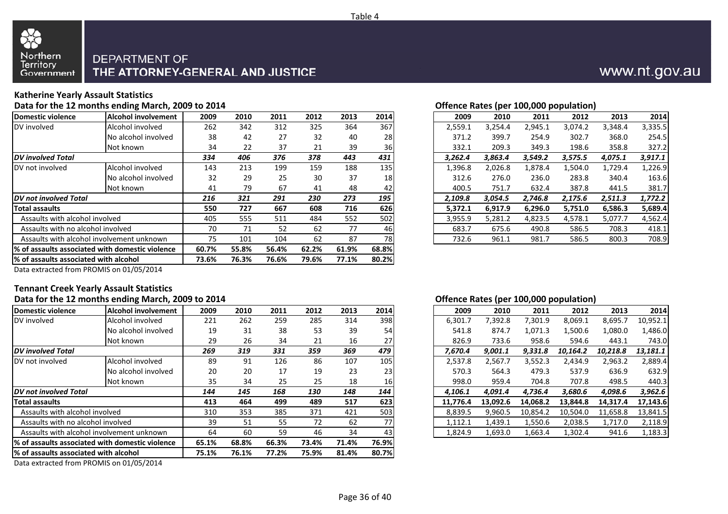

#### **Katherine Yearly Assault Statistics**

**Data for the 12 months ending March, 2009 to 2014**

| Domestic violence                      | Alcohol involvement                              | 2009  | 2010  | 2011  | 2012  | 2013  | 2014            | 2009    | 2010    | 2011    | 2012    | 2013    | 2014    |
|----------------------------------------|--------------------------------------------------|-------|-------|-------|-------|-------|-----------------|---------|---------|---------|---------|---------|---------|
| DV involved                            | Alcohol involved                                 | 262   | 342   | 312   | 325   | 364   | 367             | 2,559.1 | 3,254.4 | 2,945.1 | 3,074.2 | 3,348.4 | 3,335.5 |
|                                        | No alcohol involved                              | 38    | 42    | 27    | 32    | 40    | <b>28</b>       | 371.2   | 399.7   | 254.9   | 302.7   | 368.0   | 254.5   |
|                                        | Not known                                        | 34    | 22    | 37    | 21    | 39    | 36              | 332.1   | 209.3   | 349.3   | 198.6   | 358.8   | 327.2   |
| <b>DV</b> involved Total               |                                                  | 334   | 406   | 376   | 378   | 443   | 431             | 3,262.4 | 3,863.4 | 3,549.2 | 3,575.5 | 4,075.1 | 3,917.1 |
| DV not involved                        | Alcohol involved                                 | 143   | 213   | 199   | 159   | 188   | 135             | 1,396.8 | 2,026.8 | 1,878.4 | 1,504.0 | 1,729.4 | 1,226.9 |
|                                        | No alcohol involved                              | 32    | 29    | 25    | 30    | 37    | 18 <sup>l</sup> | 312.6   | 276.0   | 236.0   | 283.8   | 340.4   | 163.6   |
|                                        | Not known                                        | 41    | 79    | 67    | 41    | 48    | 42              | 400.5   | 751.7   | 632.4   | 387.8   | 441.5   | 381.7   |
| <b>IDV</b> not involved Total          |                                                  | 216   | 321   | 291   | 230   | 273   | 195             | 2,109.8 | 3,054.5 | 2,746.8 | 2,175.6 | 2,511.3 | 1,772.2 |
| Total assaults                         |                                                  | 550   | 727   | 667   | 608   | 716   | 626             | 5,372.1 | 6,917.9 | 6,296.0 | 5,751.0 | 6,586.3 | 5,689.4 |
| Assaults with alcohol involved         |                                                  | 405   | 555   | 511   | 484   | 552   | 502             | 3,955.9 | 5,281.2 | 4,823.5 | 4,578.1 | 5,077.7 | 4,562.4 |
| Assaults with no alcohol involved      |                                                  | 70    | 71    | 52    | 62    | 77    | 46              | 683.7   | 675.6   | 490.8   | 586.5   | 708.3   | 418.1   |
|                                        | Assaults with alcohol involvement unknown        | 75    | 101   | 104   | 62    | 87    | 78              | 732.6   | 961.1   | 981.7   | 586.5   | 800.3   | 708.9   |
|                                        | 1% of assaults associated with domestic violence | 60.7% | 55.8% | 56.4% | 62.2% | 61.9% | 68.8%           |         |         |         |         |         |         |
| 1% of assaults associated with alcohol |                                                  | 73.6% | 76.3% | 76.6% | 79.6% | 77.1% | 80.2%           |         |         |         |         |         |         |
|                                        |                                                  |       |       |       |       |       |                 |         |         |         |         |         |         |

| Offence Rates (per 100,000 population) |  |  |
|----------------------------------------|--|--|
|                                        |  |  |

| 'nt | 2009 | 2010 | 2011 | 2012 | 2013 | 2014 |
|-----|------|------|------|------|------|------|
|     | 262  | 342  | 312  | 325  | 364  | 367  |
| d   | 38   | 42   | 27   | 32   | 40   | 28   |
|     | 34   | 22   | 37   | 21   | 39   | 36   |
|     | 334  | 406  | 376  | 378  | 443  | 431  |
|     | 143  | 213  | 199  | 159  | 188  | 135  |
|     | 32   | 29   | 25   | 30   | 37   | 18   |
|     | 41   | 79   | 67   | 41   | 48   | 42   |
|     | 216  | 321  | 291  | 230  | 273  | 195  |
|     | 550  | 727  | 667  | 608  | 716  | 626  |
|     | 405  | 555  | 511  | 484  | 552  | 502  |
|     | 70   | 71   | 52   | 62   | 77   | 46   |
|     | 75   | 101  | 104  | 62   | 87   | 78   |
|     |      |      |      |      |      |      |

Data extracted from PROMIS on 01/05/2014

# **Tennant Creek Yearly Assault Statistics**

|                                       | Data for the 12 months ending March, 2009 to 2014 |       |       |       |       |       |           | Offence Rates (per 100,000 population) |          |          |          |          |          |
|---------------------------------------|---------------------------------------------------|-------|-------|-------|-------|-------|-----------|----------------------------------------|----------|----------|----------|----------|----------|
| Domestic violence                     | <b>Alcohol involvement</b>                        | 2009  | 2010  | 2011  | 2012  | 2013  | 2014      | 2009                                   | 2010     | 2011     | 2012     | 2013     | 2014     |
| DV involved                           | Alcohol involved                                  | 221   | 262   | 259   | 285   | 314   | 398       | 6,301.7                                | 7,392.8  | 7,301.9  | 8,069.1  | 8,695.7  | 10,952.1 |
|                                       | No alcohol involved                               | 19    | 31    | 38    | 53    | 39    | 54        | 541.8                                  | 874.7    | 1,071.3  | 1,500.6  | 1,080.0  | 1,486.0  |
|                                       | Not known                                         | 29    | 26    | 34    | 21    | 16    | 27        | 826.9                                  | 733.6    | 958.6    | 594.6    | 443.1    | 743.0    |
| <b>DV</b> involved Total              |                                                   | 269   | 319   | 331   | 359   | 369   | 479       | 7,670.4                                | 9,001.1  | 9,331.8  | 10,164.2 | 10,218.8 | 13,181.1 |
| DV not involved                       | Alcohol involved                                  | 89    | 91    | 126   | 86    | 107   | 105       | 2,537.8                                | 2,567.7  | 3,552.3  | 2,434.9  | 2,963.2  | 2,889.4  |
|                                       | No alcohol involved                               | 20    | 20    | 17    | 19    | 23    | 23        | 570.3                                  | 564.3    | 479.3    | 537.9    | 636.9    | 632.9    |
|                                       | Not known                                         | 35    | 34    | 25    | 25    | 18    | <b>16</b> | 998.0                                  | 959.4    | 704.8    | 707.8    | 498.5    | 440.3    |
| <b>IDV</b> not involved Total         |                                                   | 144   | 145   | 168   | 130   | 148   | 144       | 4,106.1                                | 4,091.4  | 4,736.4  | 3,680.6  | 4,098.6  | 3,962.6  |
| <b>Total assaults</b>                 |                                                   | 413   | 464   | 499   | 489   | 517   | 623       | 11.776.4                               | 13.092.6 | 14.068.2 | 13.844.8 | 14.317.4 | 17,143.6 |
| Assaults with alcohol involved        |                                                   | 310   | 353   | 385   | 371   | 421   | 503       | 8,839.5                                | 9,960.5  | 10,854.2 | 10,504.0 | 11,658.8 | 13,841.5 |
| Assaults with no alcohol involved     |                                                   | 39    | 51    | 55    | 72    | 62    | 77        | 1,112.1                                | 1,439.1  | 1,550.6  | 2,038.5  | 1,717.0  | 2,118.9  |
|                                       | Assaults with alcohol involvement unknown         | 64    | 60    | 59    | 46    | 34    | 43        | 1,824.9                                | 1,693.0  | 1,663.4  | 1,302.4  | 941.6    | 1,183.3  |
|                                       | 1% of assaults associated with domestic violence  | 65.1% | 68.8% | 66.3% | 73.4% | 71.4% | 76.9%     |                                        |          |          |          |          |          |
| % of assaults associated with alcohol |                                                   | 75.1% | 76.1% | 77.2% | 75.9% | 81.4% | 80.7%     |                                        |          |          |          |          |          |
|                                       |                                                   |       |       |       |       |       |           |                                        |          |          |          |          |          |

Data extracted from PROMIS on 01/05/2014

#### **Offence Rates (per 100,000 population)**

| nt | 2009 | 2010 | 2011 | 2012 | 2013 | 2014 |
|----|------|------|------|------|------|------|
|    | 221  | 262  | 259  | 285  | 314  | 398  |
| d  | 19   | 31   | 38   | 53   | 39   | 54   |
|    | 29   | 26   | 34   | 21   | 16   | 27   |
|    | 269  | 319  | 331  | 359  | 369  | 479  |
|    | 89   | 91   | 126  | 86   | 107  | 105  |
| d  | 20   | 20   | 17   | 19   | 23   | 23   |
|    | 35   | 34   | 25   | 25   | 18   | 16   |
|    | 144  | 145  | 168  | 130  | 148  | 144  |
|    | 413  | 464  | 499  | 489  | 517  | 623  |
|    | 310  | 353  | 385  | 371  | 421  | 503  |
|    | 39   | 51   | 55   | 72   | 62   | 77   |
|    | 64   | 60   | 59   | 46   | 34   | 43   |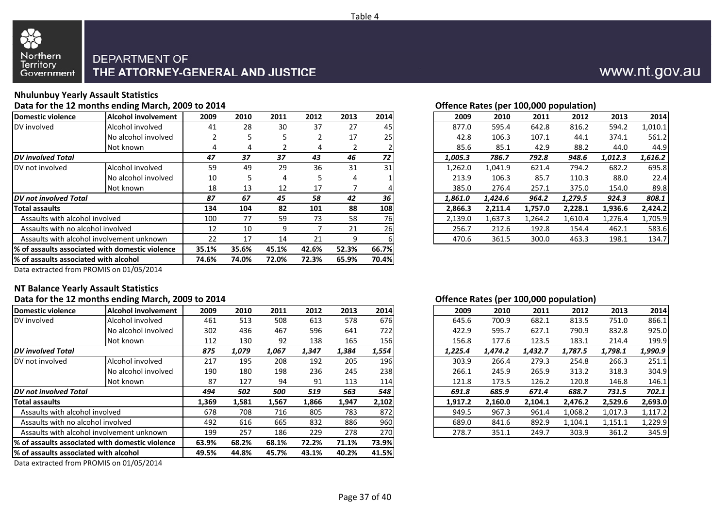

### **Nhulunbuy Yearly Assault Statistics**

**Data for the 12 months ending March, 2009 to 2014**

| Domestic violence<br>Alcohol involvement         |                     | 2009  | 2010  | 2011  | 2012  | 2013  | 2014      | 2009    | 2010    | 2011    | 2012    | 2013    | 2014    |
|--------------------------------------------------|---------------------|-------|-------|-------|-------|-------|-----------|---------|---------|---------|---------|---------|---------|
| DV involved                                      | Alcohol involved    | 41    | 28    | 30    | 37    | 27    | 45        | 877.0   | 595.4   | 642.8   | 816.2   | 594.2   | 1,010.1 |
|                                                  | No alcohol involved |       |       |       |       | 17    | <b>25</b> | 42.8    | 106.3   | 107.1   | 44.1    | 374.1   | 561.2   |
|                                                  | Not known           |       | 4     |       | 4     |       |           | 85.6    | 85.1    | 42.9    | 88.2    | 44.0    | 44.9    |
| <b>IDV</b> involved Total                        |                     | 47    | 37    | 37    | 43    | 46    | 72        | 1,005.3 | 786.7   | 792.8   | 948.6   | 1,012.3 | 1,616.2 |
| DV not involved                                  | Alcohol involved    | 59    | 49    | 29    | 36    | 31    | 31        | 1,262.0 | 1,041.9 | 621.4   | 794.2   | 682.2   | 695.8   |
|                                                  | No alcohol involved | 10    |       | 4     |       | 4     |           | 213.9   | 106.3   | 85.7    | 110.3   | 88.0    | 22.4    |
|                                                  | Not known           | 18    | 13    | 12    | 17    |       |           | 385.0   | 276.4   | 257.1   | 375.0   | 154.0   | 89.8    |
| <b>IDV</b> not involved Total                    |                     | 87    | 67    | 45    | 58    | 42    | 36        | 1,861.0 | 1.424.6 | 964.2   | 1,279.5 | 924.3   | 808.1   |
| <b>Total assaults</b>                            |                     | 134   | 104   | 82    | 101   | 88    | 108       | 2,866.3 | 2,211.4 | 1,757.0 | 2,228.1 | 1,936.6 | 2,424.2 |
| Assaults with alcohol involved                   |                     | 100   | 77    | 59    | 73    | 58    | <b>76</b> | 2,139.0 | 1,637.3 | 1,264.2 | 1,610.4 | 1,276.4 | 1,705.9 |
| Assaults with no alcohol involved                |                     | 12    | 10    | 9     |       | 21    | <b>26</b> | 256.7   | 212.6   | 192.8   | 154.4   | 462.1   | 583.6   |
| Assaults with alcohol involvement unknown        | 22                  | 17    | 14    | 21    | q     |       | 470.6     | 361.5   | 300.0   | 463.3   | 198.1   | 134.7   |         |
| 1% of assaults associated with domestic violence | 35.1%               | 35.6% | 45.1% | 42.6% | 52.3% | 66.7% |           |         |         |         |         |         |         |
| % of assaults associated with alcohol            | 74.6%               | 74.0% | 72.0% | 72.3% | 65.9% | 70.4% |           |         |         |         |         |         |         |
|                                                  |                     |       |       |       |       |       |           |         |         |         |         |         |         |

| Offence Rates (per 100,000 population) |
|----------------------------------------|
|                                        |

| nt | 2009           | 2010 | 2011 | 2012 | 2013 | 2014      |
|----|----------------|------|------|------|------|-----------|
|    | 41             | 28   | 30   | 37   | 27   | 45        |
| d  | $\overline{2}$ | 5    | 5    | 2    | 17   | 25        |
|    | 4              | 4    |      | 4    |      |           |
|    | 47             | 37   | 37   | 43   | 46   | 72        |
|    | 59             | 49   | 29   | 36   | 31   | 31        |
| d  | 10             | 5.   | 4    | 5    | 4    |           |
|    | 18             | 13   | 12   | 17   |      |           |
|    | 87             | 67   | 45   | 58   | 42   | 36        |
|    | 134            | 104  | 82   | 101  | 88   | 108       |
|    | 100            | 77   | 59   | 73   | 58   | <b>76</b> |
|    | 12             | 10   | 9    |      | 21   | 26        |
|    | 22             | 17   | 14   | 21   | 9    | 6         |
|    |                |      |      |      |      |           |

Data extracted from PROMIS on 01/05/2014

#### **NT Balance Yearly Assault Statistics**

#### **Data for the 12 months ending March, 2009 to 2014**

|                                                  |                            |       |       |       |       |       |         |         | . .     |         |         |         |         |
|--------------------------------------------------|----------------------------|-------|-------|-------|-------|-------|---------|---------|---------|---------|---------|---------|---------|
| Domestic violence                                | <b>Alcohol involvement</b> | 2009  | 2010  | 2011  | 2012  | 2013  | 2014    | 2009    | 2010    | 2011    | 2012    | 2013    | 2014    |
| DV involved                                      | Alcohol involved           | 461   | 513   | 508   | 613   | 578   | 676     | 645.6   | 700.9   | 682.1   | 813.5   | 751.0   | 866.1   |
|                                                  | No alcohol involved        | 302   | 436   | 467   | 596   | 641   | 722     | 422.9   | 595.7   | 627.1   | 790.9   | 832.8   | 925.C   |
|                                                  | Not known                  | 112   | 130   | 92    | 138   | 165   | 156     | 156.8   | 177.6   | 123.5   | 183.1   | 214.4   | 199.9   |
| <b>DV</b> involved Total                         | 875                        | 1,079 | 1,067 | 1,347 | 1,384 | 1,554 | 1,225.4 | 1,474.2 | 1,432.7 | 1,787.5 | 1,798.1 | 1,990.9 |         |
| DV not involved                                  | Alcohol involved           | 217   | 195   | 208   | 192   | 205   | 196     | 303.9   | 266.4   | 279.3   | 254.8   | 266.3   | 251.1   |
|                                                  | No alcohol involved        | 190   | 180   | 198   | 236   | 245   | 238     | 266.1   | 245.9   | 265.9   | 313.2   | 318.3   | 304.9   |
|                                                  | Not known                  | 87    | 127   | 94    | 91    | 113   | 114     | 121.8   | 173.5   | 126.2   | 120.8   | 146.8   | 146.1   |
| <b>DV</b> not involved Total                     |                            | 494   | 502   | 500   | 519   | 563   | 548     | 691.8   | 685.9   | 671.4   | 688.7   | 731.5   | 702.1   |
| <b>Total assaults</b>                            | 1,369                      | 1,581 | 1,567 | 1,866 | 1,947 | 2,102 | 1,917.2 | 2,160.0 | 2,104.1 | 2,476.2 | 2,529.6 | 2,693.0 |         |
| Assaults with alcohol involved                   | 678                        | 708   | 716   | 805   | 783   | 872   | 949.5   | 967.3   | 961.4   | 1,068.2 | 1,017.3 | 1,117.2 |         |
| Assaults with no alcohol involved                |                            | 492   | 616   | 665   | 832   | 886   | 960     | 689.0   | 841.6   | 892.9   | 1,104.1 | 1,151.1 | 1,229.9 |
| Assaults with alcohol involvement unknown        | 199                        | 257   | 186   | 229   | 278   | 270   | 278.7   | 351.1   | 249.7   | 303.9   | 361.2   | 345.9   |         |
| 1% of assaults associated with domestic violence | 63.9%                      | 68.2% | 68.1% | 72.2% | 71.1% | 73.9% |         |         |         |         |         |         |         |
| 1% of assaults associated with alcohol           | 49.5%                      | 44.8% | 45.7% | 43.1% | 40.2% | 41.5% |         |         |         |         |         |         |         |
|                                                  | ------                     |       |       |       |       |       |         |         |         |         |         |         |         |

Data extracted from PROMIS on 01/05/2014

#### **Offence Rates (per 100,000 population)**

| nt | 2009  | 2010  | 2011  | 2012  | 2013  | 2014             |
|----|-------|-------|-------|-------|-------|------------------|
|    | 461   | 513   | 508   | 613   | 578   | 676              |
| d  | 302   | 436   | 467   | 596   | 641   | 722              |
|    | 112   | 130   | 92    | 138   | 165   | 156              |
|    | 875   | 1,079 | 1,067 | 1,347 | 1,384 | 1,554            |
|    | 217   | 195   | 208   | 192   | 205   | 196 <sub>l</sub> |
| d  | 190   | 180   | 198   | 236   | 245   | 238              |
|    | 87    | 127   | 94    | 91    | 113   | 114              |
|    | 494   | 502   | 500   | 519   | 563   | 548              |
|    | 1,369 | 1,581 | 1,567 | 1,866 | 1,947 | 2,102            |
|    | 678   | 708   | 716   | 805   | 783   | 872              |
|    | 492   | 616   | 665   | 832   | 886   | 960              |
|    | 199   | 257   | 186   | 229   | 278   | 270              |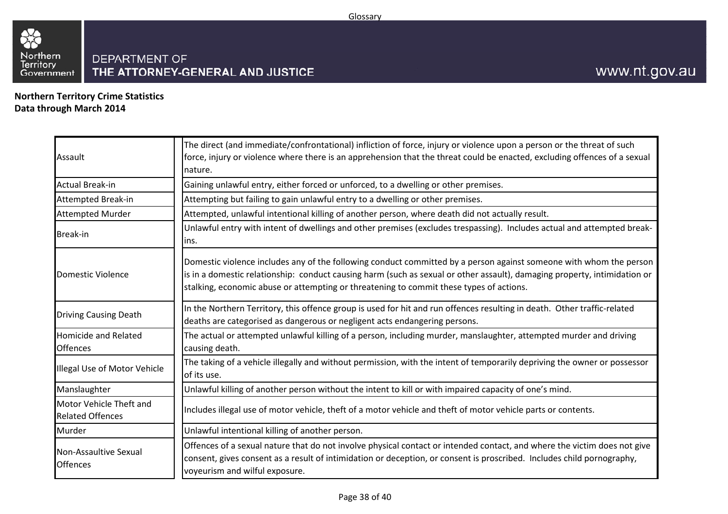

**Northern Territory Crime StatisticsData through March 2014**

| Assault                                            | The direct (and immediate/confrontational) infliction of force, injury or violence upon a person or the threat of such<br>force, injury or violence where there is an apprehension that the threat could be enacted, excluding offences of a sexual<br>nature.                                                                             |
|----------------------------------------------------|--------------------------------------------------------------------------------------------------------------------------------------------------------------------------------------------------------------------------------------------------------------------------------------------------------------------------------------------|
| <b>Actual Break-in</b>                             | Gaining unlawful entry, either forced or unforced, to a dwelling or other premises.                                                                                                                                                                                                                                                        |
| <b>Attempted Break-in</b>                          | Attempting but failing to gain unlawful entry to a dwelling or other premises.                                                                                                                                                                                                                                                             |
| <b>Attempted Murder</b>                            | Attempted, unlawful intentional killing of another person, where death did not actually result.                                                                                                                                                                                                                                            |
| <b>Break-in</b>                                    | Unlawful entry with intent of dwellings and other premises (excludes trespassing). Includes actual and attempted break-<br>lins.                                                                                                                                                                                                           |
| Domestic Violence                                  | Domestic violence includes any of the following conduct committed by a person against someone with whom the person<br>is in a domestic relationship: conduct causing harm (such as sexual or other assault), damaging property, intimidation or<br>stalking, economic abuse or attempting or threatening to commit these types of actions. |
| <b>Driving Causing Death</b>                       | In the Northern Territory, this offence group is used for hit and run offences resulting in death. Other traffic-related<br>deaths are categorised as dangerous or negligent acts endangering persons.                                                                                                                                     |
| <b>Homicide and Related</b><br><b>Offences</b>     | The actual or attempted unlawful killing of a person, including murder, manslaughter, attempted murder and driving<br>causing death.                                                                                                                                                                                                       |
| Illegal Use of Motor Vehicle                       | The taking of a vehicle illegally and without permission, with the intent of temporarily depriving the owner or possessor<br>of its use.                                                                                                                                                                                                   |
| Manslaughter                                       | Unlawful killing of another person without the intent to kill or with impaired capacity of one's mind.                                                                                                                                                                                                                                     |
| Motor Vehicle Theft and<br><b>Related Offences</b> | Includes illegal use of motor vehicle, theft of a motor vehicle and theft of motor vehicle parts or contents.                                                                                                                                                                                                                              |
| Murder                                             | Unlawful intentional killing of another person.                                                                                                                                                                                                                                                                                            |
| Non-Assaultive Sexual<br><b>Offences</b>           | Offences of a sexual nature that do not involve physical contact or intended contact, and where the victim does not give<br>consent, gives consent as a result of intimidation or deception, or consent is proscribed. Includes child pornography,<br>voyeurism and wilful exposure.                                                       |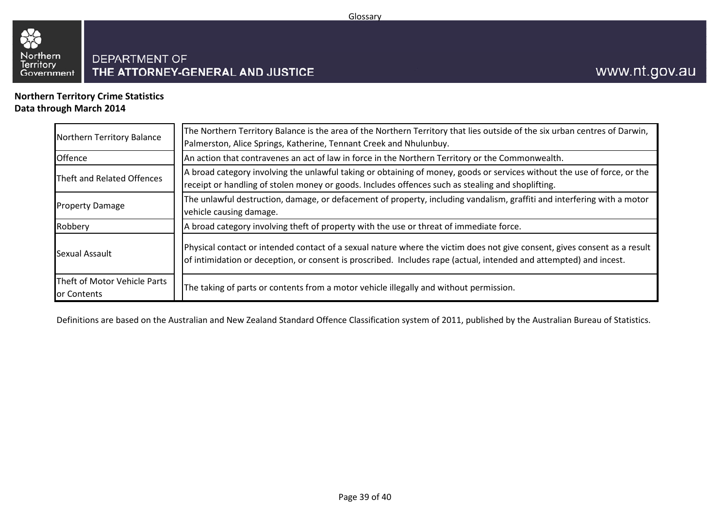

#### **Northern Territory Crime StatisticsData through March 2014**

| Northern Territory Balance                  | The Northern Territory Balance is the area of the Northern Territory that lies outside of the six urban centres of Darwin,<br>Palmerston, Alice Springs, Katherine, Tennant Creek and Nhulunbuy.                                                |
|---------------------------------------------|-------------------------------------------------------------------------------------------------------------------------------------------------------------------------------------------------------------------------------------------------|
| <b>Offence</b>                              | An action that contravenes an act of law in force in the Northern Territory or the Commonwealth.                                                                                                                                                |
| Theft and Related Offences                  | A broad category involving the unlawful taking or obtaining of money, goods or services without the use of force, or the<br>receipt or handling of stolen money or goods. Includes offences such as stealing and shoplifting.                   |
| <b>Property Damage</b>                      | The unlawful destruction, damage, or defacement of property, including vandalism, graffiti and interfering with a motor<br>vehicle causing damage.                                                                                              |
| Robbery                                     | A broad category involving theft of property with the use or threat of immediate force.                                                                                                                                                         |
| Sexual Assault                              | Physical contact or intended contact of a sexual nature where the victim does not give consent, gives consent as a result<br>of intimidation or deception, or consent is proscribed. Includes rape (actual, intended and attempted) and incest. |
| Theft of Motor Vehicle Parts<br>or Contents | The taking of parts or contents from a motor vehicle illegally and without permission.                                                                                                                                                          |

Definitions are based on the Australian and New Zealand Standard Offence Classification system of 2011, published by the Australian Bureau of Statistics.